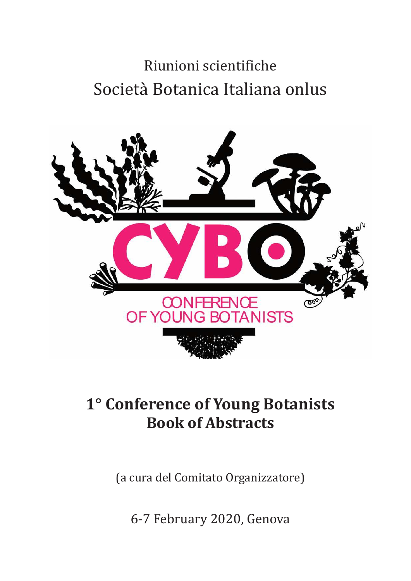# Riunioni scientifiche Società Botanica Italiana onlus



# **1° Conference of Young Botanists Book of Abstracts**

(a cura del Comitato Organizzatore)

6‐7 February 2020, Genova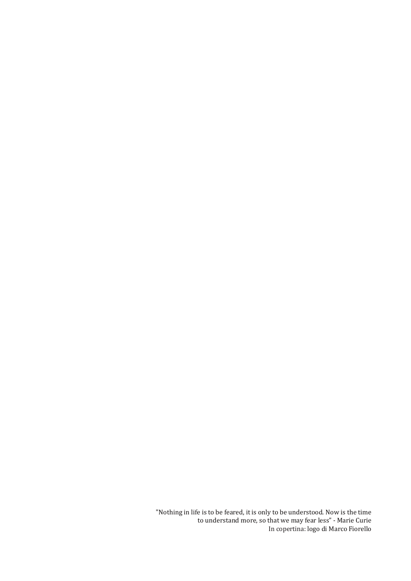"Nothing in life is to be feared, it is only to be understood. Now is the time to understand more, so that we may fear less" ‐ Marie Curie In copertina: logo di Marco Fiorello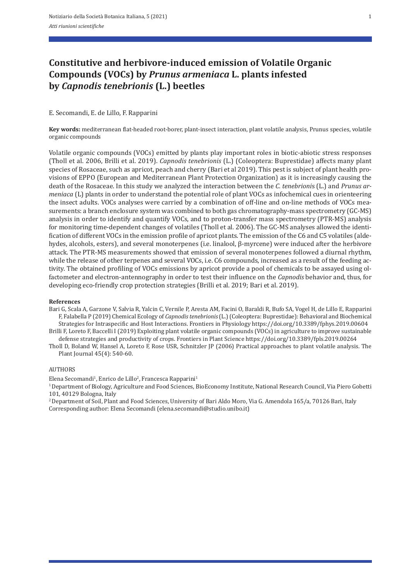# **Constitutive and herbivore‑induced emission of Volatile Organic Compounds (VOCs) by** *Prunus armeniaca* **L. plants infested by** *Capnodis tenebrionis* **(L.) beetles**

### E. Secomandi, E. de Lillo, F. Rapparini

**Key words:** mediterranean flat‐headed root‐borer, plant‐insect interaction, plant volatile analysis, Prunus species, volatile organic compounds

Volatile organic compounds (VOCs) emitted by plants play important roles in biotic‐abiotic stress responses (Tholl et al. 2006, Brilli et al. 2019). *Capnodis tenebrionis* (L.) (Coleoptera: Buprestidae) affects many plant species of Rosaceae, such as apricot, peach and cherry (Bari et al 2019). This pest is subject of plant health provisions of EPPO (European and Mediterranean Plant Protection Organization) as it is increasingly causing the death of the Rosaceae. In this study we analyzed the interaction between the *C. tenebrioni*s (L.) and *Prunus ar‑ meniaca* (L) plants in order to understand the potential role of plant VOCs as infochemical cues in orienteering the insect adults. VOCs analyses were carried by a combination of off-line and on-line methods of VOCs measurements: a branch enclosure system was combined to both gas chromatography-mass spectrometry (GC-MS) analysis in order to identify and quantify VOCs, and to proton‐transfer mass spectrometry (PTR‐MS) analysis for monitoring time-dependent changes of volatiles (Tholl et al. 2006). The GC-MS analyses allowed the identification of different VOCs in the emission profile of apricot plants. The emission of the C6 and C5 volatiles (alde‐ hydes, alcohols, esters), and several monoterpenes (i.e. linalool, β‐myrcene) were induced after the herbivore attack. The PTR‐MS measurements showed that emission of several monoterpenes followed a diurnal rhythm, while the release of other terpenes and several VOCs, i.e. C6 compounds, increased as a result of the feeding activity. The obtained profiling of VOCs emissions by apricot provide a pool of chemicals to be assayed using ol‐ factometer and electron‐antennography in order to test their influence on the *Capnodis* behavior and, thus, for developing eco‐friendly crop protection strategies (Brilli et al. 2019; Bari et al. 2019).

#### **References**

Bari G, Scala A, Garzone V, Salvia R, Yalcin C, Vernile P, Aresta AM, Facini O, Baraldi R, Bufo SA, Vogel H, de Lillo E, Rapparini F, Falabella P (2019) Chemical Ecology of *Capnodis tenebrionis* (L.) (Coleoptera: Buprestidae): Behavioral and Biochemical Strategies for Intraspecific and Host Interactions. Frontiers in Physiology https://doi.org/10.3389/fphys.2019.00604

Brilli F, Loreto F, Baccelli I (2019) Exploiting plant volatile organic compounds (VOCs) in agriculture to improve sustainable defense strategies and productivity of crops. Frontiers in Plant Science https://doi.org/10.3389/fpls.2019.00264

Tholl D, Boland W, Hansel A, Loreto F, Rose USR, Schnitzler JP (2006) Practical approaches to plant volatile analysis. The Plant Journal 45(4): 540‐60.

#### **AUTHORS**

Elena Secomandi<sup>1</sup>, Enrico de Lillo<sup>2</sup>, Francesca Rapparini<sup>1</sup>

1 Department of Biology, Agriculture and Food Sciences, BioEconomy Institute, National Research Council, Via Piero Gobetti 101, 40129 Bologna, Italy

<sup>2</sup> Department of Soil, Plant and Food Sciences, University of Bari Aldo Moro, Via G. Amendola 165/a, 70126 Bari, Italy Corresponding author: Elena Secomandi (elena.secomandi@studio.unibo.it)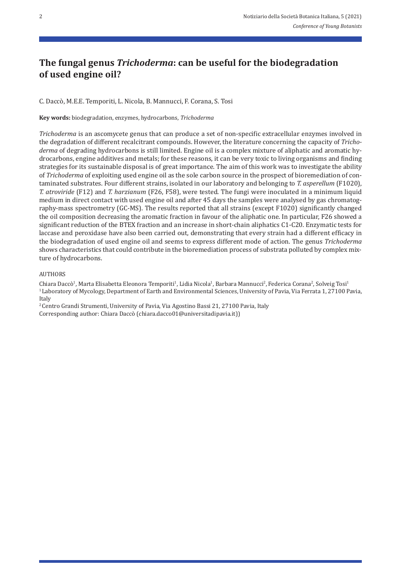# **The fungal genus** *Trichoderma***: can be useful for the biodegradation of used engine oil?**

C. Daccò, M.E.E. Temporiti, L. Nicola, B. Mannucci, F. Corana, S. Tosi

**Key words:** biodegradation, enzymes, hydrocarbons, *Trichoderma* 

*Trichoderma* is an ascomycete genus that can produce a set of non‐specific extracellular enzymes involved in the degradation of different recalcitrant compounds. However, the literature concerning the capacity of *Tricho‑ derma* of degrading hydrocarbons is still limited. Engine oil is a complex mixture of aliphatic and aromatic hy‐ drocarbons, engine additives and metals; for these reasons, it can be very toxic to living organisms and finding strategies for its sustainable disposal is of great importance. The aim of this work was to investigate the ability of *Trichoderma* of exploiting used engine oil as the sole carbon source in the prospect of bioremediation of contaminated substrates. Four different strains, isolated in our laboratory and belonging to *T. asperellum* (F1020), *T. atroviride* (F12) and *T. harzianum* (F26, F58), were tested. The fungi were inoculated in a minimum liquid medium in direct contact with used engine oil and after 45 days the samples were analysed by gas chromatography‐mass spectrometry (GC‐MS). The results reported that all strains (except F1020) significantly changed the oil composition decreasing the aromatic fraction in favour of the aliphatic one. In particular, F26 showed a significant reduction of the BTEX fraction and an increase in short-chain aliphatics C1-C20. Enzymatic tests for laccase and peroxidase have also been carried out, demonstrating that every strain had a different efficacy in the biodegradation of used engine oil and seems to express different mode of action. The genus *Trichoderma*  shows characteristics that could contribute in the bioremediation process of substrata polluted by complex mix‐ ture of hydrocarbons.

#### AUTHORS

Chiara Daccò<sup>1</sup>, Marta Elisabetta Eleonora Temporiti<sup>1</sup>, Lidia Nicola<sup>1</sup>, Barbara Mannucci<sup>2</sup>, Federica Corana<sup>2</sup>, Solveig Tosi<sup>1</sup> <sup>1</sup> Laboratory of Mycology, Department of Earth and Environmental Sciences, University of Pavia, Via Ferrata 1, 27100 Pavia, Italy

<sup>2</sup> Centro Grandi Strumenti, University of Pavia, Via Agostino Bassi 21, 27100 Pavia, Italy Corresponding author: Chiara Daccò (chiara.dacco01@universitadipavia.it))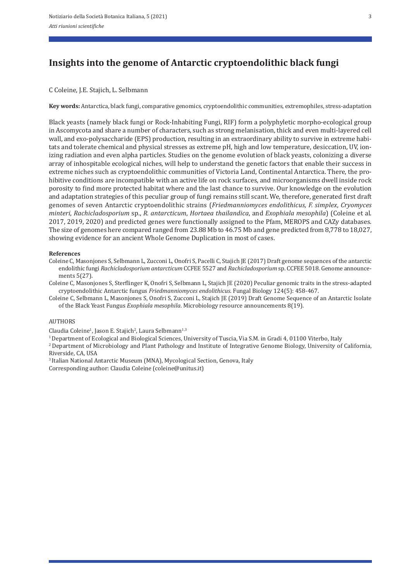# **Insights into the genome of Antarctic cryptoendolithic black fungi**

### C Coleine, J.E. Stajich, L. Selbmann

Key words: Antarctica, black fungi, comparative genomics, cryptoendolithic communities, extremophiles, stress-adaptation

Black yeasts (namely black fungi or Rock‐Inhabiting Fungi, RIF) form a polyphyletic morpho‐ecological group in Ascomycota and share a number of characters, such as strong melanisation, thick and even multi‐layered cell wall, and exo-polysaccharide (EPS) production, resulting in an extraordinary ability to survive in extreme habitats and tolerate chemical and physical stresses as extreme pH, high and low temperature, desiccation, UV, ionizing radiation and even alpha particles. Studies on the genome evolution of black yeasts, colonizing a diverse array of inhospitable ecological niches, will help to understand the genetic factors that enable their success in extreme niches such as cryptoendolithic communities of Victoria Land, Continental Antarctica. There, the pro‐ hibitive conditions are incompatible with an active life on rock surfaces, and microorganisms dwell inside rock porosity to find more protected habitat where and the last chance to survive. Our knowledge on the evolution and adaptation strategies of this peculiar group of fungi remains still scant. We, therefore, generated first draft genomes of seven Antarctic cryptoendolithic strains (*Friedmanniomyces endolithicus, F. simplex*, *Cryomyces minteri*, *Rachicladosporium* sp., *R. antarcticum*, *Hortaea thailandica*, and *Exophiala mesophila*) (Coleine et al. 2017, 2019, 2020) and predicted genes were functionally assigned to the Pfam, MEROPS and CAZy databases. The size of genomes here compared ranged from 23.88 Mb to 46.75 Mb and gene predicted from 8,778 to 18,027, showing evidence for an ancient Whole Genome Duplication in most of cases.

#### **References**

- Coleine C, Masonjones S, Selbmann L, Zucconi L, Onofri S, Pacelli C, Stajich JE (2017) Draft genome sequences of the antarctic endolithic fungi *Rachicladosporium antarcticum* CCFEE 5527 and *Rachicladosporium* sp. CCFEE 5018. Genome announce‐ ments 5(27).
- Coleine C, Masonjones S, Sterflinger K, Onofri S, Selbmann L, Stajich JE (2020) Peculiar genomic traits in the stress‐adapted cryptoendolithic Antarctic fungus *Friedmanniomyces endolithicus*. Fungal Biology 124(5): 458‐467.
- Coleine C, Selbmann L, Masonjones S, Onofri S, Zucconi L, Stajich JE (2019) Draft Genome Sequence of an Antarctic Isolate of the Black Yeast Fungus *Exophiala mesophila*. Microbiology resource announcements 8(19).

#### AUTHORS

Claudia Coleine<sup>1</sup>, Jason E. Stajich<sup>2</sup>, Laura Selbmann<sup>1,3</sup>

- 1 Department of Ecological and Biological Sciences, University of Tuscia, Via S.M. in Gradi 4, 01100 Viterbo, Italy
- 2 Department of Microbiology and Plant Pathology and Institute of Integrative Genome Biology, University of California, Riverside, CA, USA
- 3 Italian National Antarctic Museum (MNA), Mycological Section, Genova, Italy

Corresponding author: Claudia Coleine (coleine@unitus.it)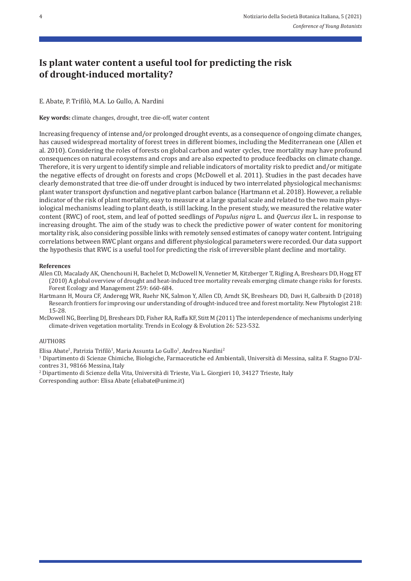# **Is plant water content a useful tool for predicting the risk of drought‑induced mortality?**

E. Abate, P. Trifilò, M.A. Lo Gullo, A. Nardini

**Key words:** climate changes, drought, tree die‐off, water content

Increasing frequency of intense and/or prolonged drought events, as a consequence of ongoing climate changes, has caused widespread mortality of forest trees in different biomes, including the Mediterranean one (Allen et al. 2010). Considering the roles of forests on global carbon and water cycles, tree mortality may have profound consequences on natural ecosystems and crops and are also expected to produce feedbacks on climate change. Therefore, it is very urgent to identify simple and reliable indicators of mortality risk to predict and/or mitigate the negative effects of drought on forests and crops (McDowell et al. 2011). Studies in the past decades have clearly demonstrated that tree die‐off under drought is induced by two interrelated physiological mechanisms: plant water transport dysfunction and negative plant carbon balance (Hartmann et al. 2018). However, a reliable indicator of the risk of plant mortality, easy to measure at a large spatial scale and related to the two main physiological mechanisms leading to plant death, is still lacking. In the present study, we measured the relative water content (RWC) of root, stem, and leaf of potted seedlings of *Populus nigra* L. and *Quercus ilex* L. in response to increasing drought. The aim of the study was to check the predictive power of water content for monitoring mortality risk, also considering possible links with remotely sensed estimates of canopy water content. Intriguing correlations between RWC plant organs and different physiological parameters were recorded. Our data support the hypothesis that RWC is a useful tool for predicting the risk of irreversible plant decline and mortality.

#### **References**

- Allen CD, Macalady AK, Chenchouni H, Bachelet D, McDowell N, Vennetier M, Kitzberger T, Rigling A, Breshears DD, Hogg ET (2010) A global overview of drought and heat-induced tree mortality reveals emerging climate change risks for forests. Forest Ecology and Management 259: 660‐684.
- Hartmann H, Moura CF, Anderegg WR, Ruehr NK, Salmon Y, Allen CD, Arndt SK, Breshears DD, Davi H, Galbraith D (2018) Research frontiers for improving our understanding of drought-induced tree and forest mortality. New Phytologist 218: 15‐28.
- McDowell NG, Beerling DJ, Breshears DD, Fisher RA, Raffa KF, Stitt M (2011) The interdependence of mechanisms underlying climate‐driven vegetation mortality. Trends in Ecology & Evolution 26: 523‐532.

#### **AUTHORS**

Elisa Abate<sup>1</sup>, Patrizia Trifilò<sup>1</sup>, Maria Assunta Lo Gullo<sup>1</sup>, Andrea Nardini<sup>2</sup>

1 Dipartimento di Scienze Chimiche, Biologiche, Farmaceutiche ed Ambientali, Università di Messina, salita F. Stagno D'Al‐ contres 31, 98166 Messina, Italy

2 Dipartimento di Scienze della Vita, Università di Trieste, Via L. Giorgieri 10, 34127 Trieste, Italy

Corresponding author: Elisa Abate (eliabate@unime.it)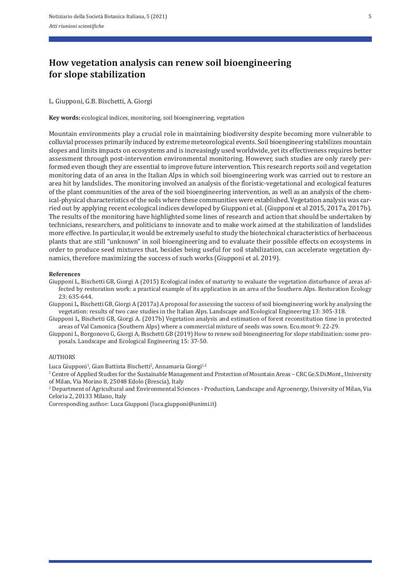# **How vegetation analysis can renew soil bioengineering for slope stabilization**

### L. Giupponi, G.B. Bischetti, A. Giorgi

**Key words:** ecological indices, monitoring, soil bioengineering, vegetation

Mountain environments play a crucial role in maintaining biodiversity despite becoming more vulnerable to colluvial processes primarily induced by extreme meteorological events. Soil bioengineering stabilizes mountain slopes and limits impacts on ecosystems and is increasingly used worldwide, yet its effectiveness requires better assessment through post-intervention environmental monitoring. However, such studies are only rarely performed even though they are essential to improve future intervention. This research reports soil and vegetation monitoring data of an area in the Italian Alps in which soil bioengineering work was carried out to restore an area hit by landslides. The monitoring involved an analysis of the floristic-vegetational and ecological features of the plant communities of the area of the soil bioengineering intervention, as well as an analysis of the chem‐ ical-physical characteristics of the soils where these communities were established. Vegetation analysis was carried out by applying recent ecological indices developed by Giupponi et al. (Giupponi et al 2015, 2017a, 2017b). The results of the monitoring have highlighted some lines of research and action that should be undertaken by technicians, researchers, and politicians to innovate and to make work aimed at the stabilization of landslides more effective. In particular, it would be extremely useful to study the biotechnical characteristics of herbaceous plants that are still "unknown" in soil bioengineering and to evaluate their possible effects on ecosystems in order to produce seed mixtures that, besides being useful for soil stabilization, can accelerate vegetation dy‐ namics, therefore maximizing the success of such works (Giupponi et al. 2019).

#### **References**

- Giupponi L, Bischetti GB, Giorgi A (2015) Ecological index of maturity to evaluate the vegetation disturbance of areas af‐ fected by restoration work: a practical example of its application in an area of the Southern Alps. Restoration Ecology 23: 635‐644.
- Giupponi L, Bischetti GB, Giorgi A (2017a) A proposal for assessing the success of soil bioengineering work by analysing the vegetation: results of two case studies in the Italian Alps. Landscape and Ecological Engineering 13: 305‐318.
- Giupponi L, Bischetti GB, Giorgi A. (2017b) Vegetation analysis and estimation of forest reconstitution time in protected areas of Val Camonica (Southern Alps) where a commercial mixture of seeds was sown. Eco.mont 9: 22‐29.
- Giupponi L, Borgonovo G, Giorgi A, Bischetti GB (2019) How to renew soil bioengineering for slope stabilization: some pro‐ posals. Landscape and Ecological Engineering 15: 37‐50.

#### **AUTHORS**

Luca Giupponi<sup>1</sup>, Gian Battista Bischetti<sup>2</sup>, Annamaria Giorgi<sup>1,2</sup>

<sup>1</sup> Centre of Applied Studies for the Sustainable Management and Protection of Mountain Areas - CRC Ge.S.Di.Mont., University of Milan, Via Morino 8, 25048 Edolo (Brescia), Italy

2 Department of Agricultural and Environmental Sciences ‐ Production, Landscape and Agroenergy, University of Milan, Via Celoria 2, 20133 Milano, Italy

Corresponding author: Luca Giupponi (luca.giupponi@unimi.it)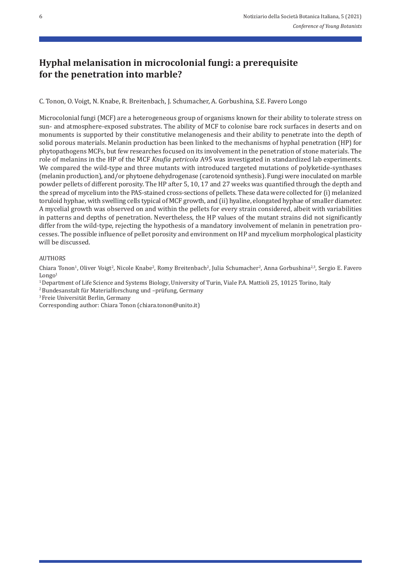# **Hyphal melanisation in microcolonial fungi: a prerequisite for the penetration into marble?**

C. Tonon, O. Voigt, N. Knabe, R. Breitenbach, J. Schumacher, A. Gorbushina, S.E. Favero Longo

Microcolonial fungi (MCF) are a heterogeneous group of organisms known for their ability to tolerate stress on sun- and atmosphere-exposed substrates. The ability of MCF to colonise bare rock surfaces in deserts and on monuments is supported by their constitutive melanogenesis and their ability to penetrate into the depth of solid porous materials. Melanin production has been linked to the mechanisms of hyphal penetration (HP) for phytopathogens MCFs, but few researches focused on its involvement in the penetration of stone materials. The role of melanins in the HP of the MCF *Knufia petricola* A95 was investigated in standardized lab experiments. We compared the wild-type and three mutants with introduced targeted mutations of polyketide-synthases (melanin production), and/or phytoene dehydrogenase (carotenoid synthesis). Fungi were inoculated on marble powder pellets of different porosity. The HP after 5, 10, 17 and 27 weeks was quantified through the depth and the spread of mycelium into the PAS‐stained cross‐sections of pellets. These data were collected for (i) melanized toruloid hyphae, with swelling cells typical of MCF growth, and (ii) hyaline, elongated hyphae of smaller diameter. A mycelial growth was observed on and within the pellets for every strain considered, albeit with variabilities in patterns and depths of penetration. Nevertheless, the HP values of the mutant strains did not significantly differ from the wild-type, rejecting the hypothesis of a mandatory involvement of melanin in penetration processes. The possible influence of pellet porosity and environment on HP and mycelium morphological plasticity will be discussed.

### AUTHORS

Chiara Tonon<sup>1</sup>, Oliver Voigt<sup>2</sup>, Nicole Knabe<sup>2</sup>, Romy Breitenbach<sup>2</sup>, Julia Schumacher<sup>2</sup>, Anna Gorbushina<sup>2,3</sup>, Sergio E. Favero  $Longo<sup>1</sup>$ 

<sup>1</sup> Department of Life Science and Systems Biology, University of Turin, Viale P.A. Mattioli 25, 10125 Torino, Italy

2 Bundesanstalt für Materialforschung und –prüfung, Germany

3 Freie Universität Berlin, Germany

Corresponding author: Chiara Tonon (chiara.tonon@unito.it)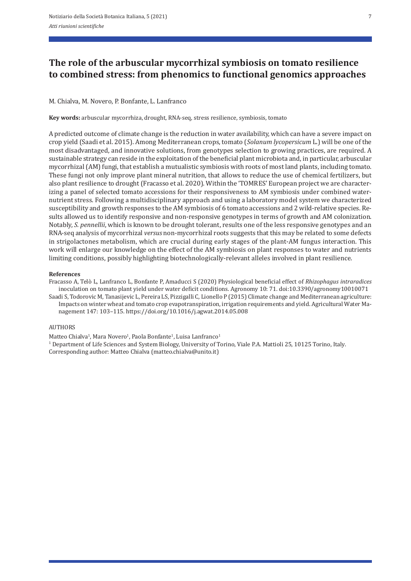# **The role of the arbuscular mycorrhizal symbiosis on tomato resilience to combined stress: from phenomics to functional genomics approaches**

## M. Chialva, M. Novero, P. Bonfante, L. Lanfranco

**Key words:** arbuscular mycorrhiza, drought, RNA‐seq, stress resilience, symbiosis, tomato

A predicted outcome of climate change is the reduction in water availability, which can have a severe impact on crop yield (Saadi et al. 2015). Among Mediterranean crops, tomato (*Solanum lycopersicum* L.) will be one of the most disadvantaged, and innovative solutions, from genotypes selection to growing practices, are required. A sustainable strategy can reside in the exploitation of the beneficial plant microbiota and, in particular, arbuscular mycorrhizal (AM) fungi, that establish a mutualistic symbiosis with roots of most land plants, including tomato. These fungi not only improve plant mineral nutrition, that allows to reduce the use of chemical fertilizers, but also plant resilience to drought (Fracasso et al. 2020). Within the 'TOMRES' European project we are character‐ izing a panel of selected tomato accessions for their responsiveness to AM symbiosis under combined water‐ nutrient stress. Following a multidisciplinary approach and using a laboratory model system we characterized susceptibility and growth responses to the AM symbiosis of 6 tomato accessions and 2 wild-relative species. Results allowed us to identify responsive and non-responsive genotypes in terms of growth and AM colonization. Notably, *S. pennellii*, which is known to be drought tolerant, results one of the less responsive genotypes and an RNA‐seq analysis of mycorrhizal *versus* non‐mycorrhizal roots suggests that this may be related to some defects in strigolactones metabolism, which are crucial during early stages of the plant-AM fungus interaction. This work will enlarge our knowledge on the effect of the AM symbiosis on plant responses to water and nutrients limiting conditions, possibly highlighting biotechnologically‐relevant alleles involved in plant resilience.

### **References**

Fracasso A, Telò L, Lanfranco L, Bonfante P, Amaducci S (2020) Physiological beneficial effect of *Rhizophagus intraradices* inoculation on tomato plant yield under water deficit conditions. Agronomy 10: 71. doi:10.3390/agronomy10010071 Saadi S, Todorovic M, Tanasijevic L, Pereira LS, Pizzigalli C, Lionello P (2015) Climate change and Mediterranean agriculture: Impacts on winter wheat and tomato crop evapotranspiration, irrigation requirements and yield. Agricultural Water Management 147: 103–115. https://doi.org/10.1016/j.agwat.2014.05.008

### AUTHORS

Matteo Chialva<sup>1</sup>, Mara Novero<sup>1</sup>, Paola Bonfante<sup>1</sup>, Luisa Lanfranco<sup>1</sup>

1 Department of Life Sciences and System Biology, University of Torino, Viale P.A. Mattioli 25, 10125 Torino, Italy. Corresponding author: Matteo Chialva (matteo.chialva@unito.it)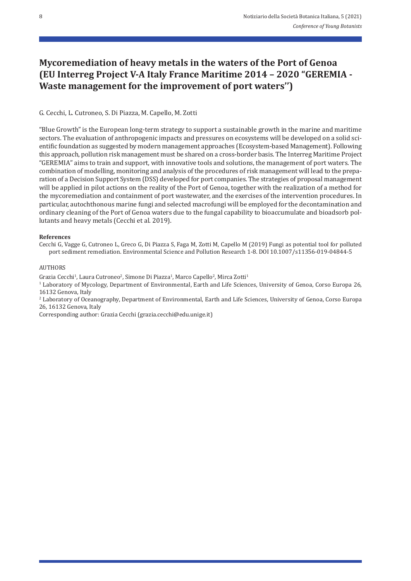# **Mycoremediation of heavy metals in the waters of the Port of Genoa (EU Interreg Project V‑A Italy France Maritime 2014 – 2020 "GEREMIA ‑ Waste management for the improvement of port waters'')**

G. Cecchi, L. Cutroneo, S. Di Piazza, M. Capello, M. Zotti

"Blue Growth" is the European long‐term strategy to support a sustainable growth in the marine and maritime sectors. The evaluation of anthropogenic impacts and pressures on ecosystems will be developed on a solid scientific foundation as suggested by modern management approaches (Ecosystem‐based Management). Following this approach, pollution risk management must be shared on a cross‐border basis. The Interreg Maritime Project "GEREMIA" aims to train and support, with innovative tools and solutions, the management of port waters. The combination of modelling, monitoring and analysis of the procedures of risk management will lead to the preparation of a Decision Support System (DSS) developed for port companies. The strategies of proposal management will be applied in pilot actions on the reality of the Port of Genoa, together with the realization of a method for the mycoremediation and containment of port wastewater, and the exercises of the intervention procedures. In particular, autochthonous marine fungi and selected macrofungi will be employed for the decontamination and ordinary cleaning of the Port of Genoa waters due to the fungal capability to bioaccumulate and bioadsorb pol‐ lutants and heavy metals (Cecchi et al. 2019).

### **References**

Cecchi G, Vagge G, Cutroneo L, Greco G, Di Piazza S, Faga M, Zotti M, Capello M (2019) Fungi as potential tool for polluted port sediment remediation. Environmental Science and Pollution Research 1‐8. DOI 10.1007/s11356‐019‐04844‐5

#### AUTHORS

Grazia Cecchi<sup>1</sup>, Laura Cutroneo<sup>2</sup>, Simone Di Piazza<sup>1</sup>, Marco Capello<sup>2</sup>, Mirca Zotti<sup>1</sup>

<sup>1</sup> Laboratory of Mycology, Department of Environmental, Earth and Life Sciences, University of Genoa, Corso Europa 26, 16132 Genova, Italy

2 Laboratory of Oceanography, Department of Environmental, Earth and Life Sciences, University of Genoa, Corso Europa 26, 16132 Genova, Italy

Corresponding author: Grazia Cecchi (grazia.cecchi@edu.unige.it)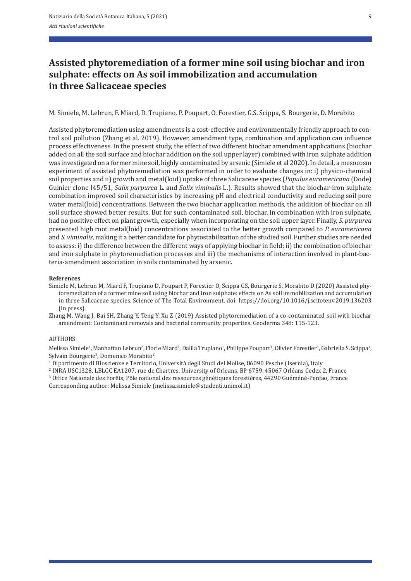# **Assisted phytoremediation of a former mine soil using biochar and iron sulphate: effects on As soil immobilization and accumulation in three Salicaceae species**

M. Simiele, M. Lebrun, F. Miard, D. Trupiano, P. Poupart, O. Forestier, G.S. Scippa, S. Bourgerie, D. Morabito

Assisted phytoremediation using amendments is a cost-effective and environmentally friendly approach to control soil pollution (Zhang et al. 2019). However, amendment type, combination and application can influence process effectiveness. In the present study, the effect of two different biochar amendment applications (biochar added on all the soil surface and biochar addition on the soil upper layer) combined with iron sulphate addition was investigated on a former mine soil, highly contaminated by arsenic (Simiele et al 2020). In detail, a mesocosm experiment of assisted phytoremediation was performed in order to evaluate changes in: i) physico-chemical soil properties and ii) growth and metal(loid) uptake of three Salicaceae species (*Populus euramericana* (Dode) Guinier clone I45/51, *Salix purpurea* L. and *Salix viminalis* L.). Results showed that the biochar‐iron sulphate combination improved soil characteristics by increasing pH and electrical conductivity and reducing soil pore water metal(loid) concentrations. Between the two biochar application methods, the addition of biochar on all soil surface showed better results. But for such contaminated soil, biochar, in combination with iron sulphate, had no positive effect on plant growth, especially when incorporating on the soil upper layer. Finally, *S. purpurea* presented high root metal(loid) concentrations associated to the better growth compared to *P. euramericana* and *S. viminalis*, making it a better candidate for phytostabilization of the studied soil. Further studies are needed to assess: i) the difference between the different ways of applying biochar in field; ii) the combination of biochar and iron sulphate in phytoremediation processes and iii) the mechanisms of interaction involved in plant-bacteria‐amendment association in soils contaminated by arsenic.

#### **References**

Simiele M, Lebrun M, Miard F, Trupiano D, Poupart P, Forestier O, Scippa GS, Bourgerie S, Morabito D (2020) Assisted phy‐ toremediation of a former mine soil using biochar and iron sulphate: effects on As soil immobilization and accumulation in three Salicaceae species. Science of The Total Environment. doi: https://doi.org/10.1016/j.scitotenv.2019.136203 (in press).

Zhang M, Wang J, Bai SH, Zhang Y, Teng Y, Xu Z (2019) Assisted phytoremediation of a co-contaminated soil with biochar amendment: Contaminant removals and bacterial community properties. Geoderma 348: 115‐123.

#### **AUTHORS**

Melissa Simiele<sup>1</sup>, Manhattan Lebrun<sup>2</sup>, Florie Miard<sup>2</sup>, Dalila Trupiano<sup>1</sup>, Philippe Poupart<sup>3</sup>, Olivier Forestier<sup>3</sup>, Gabriella S. Scippa<sup>1</sup>, Sylvain Bourgerie<sup>2</sup>, Domenico Morabito<sup>2</sup>

1 Dipartimento di Bioscienze e Territorio, Università degli Studi del Molise, 86090 Pesche (Isernia), Italy

2 INRA USC1328, LBLGC EA1207, rue de Chartres, University of Orleans, BP 6759, 45067 Orléans Cedex 2, France 3 Office Nationale des Forêts, Pôle national des ressources génétiques forestières, 44290 Guéméné‐Penfao, France

Corresponding author: Melissa Simiele (melissa.simiele@studenti.unimol.it)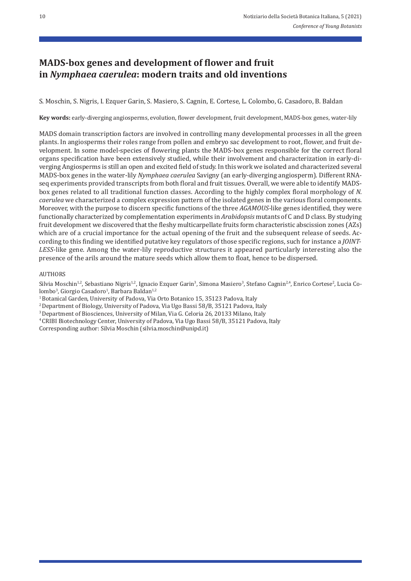# **MADS‑box genes and development of flower and fruit in** *Nymphaea caerulea***: modern traits and old inventions**

S. Moschin, S. Nigris, I. Ezquer Garin, S. Masiero, S. Cagnin, E. Cortese, L. Colombo, G. Casadoro, B. Baldan

**Key words:** early‐diverging angiosperms, evolution, flower development, fruit development, MADS‐box genes, water‐lily

MADS domain transcription factors are involved in controlling many developmental processes in all the green plants. In angiosperms their roles range from pollen and embryo sac development to root, flower, and fruit de‐ velopment. In some model‐species of flowering plants the MADS‐box genes responsible for the correct floral organs specification have been extensively studied, while their involvement and characterization in early‐di‐ verging Angiosperms is still an open and excited field of study. In this work we isolated and characterized several MADS‐box genes in the water‐lily *Nymphaea caerulea* Savigny (an early‐diverging angiosperm). Different RNA‐ seq experiments provided transcripts from both floral and fruit tissues. Overall, we were able to identify MADS‐ box genes related to all traditional function classes. According to the highly complex floral morphology of *N. caerulea* we characterized a complex expression pattern of the isolated genes in the various floral components. Moreover, with the purpose to discern specific functions of the three *AGAMOUS‑*like genes identified, they were functionally characterized by complementation experiments in *Arabidopsis* mutants of C and D class. By studying fruit development we discovered that the fleshy multicarpellate fruits form characteristic abscission zones (AZs) which are of a crucial importance for the actual opening of the fruit and the subsequent release of seeds. According to this finding we identified putative key regulators of those specific regions, such for instance a *JOINT‑ LESS‑*like gene. Among the water‐lily reproductive structures it appeared particularly interesting also the presence of the arils around the mature seeds which allow them to float, hence to be dispersed.

#### AUTHORS

Silvia Moschin<sup>1,2</sup>, Sebastiano Nigris<sup>1,2</sup>, Ignacio Ezquer Garin<sup>3</sup>, Simona Masiero<sup>3</sup>, Stefano Cagnin<sup>2,4</sup>, Enrico Cortese<sup>2</sup>, Lucia Colombo<sup>3</sup>, Giorgio Casadoro<sup>1</sup>, Barbara Baldan<sup>1,2</sup>

<sup>1</sup> Botanical Garden, University of Padova, Via Orto Botanico 15, 35123 Padova, Italy

<sup>2</sup> Department of Biology, University of Padova, Via Ugo Bassi 58/B, 35121 Padova. Italv

3 Department of Biosciences, University of Milan, Via G. Celoria 26, 20133 Milano, Italy

4 CRIBI Biotechnology Center, University of Padova, Via Ugo Bassi 58/B, 35121 Padova, Italy Corresponding author: Silvia Moschin (silvia.moschin@unipd.it)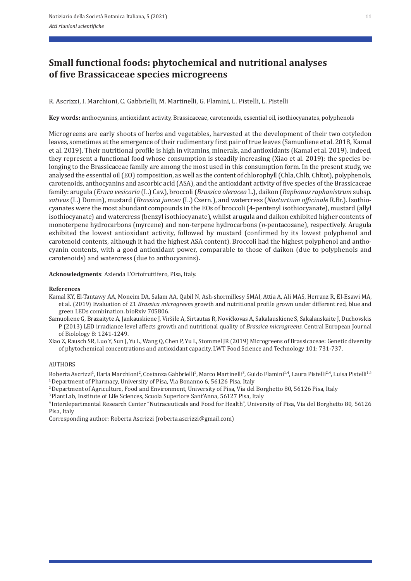# **Small functional foods: phytochemical and nutritional analyses of five Brassicaceae species microgreens**

R. Ascrizzi, I. Marchioni, C. Gabbrielli, M. Martinelli, G. Flamini, L. Pistelli, L. Pistelli

**Key words: a**nthocyanins, antioxidant activity, Brassicaceae, carotenoids, essential oil, isothiocyanates, polyphenols

Microgreens are early shoots of herbs and vegetables, harvested at the development of their two cotyledon leaves, sometimes at the emergence of their rudimentary first pair of true leaves (Samuoliene et al. 2018, Kamal et al. 2019). Their nutritional profile is high in vitamins, minerals, and antioxidants (Kamal et al. 2019). Indeed, they represent a functional food whose consumption is steadily increasing (Xiao et al. 2019): the species be‐ longing to the Brassicaceae family are among the most used in this consumption form. In the present study, we analysed the essential oil (EO) composition, as well as the content of chlorophyll (Chla, Chlb, Chltot), polyphenols, carotenoids, anthocyanins and ascorbic acid (ASA), and the antioxidant activity of five species of the Brassicaceae family: arugula (*Eruca vesicaria* (L.) Cav.), broccoli (*Brassica oleracea* L.), daikon (*Raphanus raphanistrum* subsp. *sativus* (L.) Domin), mustard (*Brassica juncea* (L.) Czern.), and watercress (*Nasturtium officinale* R.Br.). Isothio‐ cyanates were the most abundant compounds in the EOs of broccoli (4‐pentenyl isothiocyanate), mustard (allyl isothiocyanate) and watercress (benzyl isothiocyanate), whilst arugula and daikon exhibited higher contents of monoterpene hydrocarbons (myrcene) and non-terpene hydrocarbons (*n*-pentacosane), respectively. Arugula exhibited the lowest antioxidant activity, followed by mustard (confirmed by its lowest polyphenol and carotenoid contents, although it had the highest ASA content). Broccoli had the highest polyphenol and antho‐ cyanin contents, with a good antioxidant power, comparable to those of daikon (due to polyphenols and carotenoids) and watercress (due to anthocyanins)**.** 

#### **Acknowledgments**: Azienda L'Ortofruttifero, Pisa, Italy.

#### **References**

- Kamal KY, El‐Tantawy AA, Moneim DA, Salam AA, Qabil N, Ash‐shormillesy SMAI, Attia A, Ali MAS, Herranz R, El‐Esawi MA, et al. (2019) Evaluation of 21 *Brassica microgreens* growth and nutritional profile grown under different red, blue and green LEDs combination. bioRxiv 705806.
- Samuoliene G, Brazaityte A, Jankauskiene J, Viršile A, Sirtautas R, Novičkovas A, Sakalauskiene S, Sakalauskaite J, Duchovskis P (2013) LED irradiance level affects growth and nutritional quality of *Brassica microgreens*. Central European Journal of Biolology 8: 1241‐1249.

Xiao Z, Rausch SR, Luo Y, Sun J, Yu L, Wang Q, Chen P, Yu L, Stommel JR (2019) Microgreens of Brassicaceae: Genetic diversity of phytochemical concentrations and antioxidant capacity. LWT Food Science and Technology 101: 731‐737.

#### AUTHORS

Roberta Ascrizzi<sup>1</sup>, Ilaria Marchioni<sup>2</sup>, Costanza Gabbrielli<sup>1</sup>, Marco Martinelli<sup>3</sup>, Guido Flamini<sup>1,4</sup>, Laura Pistelli<sup>2,4</sup>, Luisa Pistelli<sup>1,4</sup> <sup>1</sup> Department of Pharmacy, University of Pisa, Via Bonanno 6, 56126 Pisa, Italy

2 Department of Agriculture, Food and Environment, University of Pisa, Via del Borghetto 80, 56126 Pisa, Italy

3 PlantLab, Institute of Life Sciences, Scuola Superiore Sant'Anna, 56127 Pisa, Italy

4 Interdepartmental Research Center "Nutraceuticals and Food for Health", University of Pisa, Via del Borghetto 80, 56126 Pisa, Italy

Corresponding author: Roberta Ascrizzi (roberta.ascrizzi@gmail.com)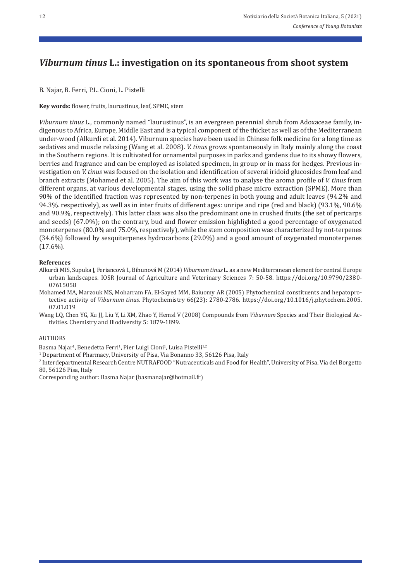# *Viburnum tinus* **L.: investigation on its spontaneous from shoot system**

B. Najar, B. Ferri, P.L. Cioni, L. Pistelli

**Key words:** flower, fruits, laurustinus, leaf, SPME, stem

*Viburnum tinus* L., commonly named "laurustinus", is an evergreen perennial shrub from Adoxaceae family, in‐ digenous to Africa, Europe, Middle East and is a typical component of the thicket as well as of the Mediterranean under‐wood (Alkurdi et al. 2014). Viburnum species have been used in Chinese folk medicine for a long time as sedatives and muscle relaxing (Wang et al. 2008). *V. tinus* grows spontaneously in Italy mainly along the coast in the Southern regions. It is cultivated for ornamental purposes in parks and gardens due to its showy flowers, berries and fragrance and can be employed as isolated specimen, in group or in mass for hedges. Previous in‐ vestigation on *V. tinus* was focused on the isolation and identification of several iridoid glucosides from leaf and branch extracts (Mohamed et al. 2005). The aim of this work was to analyse the aroma profile of *V. tinus* from different organs, at various developmental stages, using the solid phase micro extraction (SPME). More than 90% of the identified fraction was represented by non-terpenes in both young and adult leaves (94.2% and 94.3%. respectively), as well as in inter fruits of different ages: unripe and ripe (red and black) (93.1%, 90.6% and 90.9%, respectively). This latter class was also the predominant one in crushed fruits (the set of pericarps and seeds) (67.0%); on the contrary, bud and flower emission highlighted a good percentage of oxygenated monoterpenes (80.0% and 75.0%, respectively), while the stem composition was characterized by not-terpenes (34.6%) followed by sesquiterpenes hydrocarbons (29.0%) and a good amount of oxygenated monoterpenes (17.6%).

### **References**

- Alkurdi MIS, Supuka J, Feriancová L, Bihunová M (2014) *Viburnum tinus* L. as a new Mediterranean element for central Europe urban landscapes. IOSR Journal of Agriculture and Veterinary Sciences 7: 50‐58. https://doi.org/10.9790/2380‐ 07615058
- Mohamed MA, Marzouk MS, Moharram FA, El‐Sayed MM, Baiuomy AR (2005) Phytochemical constituents and hepatopro‐ tective activity of *Viburnum tinus*. Phytochemistry 66(23): 2780‐2786. https://doi.org/10.1016/j.phytochem.2005. 07.01.019
- Wang LQ, Chen YG, Xu JJ, Liu Y, Li XM, Zhao Y, Hemsl V (2008) Compounds from *Viburnum* Species and Their Biological Ac‐ tivities. Chemistry and Biodiversity 5: 1879‐1899.

#### AUTHORS

Basma Najar<sup>1</sup>, Benedetta Ferri<sup>1</sup>, Pier Luigi Cioni<sup>1</sup>, Luisa Pistelli<sup>1,2</sup>

<sup>1</sup> Department of Pharmacy, University of Pisa, Via Bonanno 33, 56126 Pisa, Italy

2 Interdepartmental Research Centre NUTRAFOOD "Nutraceuticals and Food for Health", University of Pisa, Via del Borgetto 80, 56126 Pisa, Italy

Corresponding author: Basma Najar (basmanajar@hotmail.fr)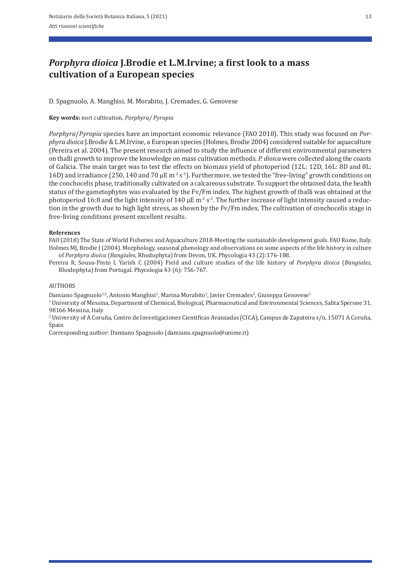# *Porphyra dioica* **J.Brodie et L.M.Irvine; a first look to a mass cultivation of a European species**

D. Spagnuolo, A. Manghisi, M. Morabito, J. Cremades, G. Genovese

### **Key words:** nori cultivation, *Porphyra/ Pyropia*

*Porphyra*/*Pyropia* species have an important economic relevance (FAO 2018). This study was focused on *Por‑ phyra dioica* J.Brodie & L.M.Irvine, a European species (Holmes, Brodie 2004) considered suitable for aquaculture (Pereira et al. 2004). The present research aimed to study the influence of different environmental parameters on thalli growth to improve the knowledge on mass cultivation methods. *P. dioica* were collected along the coasts of Galicia. The main target was to test the effects on biomass yield of photoperiod (12L: 12D, 16L: 8D and 8L: 16D) and irradiance (250, 140 and 70  $\mu$ E m<sup>-2</sup> s<sup>-1</sup>). Furthermore, we tested the "free-living" growth conditions on the conchocelis phase, traditionally cultivated on a calcareous substrate. To support the obtained data, the health status of the gametophytes was evaluated by the Fv/Fm index. The highest growth of thalli was obtained at the photoperiod 16:8 and the light intensity of 140  $\mu$ E m<sup>-2</sup> s<sup>-1</sup>. The further increase of light intensity caused a reduction in the growth due to high light stress, as shown by the Fv/Fm index. The cultivation of conchocelis stage in free‐living conditions present excellent results.

#### **References**

FAO (2018) The State of World Fisheries and Aquaculture 2018‐Meeting the sustainable development goals. FAO Rome, Italy. Holmes MJ, Brodie J (2004). Morphology, seasonal phenology and observations on some aspects of the life history in culture of *Porphyra dioica* (*Bangiales*, Rhodophyta) from Devon, UK. Phycologia 43 (2):176‐188.

Pereira R, Sousa‐Pinto I, Yarish C (2004) Field and culture studies of the life history of *Porphyra dioica* (*Bangiales*, Rhodophyta) from Portugal. Phycologia 43 (6): 756‐767.

#### AUTHORS

Damiano Spagnuolo<sup>1,2</sup>, Antonio Manghisi<sup>1</sup>, Marina Morabito<sup>1</sup>, Javier Cremades<sup>2</sup>, Giuseppa Genovese<sup>1</sup>

1 University of Messina, Department of Chemical, Biological, Pharmaceutical and Environmental Sciences, Salita Sperone 31, 98166 Messina, Italy

2 University of A Coruña, Centro de Investigaciones Cientificas Avanzadas (CICA), Campus de Zapateira s/n, 15071 A Coruña, Spain

Corresponding author: Damiano Spagnuolo (damiano.spagnuolo@unime.it)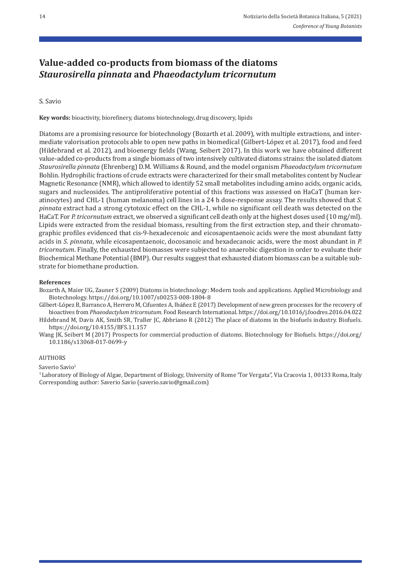# **Value‑added co‑products from biomass of the diatoms**  *Staurosirella pinnata* **and** *Phaeodactylum tricornutum*

# S. Savio

**Key words:** bioactivity, biorefinery, diatoms biotechnology, drug discovery, lipids

Diatoms are a promising resource for biotechnology (Bozarth et al. 2009), with multiple extractions, and inter‐ mediate valorisation protocols able to open new paths in biomedical (Gilbert‐López et al. 2017), food and feed (Hildebrand et al. 2012), and bioenergy fields (Wang, Seibert 2017). In this work we have obtained different value-added co-products from a single biomass of two intensively cultivated diatoms strains: the isolated diatom *Staurosirella pinnata* (Ehrenberg) D.M. Williams & Round, and the model organism *Phaeodactylum tricornutum* Bohlin. Hydrophilic fractions of crude extracts were characterized for their small metabolites content by Nuclear Magnetic Resonance (NMR), which allowed to identify 52 small metabolites including amino acids, organic acids, sugars and nucleosides. The antiproliferative potential of this fractions was assessed on HaCaT (human ker‐ atinocytes) and CHL‐1 (human melanoma) cell lines in a 24 h dose‐response assay. The results showed that *S. pinnata* extract had a strong cytotoxic effect on the CHL‐1, while no significant cell death was detected on the HaCaT. For *P. tricornutum* extract, we observed a significant cell death only at the highest doses used (10 mg/ml). Lipids were extracted from the residual biomass, resulting from the first extraction step, and their chromato‐ graphic profiles evidenced that cis‐9‐hexadecenoic and eicosapentaenoic acids were the most abundant fatty acids in *S. pinnata*, while eicosapentaenoic, docosanoic and hexadecanoic acids, were the most abundant in *P. tricornutum*. Finally, the exhausted biomasses were subjected to anaerobic digestion in order to evaluate their Biochemical Methane Potential (BMP). Our results suggest that exhausted diatom biomass can be a suitable sub‐ strate for biomethane production.

### **References**

Bozarth A, Maier UG, Zauner S (2009) Diatoms in biotechnology: Modern tools and applications*.* Applied Microbiology and Biotechnology. https://doi.org/10.1007/s00253‐008‐1804‐8

Gilbert‐López B, Barranco A, Herrero M, Cifuentes A, Ibáñez E (2017) Development of new green processes for the recovery of bioactives from *Phaeodactylum tricornutum*. Food Research International. https://doi.org/10.1016/j.foodres.2016.04.022 Hildebrand M, Davis AK, Smith SR, Traller JC, Abbriano R (2012) The place of diatoms in the biofuels industry. Biofuels.

https://doi.org/10.4155/BFS.11.157 Wang JK, Seibert M (2017) Prospects for commercial production of diatoms. Biotechnology for Biofuels. https://doi.org/ 10.1186/s13068‐017‐0699‐y

#### AUTHORS

Saverio Savio1

<sup>1</sup> Laboratory of Biology of Algae, Department of Biology, University of Rome 'Tor Vergata", Via Cracovia 1, 00133 Roma, Italy Corresponding author: Saverio Savio (saverio.savio@gmail.com)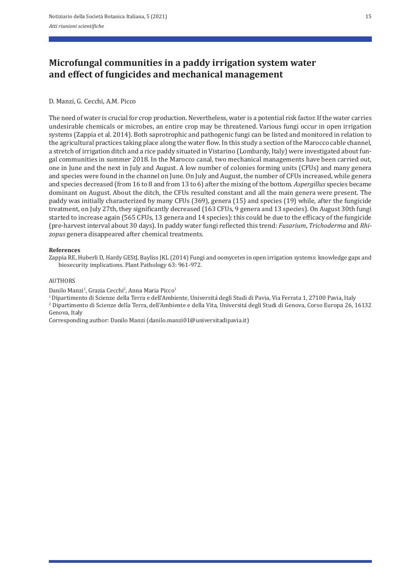# **Microfungal communities in a paddy irrigation system water and effect of fungicides and mechanical management**

### D. Manzi, G. Cecchi, A.M. Picco

The need of water is crucial for crop production. Nevertheless, water is a potential risk factor. If the water carries undesirable chemicals or microbes, an entire crop may be threatened. Various fungi occur in open irrigation systems (Zappia et al. 2014). Both saprotrophic and pathogenic fungi can be listed and monitored in relation to the agricultural practices taking place along the water flow. In this study a section of the Marocco cable channel, a stretch of irrigation ditch and a rice paddy situated in Vistarino (Lombardy, Italy) were investigated about fun‐ gal communities in summer 2018. In the Marocco canal, two mechanical managements have been carried out, one in June and the next in July and August. A low number of colonies forming units (CFUs) and many genera and species were found in the channel on June. On July and August, the number of CFUs increased, while genera and species decreased (from 16 to 8 and from 13 to 6) after the mixing of the bottom. *Aspergillus* species became dominant on August. About the ditch, the CFUs resulted constant and all the main genera were present. The paddy was initially characterized by many CFUs (369), genera (15) and species (19) while, after the fungicide treatment, on July 27th, they significantly decreased (163 CFUs, 9 genera and 13 species). On August 30th fungi started to increase again (565 CFUs, 13 genera and 14 species): this could be due to the efficacy of the fungicide (pre‐harvest interval about 30 days). In paddy water fungi reflected this trend: *Fusarium*, *Trichoderma* and *Rhi‑ zopus* genera disappeared after chemical treatments.

#### **References**

Zappia RE, Huberli D, Hardy GEStJ, Bayliss JKL (2014) Fungi and oomycetes in open irrigation systems: knowledge gaps and biosecurity implications. Plant Pathology 63: 961‐972.

### AUTHORS

Danilo Manzi<sup>1</sup>, Grazia Cecchi<sup>2</sup>, Anna Maria Picco<sup>1</sup>

<sup>1</sup> Dipartimento di Scienze della Terra e dell'Ambiente, Università degli Studi di Pavia, Via Ferrata 1, 27100 Pavia, Italy <sup>2</sup> Dipartimento di Scienze della Terra, dell'Ambiente e della Vita, Università degli Studi di Ge Genova, Italy

Corresponding author: Danilo Manzi (danilo.manzi01@universitadipavia.it)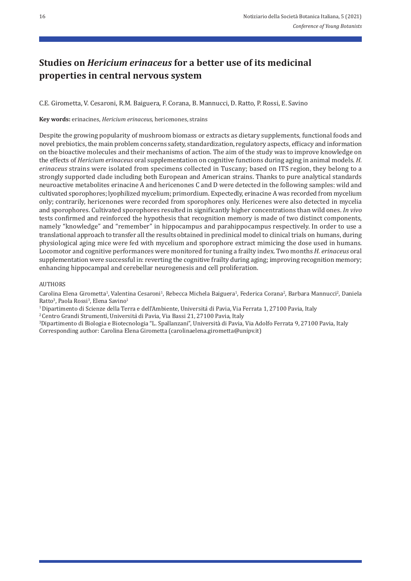# **Studies on** *Hericium erinaceus* **for a better use of its medicinal properties in central nervous system**

C.E. Girometta, V. Cesaroni, R.M. Baiguera, F. Corana, B. Mannucci, D. Ratto, P. Rossi, E. Savino

**Key words:** erinacines, *Hericium erinaceus,* hericenones, strains

Despite the growing popularity of mushroom biomass or extracts as dietary supplements, functional foods and novel prebiotics, the main problem concerns safety, standardization, regulatory aspects, efficacy and information on the bioactive molecules and their mechanisms of action. The aim of the study was to improve knowledge on the effects of *Hericium erinaceus* oral supplementation on cognitive functions during aging in animal models. *H. erinaceus* strains were isolated from specimens collected in Tuscany; based on ITS region, they belong to a strongly supported clade including both European and American strains. Thanks to pure analytical standards neuroactive metabolites erinacine A and hericenones C and D were detected in the following samples: wild and cultivated sporophores; lyophilized mycelium; primordium. Expectedly, erinacine A was recorded from mycelium only; contrarily, hericenones were recorded from sporophores only. Hericenes were also detected in mycelia and sporophores. Cultivated sporophores resulted in significantly higher concentrations than wild ones. *In vivo* tests confirmed and reinforced the hypothesis that recognition memory is made of two distinct components, namely "knowledge" and "remember" in hippocampus and parahippocampus respectively. In order to use a translational approach to transfer all the results obtained in preclinical model to clinical trials on humans, during physiological aging mice were fed with mycelium and sporophore extract mimicing the dose used in humans. Locomotor and cognitive performances were monitored for tuning a frailty index. Two months *H. erinaceus* oral supplementation were successful in: reverting the cognitive frailty during aging; improving recognition memory; enhancing hippocampal and cerebellar neurogenesis and cell proliferation.

## AUTHORS

Carolina Elena Girometta<sup>1</sup>, Valentina Cesaroni<sup>1</sup>, Rebecca Michela Baiguera<sup>1</sup>, Federica Corana<sup>2</sup>, Barbara Mannucci<sup>2</sup>, Daniela Ratto<sup>3</sup>, Paola Rossi<sup>3</sup>, Elena Savino<sup>1</sup>

<sup>1</sup> Dipartimento di Scienze della Terra e dell'Ambiente, Università di Pavia, Via Ferrata 1, 27100 Pavia, Italy<br><sup>2</sup> Centro Grandi Strumenti, Università di Pavia, Via Bassi 21, 27100 Pavia, Italy<br><sup>3</sup>Dipartimento di Biologia Corresponding author: Carolina Elena Girometta (carolinaelena.girometta@unipv.it)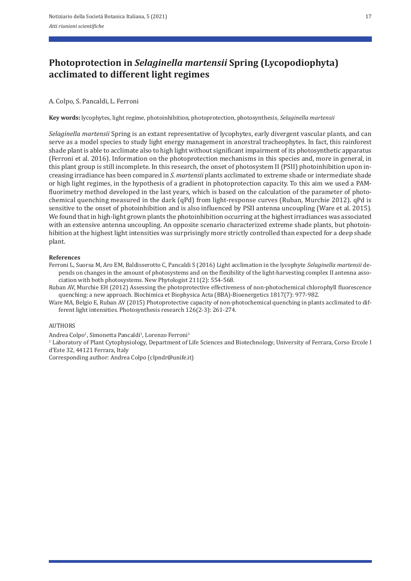# **Photoprotection in** *Selaginella martensii* **Spring (Lycopodiophyta) acclimated to different light regimes**

# A. Colpo, S. Pancaldi, L. Ferroni

**Key words:** lycophytes, light regime, photoinhibition, photoprotection, photosynthesis, *Selaginella martensii*

*Selaginella martensii* Spring is an extant representative of lycophytes, early divergent vascular plants, and can serve as a model species to study light energy management in ancestral tracheophytes. In fact, this rainforest shade plant is able to acclimate also to high light without significant impairment of its photosynthetic apparatus (Ferroni et al. 2016). Information on the photoprotection mechanisms in this species and, more in general, in this plant group is still incomplete. In this research, the onset of photosystem II (PSII) photoinhibition upon in‐ creasing irradiance has been compared in *S. martensii* plants acclimated to extreme shade or intermediate shade or high light regimes, in the hypothesis of a gradient in photoprotection capacity. To this aim we used a PAM‐ fluorimetry method developed in the last years, which is based on the calculation of the parameter of photochemical quenching measured in the dark (qPd) from light‐response curves (Ruban, Murchie 2012). qPd is sensitive to the onset of photoinhibition and is also influenced by PSII antenna uncoupling (Ware et al. 2015). We found that in high-light grown plants the photoinhibition occurring at the highest irradiances was associated with an extensive antenna uncoupling. An opposite scenario characterized extreme shade plants, but photoinhibition at the highest light intensities was surprisingly more strictly controlled than expected for a deep shade plant.

#### **References**

Ferroni L, Suorsa M, Aro EM, Baldisserotto C, Pancaldi S (2016) Light acclimation in the lycophyte *Selaginella martensii* de‐ pends on changes in the amount of photosystems and on the flexibility of the light-harvesting complex II antenna association with both photosystems. New Phytologist 211(2): 554‐568.

Ruban AV, Murchie EH (2012) Assessing the photoprotective effectiveness of non-photochemical chlorophyll fluorescence quenching: a new approach. Biochimica et Biophysica Acta (BBA)‐Bioenergetics 1817(7): 977‐982.

Ware MA, Belgio E, Ruban AV (2015) Photoprotective capacity of non-photochemical quenching in plants acclimated to different light intensities. Photosynthesis research 126(2‐3): 261‐274.

### AUTHORS

Andrea Colpo<sup>1</sup>, Simonetta Pancaldi<sup>1</sup>, Lorenzo Ferroni<sup>1</sup>

1 Laboratory of Plant Cytophysiology, Department of Life Sciences and Biotechnology, University of Ferrara, Corso Ercole I d'Este 32, 44121 Ferrara, Italy

Corresponding author: Andrea Colpo (clpndr@unife.it)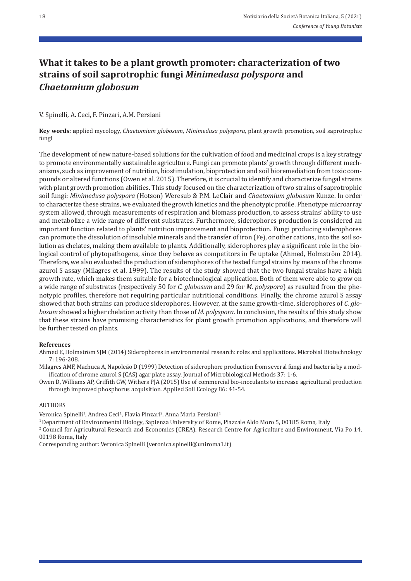# **What it takes to be a plant growth promoter: characterization of two strains of soil saprotrophic fungi** *Minimedusa polyspora* **and**  *Chaetomium globosum*

## V. Spinelli, A. Ceci, F. Pinzari, A.M. Persiani

**Key words: a**pplied mycology, *Chaetomium globosum*, *Minimedusa polyspora*, plant growth promotion, soil saprotrophic fungi

The development of new nature-based solutions for the cultivation of food and medicinal crops is a key strategy to promote environmentally sustainable agriculture. Fungi can promote plants' growth through different mechanisms, such as improvement of nutrition, biostimulation, bioprotection and soil bioremediation from toxic compounds or altered functions (Owen et al. 2015). Therefore, it is crucial to identify and characterize fungal strains with plant growth promotion abilities. This study focused on the characterization of two strains of saprotrophic soil fungi: *Minimedusa polyspora* (Hotson) Weresub & P.M. LeClair and *Chaetomium globosum* Kunze. In order to characterize these strains, we evaluated the growth kinetics and the phenotypic profile. Phenotype microarray system allowed, through measurements of respiration and biomass production, to assess strains' ability to use and metabolize a wide range of different substrates. Furthermore, siderophores production is considered an important function related to plants' nutrition improvement and bioprotection. Fungi producing siderophores can promote the dissolution of insoluble minerals and the transfer of iron (Fe), or other cations, into the soil solution as chelates, making them available to plants. Additionally, siderophores play a significant role in the biological control of phytopathogens, since they behave as competitors in Fe uptake (Ahmed, Holmström 2014). Therefore, we also evaluated the production of siderophores of the tested fungal strains by means of the chrome azurol S assay (Milagres et al. 1999). The results of the study showed that the two fungal strains have a high growth rate, which makes them suitable for a biotechnological application. Both of them were able to grow on a wide range of substrates (respectively 50 for *C. globosum* and 29 for *M. polyspora*) as resulted from the phe‐ notypic profiles, therefore not requiring particular nutritional conditions. Finally, the chrome azurol S assay showed that both strains can produce siderophores. However, at the same growth‐time, siderophores of *C. glo‑ bosum* showed a higher chelation activity than those of *M. polyspora*. In conclusion, the results of this study show that these strains have promising characteristics for plant growth promotion applications, and therefore will be further tested on plants.

### **References**

Ahmed E, Holmström SJM (2014) Siderophores in environmental research: roles and applications. Microbial Biotechnology 7: 196‐208.

Milagres AMF, Machuca A, Napoleão D (1999) Detection of siderophore production from several fungi and bacteria by a mod‐ ification of chrome azurol S (CAS) agar plate assay. Journal of Microbiological Methods 37: 1‐6.

Owen D, Williams AP, Griffith GW, Withers PJA (2015) Use of commercial bio‐inoculants to increase agricultural production through improved phosphorus acquisition. Applied Soil Ecology 86: 41‐54.

#### AUTHORS

Veronica Spinelli<sup>1</sup>, Andrea Ceci<sup>1</sup>, Flavia Pinzari<sup>2</sup>, Anna Maria Persiani<sup>1</sup>

1 Department of Environmental Biology, Sapienza University of Rome, Piazzale Aldo Moro 5, 00185 Roma, Italy

<sup>2</sup> Council for Agricultural Research and Economics (CREA), Research Centre for Agriculture and Environment, Via Po 14, 00198 Roma, Italy

Corresponding author: Veronica Spinelli (veronica.spinelli@uniroma1.it)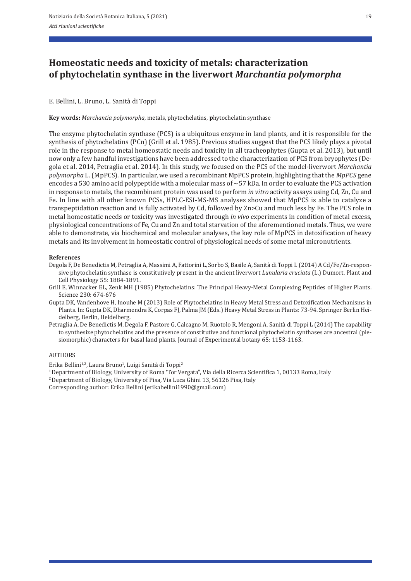# **Homeostatic needs and toxicity of metals: characterization of phytochelatin synthase in the liverwort** *Marchantia polymorpha*

## E. Bellini, L. Bruno, L. Sanità di Toppi

**Key words:** *Marchantia polymorpha*, metals, phytochelatins, **p**hytochelatin synthase

The enzyme phytochelatin synthase (PCS) is a ubiquitous enzyme in land plants, and it is responsible for the synthesis of phytochelatins (PCn) (Grill et al. 1985). Previous studies suggest that the PCS likely plays a pivotal role in the response to metal homeostatic needs and toxicity in all tracheophytes (Gupta et al. 2013), but until now only a few handful investigations have been addressed to the characterization of PCS from bryophytes (De‐ gola et al. 2014, Petraglia et al. 2014). In this study, we focused on the PCS of the model‐liverwort *Marchantia polymorpha* L. (MpPCS). In particular, we used a recombinant MpPCS protein, highlighting that the *MpPCS* gene encodes a 530 amino acid polypeptide with a molecular mass of ~57 kDa. In order to evaluate the PCS activation in response to metals, the recombinant protein was used to perform *in vitro* activity assays using Cd, Zn, Cu and Fe. In line with all other known PCSs, HPLC‐ESI‐MS‐MS analyses showed that MpPCS is able to catalyze a transpeptidation reaction and is fully activated by Cd, followed by Zn>Cu and much less by Fe. The PCS role in metal homeostatic needs or toxicity was investigated through *in vivo* experiments in condition of metal excess, physiological concentrations of Fe, Cu and Zn and total starvation of the aforementioned metals. Thus, we were able to demonstrate, via biochemical and molecular analyses, the key role of MpPCS in detoxification of heavy metals and its involvement in homeostatic control of physiological needs of some metal micronutrients.

#### **References**

- Degola F, De Benedictis M, Petraglia A, Massimi A, Fattorini L, Sorbo S, Basile A, Sanità di Toppi L (2014) A Cd/Fe/Zn-responsive phytochelatin synthase is constitutively present in the ancient liverwort *Lunularia cruciata* (L.) Dumort. Plant and Cell Physiology 55: 1884‐1891.
- Grill E, Winnacker EL, Zenk MH (1985) Phytochelatins: The Principal Heavy‐Metal Complexing Peptides of Higher Plants. Science 230: 674‐676
- Gupta DK, Vandenhove H, Inouhe M (2013) Role of Phytochelatins in Heavy Metal Stress and Detoxification Mechanisms in Plants. In: Gupta DK, Dharmendra K, Corpas FJ, Palma JM (Eds.) Heavy Metal Stress in Plants: 73‐94. Springer Berlin Hei‐ delberg, Berlin, Heidelberg.
- Petraglia A, De Benedictis M, Degola F, Pastore G, Calcagno M, Ruotolo R, Mengoni A, Sanità di Toppi L (2014) The capability to synthesize phytochelatins and the presence of constitutive and functional phytochelatin synthases are ancestral (ple‐ siomorphic) characters for basal land plants. Journal of Experimental botany 65: 1153‐1163.

### AUTHORS

Erika Bellini<sup>1,2</sup>, Laura Bruno<sup>1</sup>, Luigi Sanità di Toppi<sup>2</sup>

<sup>1</sup> Department of Biology, University of Roma 'Tor Vergata", Via della Ricerca Scientifica 1, 00133 Roma, Italy <sup>2</sup> Department of Biology, University of Pisa, Via Luca Ghini 13, 56126 Pisa, Italy

Corresponding author: Erika Bellini (erikabellini1990@gmail.com)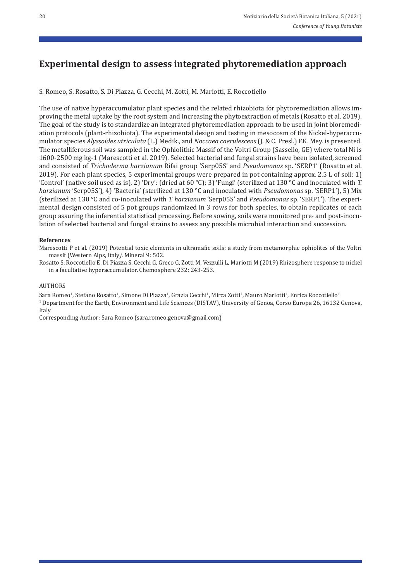# **Experimental design to assess integrated phytoremediation approach**

S. Romeo, S. Rosatto, S. Di Piazza, G. Cecchi, M. Zotti, M. Mariotti, E. Roccotiello

The use of native hyperaccumulator plant species and the related rhizobiota for phytoremediation allows im‐ proving the metal uptake by the root system and increasing the phytoextraction of metals (Rosatto et al. 2019). The goal of the study is to standardize an integrated phytoremediation approach to be used in joint bioremedi‐ ation protocols (plant-rhizobiota). The experimental design and testing in mesocosm of the Nickel-hyperaccumulator species *Alyssoides utriculata* (L.) Medik., and *Noccaea caerulescens* (J. & C. Presl.) F.K. Mey. is presented. The metalliferous soil was sampled in the Ophiolithic Massif of the Voltri Group (Sassello, GE) where total Ni is 1600‐2500 mg kg‐1 (Marescotti et al. 2019). Selected bacterial and fungal strains have been isolated, screened and consisted of *Trichoderma harzianum* Rifai group 'Serp05S' and *Pseudomonas* sp. 'SERP1' (Rosatto et al. 2019). For each plant species, 5 experimental groups were prepared in pot containing approx. 2.5 L of soil: 1) 'Control' (native soil used as is), 2) 'Dry': (dried at 60 °C); 3) 'Fungi' (sterilized at 130 °C and inoculated with *T. harzianum* 'Serp05S'), 4) 'Bacteria' (sterilized at 130 °C and inoculated with *Pseudomonas* sp. 'SERP1'), 5) Mix (sterilized at 130 °C and co‐inoculated with *T. harzianum* 'Serp05S' and *Pseudomonas* sp. 'SERP1'). The experi‐ mental design consisted of 5 pot groups randomized in 3 rows for both species, to obtain replicates of each group assuring the inferential statistical processing. Before sowing, soils were monitored pre- and post-inoculation of selected bacterial and fungal strains to assess any possible microbial interaction and succession.

#### **References**

Marescotti P et al. (2019) Potential toxic elements in ultramafic soils: a study from metamorphic ophiolites of the Voltri massif (Western Alps, Italy*)*. Mineral 9: 502.

Rosatto S, Roccotiello E, Di Piazza S, Cecchi G, Greco G, Zotti M, Vezzulli L, Mariotti M (2019) Rhizosphere response to nickel in a facultative hyperaccumulator. Chemosphere 232: 243‐253.

#### AUTHORS

Sara Romeo<sup>1</sup>, Stefano Rosatto<sup>1</sup>, Simone Di Piazza<sup>1</sup>, Grazia Cecchi<sup>1</sup>, Mirca Zotti<sup>1</sup>, Mauro Mariotti<sup>1</sup>, Enrica Roccotiello<sup>1</sup> 1 Department for the Earth, Environment and Life Sciences (DISTAV), University of Genoa, Corso Europa 26, 16132 Genova, Italy

Corresponding Author: Sara Romeo (sara.romeo.genova@gmail.com)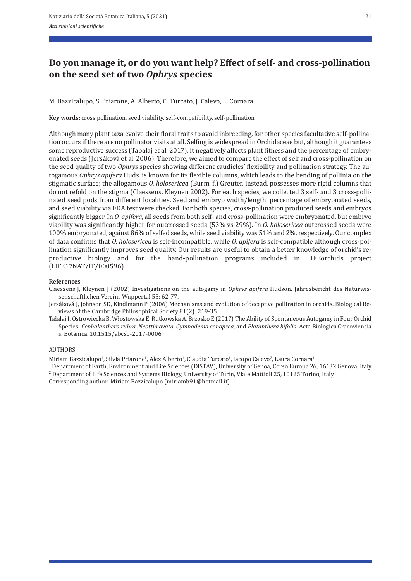# **Do you manage it, or do you want help? Effect of self‑ and cross‑pollination on the seed set of two** *Ophrys* **species**

M. Bazzicalupo, S. Priarone, A. Alberto, C. Turcato, J. Calevo, L. Cornara

**Key words:** cross pollination, seed viability, self‐compatibility, self‐pollination

Although many plant taxa evolve their floral traits to avoid inbreeding, for other species facultative self‐pollina‐ tion occurs if there are no pollinator visits at all. Selfing is widespread in Orchidaceae but, although it guarantees some reproductive success (Tabalaj et al. 2017), it negatively affects plant fitness and the percentage of embryonated seeds (Jersáková et al. 2006). Therefore, we aimed to compare the effect of self and cross‐pollination on the seed quality of two *Ophrys* species showing different caudicles' flexibility and pollination strategy. The autogamous *Ophrys apifera* Huds. is known for its flexible columns, which leads to the bending of pollinia on the stigmatic surface; the allogamous *O. holosericea* (Burm. f.) Greuter, instead, possesses more rigid columns that do not refold on the stigma (Claessens, Kleynen 2002). For each species, we collected 3 self- and 3 cross-pollinated seed pods from different localities. Seed and embryo width/length, percentage of embryonated seeds, and seed viability via FDA test were checked. For both species, cross‐pollination produced seeds and embryos significantly bigger. In *O. apifera*, all seeds from both self- and cross-pollination were embryonated, but embryo viability was significantly higher for outcrossed seeds (53% vs 29%). In *O. holosericea* outcrossed seeds were 100% embryonated, against 86% of selfed seeds, while seed viability was 51% and 2%, respectively. Our complex of data confirms that *O. holosericea* is self‐incompatible, while *O. apifera* is self‐compatible although cross‐pol‐ lination significantly improves seed quality. Our results are useful to obtain a better knowledge of orchid's reproductive biology and for the hand‐pollination programs included in LIFEorchids project (LIFE17NAT/IT/000596).

#### **References**

Claessens J, Kleynen J (2002) Investigations on the autogamy in *Ophrys apifera* Hudson. Jahresbericht des Naturwis‐ senschaftlichen Vereins Wuppertal 55: 62‐77.

Jersáková J, Johnson SD, Kindlmann P (2006) Mechanisms and evolution of deceptive pollination in orchids. Biological Re‐ views of the Cambridge Philosophical Society 81(2): 219‐35.

Tałałaj I, Ostrowiecka B, Włostowska E, Rutkowska A, Brzosko E (2017) The Ability of Spontaneous Autogamy in Four Orchid Species: *Cephalanthera rubra, Neottia ovata, Gymnadenia conopsea*, and *Platanthera bifolia*. Acta Biologica Cracoviensia s. Botanica. 10.1515/abcsb‐2017‐0006

#### AUTHORS

Miriam Bazzicalupo<sup>1</sup>, Silvia Priarone<sup>1</sup>, Alex Alberto<sup>1</sup>, Claudia Turcato<sup>1</sup>, Jacopo Calevo<sup>2</sup>, Laura Cornara<sup>1</sup>

1 Department of Earth, Environment and Life Sciences (DISTAV), University of Genoa, Corso Europa 26, 16132 Genova, Italy 2 Department of Life Sciences and Systems Biology, University of Turin, Viale Mattioli 25, 10125 Torino, Italy

Corresponding author: Miriam Bazzicalupo (miriamb91@hotmail.it)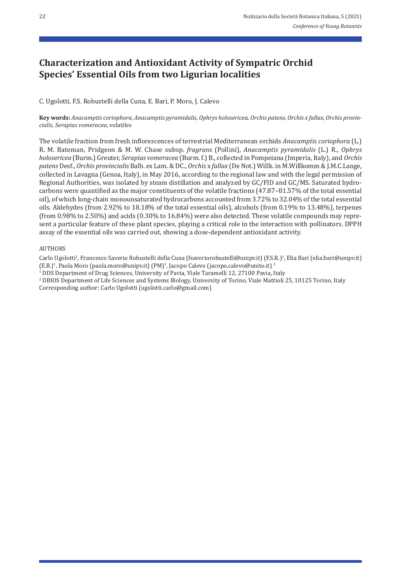# **Characterization and Antioxidant Activity of Sympatric Orchid Species' Essential Oils from two Ligurian localities**

C. Ugolotti, F.S. Robustelli della Cuna, E. Bari, P. Moro, J. Calevo

**Key words:** *Anacamptis coriophora*, *Anacamptis pyramidalis*, *Ophrys holosericea*, *Orchis patens*, *Orchis x fallax*, *Orchis provin‑ cialis*, *Serapias vomeracea*, volatiles

The volatile fraction from fresh inflorescences of terrestrial Mediterranean orchids *Anacamptis coriophora* (L.) R. M. Bateman, Pridgeon & M. W. Chase subsp. *fragrans* (Pollini), *Anacamptis pyramidalis* (L.) R., *Ophrys holosericea* (Burm.) Greuter, *Serapias vomeracea* (Burm. f.) B., collected in Pompeiana (Imperia, Italy), and *Orchis patens* Desf., *Orchis provincialis* Balb. ex Lam. & DC., *Orchis* x *fallax* (De Not.) Willk. in M.Willkomm & J.M.C.Lange, collected in Lavagna (Genoa, Italy), in May 2016, according to the regional law and with the legal permission of Regional Authorities, was isolated by steam distillation and analyzed by GC/FID and GC/MS. Saturated hydrocarbons were quantified as the major constituents of the volatile fractions (47.87–81.57% of the total essential oil), of which long‐chain monounsaturated hydrocarbons accounted from 3.72% to 32.04% of the total essential oils. Aldehydes (from 2.92% to 18.18% of the total essential oils), alcohols (from 0.19% to 13.48%), terpenes (from 0.98% to 2.50%) and acids (0.30% to 16.84%) were also detected. These volatile compounds may repre‐ sent a particular feature of these plant species, playing a critical role in the interaction with pollinators. DPPH assay of the essential oils was carried out, showing a dose‐dependent antioxidant activity.

### AUTHORS

Carlo Ugolotti<sup>1</sup>, Francesco Saverio Robustelli della Cuna (fsaveriorobustelli@unipv.it) (F.S.R.)<sup>1</sup>, Elia Bari (elia.bari@unipv.it) (E.B.)<sup>1</sup>, Paola Moro (paola.moro@unipv.it) (PM)<sup>1</sup>, Jacopo Calevo (jacopo.calevo@unito.it)<sup>2</sup>

<sup>1</sup> DDS Department of Drug Sciences, University of Pavia, Viale Taramelli 12, 27100 Pavia, Italy

2 DBIOS Department of Life Sciences and Systems Biology, University of Torino, Viale Mattioli 25, 10125 Torino, Italy Corresponding author: Carlo Ugolotti (ugolotti.carlo@gmail.com)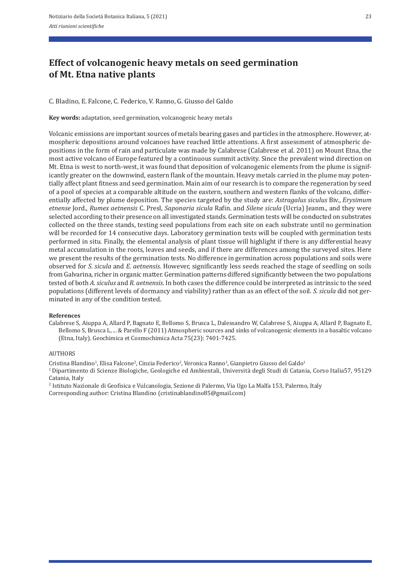# **Effect of volcanogenic heavy metals on seed germination of Mt. Etna native plants**

C. Bladino, E. Falcone, C. Federico, V. Ranno, G. Giusso del Galdo

**Key words:** adaptation, seed germination, volcanogenic heavy metals

Volcanic emissions are important sources of metals bearing gases and particles in the atmosphere. However, at‐ mospheric depositions around volcanoes have reached little attentions. A first assessment of atmospheric de‐ positions in the form of rain and particulate was made by Calabrese (Calabrese et al. 2011) on Mount Etna, the most active volcano of Europe featured by a continuous summit activity. Since the prevalent wind direction on Mt. Etna is west to north-west, it was found that deposition of volcanogenic elements from the plume is significantly greater on the downwind, eastern flank of the mountain. Heavy metals carried in the plume may potentially affect plant fitness and seed germination. Main aim of our research is to compare the regeneration by seed of a pool of species at a comparable altitude on the eastern, southern and western flanks of the volcano, differ‐ entially affected by plume deposition. The species targeted by the study are: *Astragalus siculus* Biv., *Erysimum etnense* Jord., *Rumex aetnensis* C. Presl, *Saponaria sicula* Rafin. and *Silene sicula* (Ucria) Jeanm., and they were selected according to their presence on all investigated stands. Germination tests will be conducted on substrates collected on the three stands, testing seed populations from each site on each substrate until no germination will be recorded for 14 consecutive days. Laboratory germination tests will be coupled with germination tests performed in situ. Finally, the elemental analysis of plant tissue will highlight if there is any differential heavy metal accumulation in the roots, leaves and seeds, and if there are differences among the surveyed sites. Here we present the results of the germination tests. No difference in germination across populations and soils were observed for *S. sicula* and *E. aetnensis*. However, significantly less seeds reached the stage of seedling on soils from Galvarina, richer in organic matter. Germination patterns differed significantly between the two populations tested of both *A. siculus* and *R. aetnensis*. In both cases the difference could be interpreted as intrinsic to the seed populations (different levels of dormancy and viability) rather than as an effect of the soil. *S. sicula* did not germinated in any of the condition tested.

### **References**

Calabrese S, Aiuppa A, Allard P, Bagnato E, Bellomo S, Brusca L, Dalessandro W, Calabrese S, Aiuppa A, Allard P, Bagnato E, Bellomo S, Brusca L, ... & Parello F (2011) Atmospheric sources and sinks of volcanogenic elements in a basaltic volcano (Etna, Italy). Geochimica et Cosmochimica Acta 75(23): 7401‐7425.

### **AUTHORS**

Cristina Blandino<sup>1</sup>, Elisa Falcone<sup>2</sup>, Cinzia Federico<sup>2</sup>, Veronica Ranno<sup>1</sup>, Gianpietro Giusso del Galdo<sup>1</sup>

1 Dipartimento di Scienze Biologiche, Geologiche ed Ambientali, Università degli Studi di Catania, Corso Italia57, 95129 Catania, Italy<br><sup>2</sup> Istituto Nazionale di Geofisica e Vulcanologia, Sezione di Palermo, Via Ugo La Malfa 153, Palermo, Italy

Corresponding author: Cristina Blandino (cristinablandino85@gmail.com)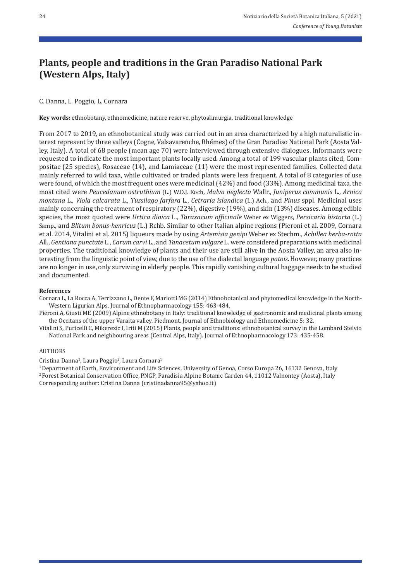# **Plants, people and traditions in the Gran Paradiso National Park (Western Alps, Italy)**

C. Danna, L. Poggio, L. Cornara

**Key words:** ethnobotany, ethnomedicine, nature reserve, phytoalimurgia, traditional knowledge

From 2017 to 2019, an ethnobotanical study was carried out in an area characterized by a high naturalistic interest represent by three valleys (Cogne, Valsavarenche, Rhêmes) of the Gran Paradiso National Park (Aosta Valley, Italy). A total of 68 people (mean age 70) were interviewed through extensive dialogues. Informants were requested to indicate the most important plants locally used. Among a total of 199 vascular plants cited, Compositae (25 species), Rosaceae (14), and Lamiaceae (11) were the most represented families. Collected data mainly referred to wild taxa, while cultivated or traded plants were less frequent. A total of 8 categories of use were found, of which the most frequent ones were medicinal (42%) and food (33%). Among medicinal taxa, the most cited were *Peucedanum ostruthium* (L.) W.D.J. Koch, *Malva neglecta* Wallr., *Juniperus communis* L*.*, *Arnica montana* L., *Viola calcarata* L., *Tussilago farfara* L., *Cetraria islandica* (L.) Ach.*,* and *Pinus* sppl. Medicinal uses mainly concerning the treatment of respiratory (22%), digestive (19%), and skin (13%) diseases. Among edible species, the most quoted were *Urtica dioica* L., *Taraxacum officinale* Weber ex Wiggers, *Persicaria bistorta* (L.) Samp., and *Blitum bonus‑henricus* (L.) Rchb. Similar to other Italian alpine regions (Pieroni et al. 2009, Cornara et al. 2014, Vitalini et al. 2015) liqueurs made by using *Artemisia genipi* Weber ex Stechm., *Achillea herba‑rotta* All., *Gentiana punctate* L., *Carum carvi* L., and *Tanacetum vulgare* L. were considered preparations with medicinal properties. The traditional knowledge of plants and their use are still alive in the Aosta Valley, an area also in‐ teresting from the linguistic point of view, due to the use of the dialectal language *patois*. However, many practices are no longer in use, only surviving in elderly people. This rapidly vanishing cultural baggage needs to be studied and documented.

### **References**

Cornara L, La Rocca A, Terrizzano L, Dente F, Mariotti MG (2014) Ethnobotanical and phytomedical knowledge in the North‐ Western Ligurian Alps. Journal of Ethnopharmacology 155: 463‐484.

Pieroni A, Giusti ME (2009) Alpine ethnobotany in Italy: traditional knowledge of gastronomic and medicinal plants among the Occitans of the upper Varaita valley. Piedmont. Journal of Ethnobiology and Ethnomedicine 5: 32.

Vitalini S, Puricelli C, Mikerezic I, Iriti M (2015) Plants, people and traditions: ethnobotanical survey in the Lombard Stelvio National Park and neighbouring areas (Central Alps, Italy). Journal of Ethnopharmacology 173: 435‐458.

### AUTHORS

Cristina Danna1, Laura Poggio2, Laura Cornara1

<sup>1</sup> Department of Earth, Environment and Life Sciences, University of Genoa, Corso Europa 26, 16132 Genova, Italy 2 Forest Botanical Conservation Office, PNGP, Paradisia Alpine Botanic Garden 44, 11012 Valnontey (Aosta), Italy Corresponding author: Cristina Danna (cristinadanna95@yahoo.it)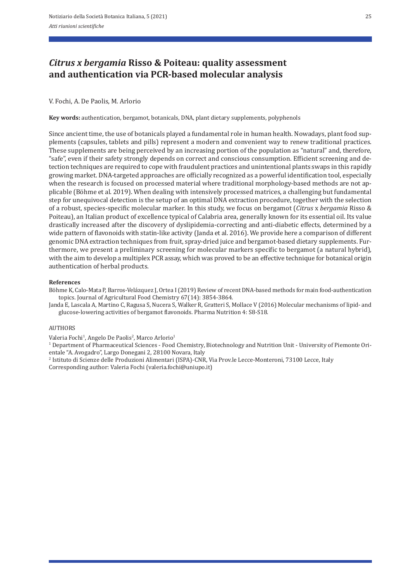# *Citrus x bergamia* **Risso & Poiteau: quality assessment and authentication via PCR‑based molecular analysis**

## V. Fochi, A. De Paolis, M. Arlorio

**Key words:** authentication, bergamot, botanicals, DNA, plant dietary supplements, polyphenols

Since ancient time, the use of botanicals played a fundamental role in human health. Nowadays, plant food sup‐ plements (capsules, tablets and pills) represent a modern and convenient way to renew traditional practices. These supplements are being perceived by an increasing portion of the population as "natural" and, therefore, "safe", even if their safety strongly depends on correct and conscious consumption. Efficient screening and de‐ tection techniques are required to cope with fraudulent practices and unintentional plants swaps in this rapidly growing market. DNA‐targeted approaches are officially recognized as a powerful identification tool, especially when the research is focused on processed material where traditional morphology-based methods are not applicable (Böhme et al. 2019). When dealing with intensively processed matrices, a challenging but fundamental step for unequivocal detection is the setup of an optimal DNA extraction procedure, together with the selection of a robust, species‐specific molecular marker. In this study, we focus on bergamot (*Citrus* x *bergamia* Risso & Poiteau), an Italian product of excellence typical of Calabria area, generally known for its essential oil. Its value drastically increased after the discovery of dyslipidemia‐correcting and anti‐diabetic effects, determined by a wide pattern of flavonoids with statin-like activity (Janda et al. 2016). We provide here a comparison of different genomic DNA extraction techniques from fruit, spray-dried juice and bergamot-based dietary supplements. Furthermore, we present a preliminary screening for molecular markers specific to bergamot (a natural hybrid), with the aim to develop a multiplex PCR assay, which was proved to be an effective technique for botanical origin authentication of herbal products.

### **References**

Böhme K, Calo‐Mata P, Barros‐Velázquez J, Ortea I (2019) Review of recent DNA‐based methods for main food‐authentication topics. Journal of Agricultural Food Chemistry 67(14): 3854‐3864.

Janda E, Lascala A, Martino C, Ragusa S, Nucera S, Walker R, Gratteri S, Mollace V (2016) Molecular mechanisms of lipid‐ and glucose‐lowering activities of bergamot flavonoids. Pharma Nutrition 4: S8‐S18.

## AUTHORS

Valeria Fochi<sup>1</sup>, Angelo De Paolis<sup>2</sup>, Marco Arlorio<sup>1</sup>

1 Department of Pharmaceutical Sciences ‐ Food Chemistry, Biotechnology and Nutrition Unit ‐ University of Piemonte Ori‐ entale "A. Avogadro", Largo Donegani 2, 28100 Novara, Italy

2 Istituto di Scienze delle Produzioni Alimentari (ISPA)‐CNR, Via Prov.le Lecce‐Monteroni, 73100 Lecce, Italy Corresponding author: Valeria Fochi (valeria.fochi@uniupo.it)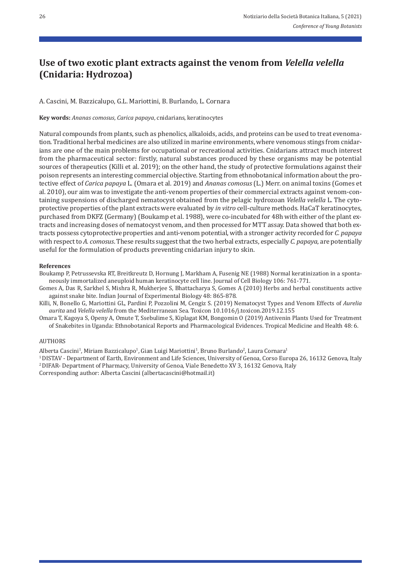# **Use of two exotic plant extracts against the venom from** *Velella velella* **(Cnidaria: Hydrozoa)**

A. Cascini, M. Bazzicalupo, G.L. Mariottini, B. Burlando, L. Cornara

**Key words:** *Ananas comosus*, *Carica papaya*, cnidarians, keratinocytes

Natural compounds from plants, such as phenolics, alkaloids, acids, and proteins can be used to treat evenoma‐ tion. Traditional herbal medicines are also utilized in marine environments, where venomous stings from cnidar‐ ians are one of the main problems for occupational or recreational activities. Cnidarians attract much interest from the pharmaceutical sector: firstly, natural substances produced by these organisms may be potential sources of therapeutics (Killi et al. 2019); on the other hand, the study of protective formulations against their poison represents an interesting commercial objective. Starting from ethnobotanical information about the pro‐ tective effect of *Carica papaya* L. (Omara et al. 2019) and *Ananas comosus* (L.) Merr. on animal toxins (Gomes et al. 2010), our aim was to investigate the anti-venom properties of their commercial extracts against venom-containing suspensions of discharged nematocyst obtained from the pelagic hydrozoan *Velella velella* L. The cytoprotective properties of the plant extracts were evaluated by *in vitro* cell‐culture methods. HaCaT keratinocytes, purchased from DKFZ (Germany) (Boukamp et al. 1988), were co-incubated for 48h with either of the plant extracts and increasing doses of nematocyst venom, and then processed for MTT assay. Data showed that both ex‐ tracts possess cytoprotective properties and anti‐venom potential, with a stronger activity recorded for *C. papaya* with respect to *A. comosus*. These results suggest that the two herbal extracts, especially *C. papaya*, are potentially useful for the formulation of products preventing cnidarian injury to skin.

### **References**

Boukamp P, Petrussevska RT, Breitkreutz D, Hornung J, Markham A, Fusenig NE (1988) Normal keratinization in a sponta‐ neously immortalized aneuploid human keratinocyte cell line. Journal of Cell Biology 106: 761‐771.

Gomes A, Das R, Sarkhel S, Mishra R, Mukherjee S, Bhattacharya S, Gomes A (2010) Herbs and herbal constituents active against snake bite. Indian Journal of Experimental Biology 48: 865‐878.

Killi, N, Bonello G, Mariottini GL, Pardini P, Pozzolini M, Cengiz S. (2019) Nematocyst Types and Venom Effects of *Aurelia aurita* and *Velella velella* from the Mediterranean Sea. Toxicon 10.1016/j.toxicon.2019.12.155

Omara T, Kagoya S, Openy A, Omute T, Ssebulime S, Kiplagat KM, Bongomin O (2019) Antivenin Plants Used for Treatment of Snakebites in Uganda: Ethnobotanical Reports and Pharmacological Evidences. Tropical Medicine and Health 48: 6.

### **AUTHORS**

Alberta Cascini<sup>1</sup>, Miriam Bazzicalupo<sup>1</sup>, Gian Luigi Mariottini<sup>1</sup>, Bruno Burlando<sup>2</sup>, Laura Cornara<sup>1</sup><br><sup>1</sup> DISTAV - Department of Earth, Environment and Life Sciences, University of Genoa, Corso Europa 26, 16132 Genova,

Corresponding author: Alberta Cascini (albertacascini@hotmail.it)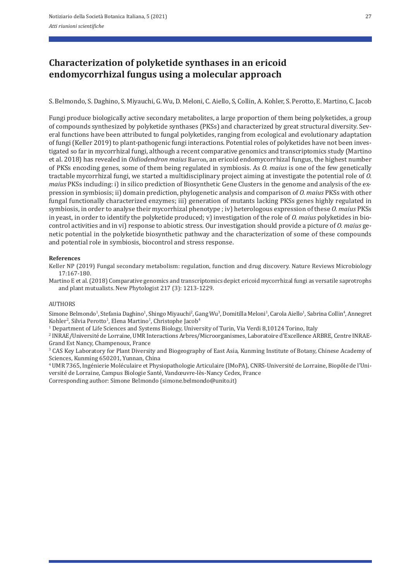# **Characterization of polyketide synthases in an ericoid endomycorrhizal fungus using a molecular approach**

S. Belmondo, S. Daghino, S. Miyauchi, G. Wu, D. Meloni, C. Aiello, S, Collin, A. Kohler, S. Perotto, E. Martino, C. Jacob

Fungi produce biologically active secondary metabolites, a large proportion of them being polyketides, a group of compounds synthesized by polyketide synthases (PKSs) and characterized by great structural diversity. Sev‐ eral functions have been attributed to fungal polyketides, ranging from ecological and evolutionary adaptation of fungi (Keller 2019) to plant‐pathogenic fungi interactions. Potential roles of polyketides have not been inves‐ tigated so far in mycorrhizal fungi, although a recent comparative genomics and transcriptomics study (Martino et al. 2018) has revealed in *Oidiodendron maius* Barron, an ericoid endomycorrhizal fungus, the highest number of PKSs encoding genes, some of them being regulated in symbiosis. As *O. maius* is one of the few genetically tractable mycorrhizal fungi, we started a multidisciplinary project aiming at investigate the potential role of *O. maius* PKSs including: i) in silico prediction of Biosynthetic Gene Clusters in the genome and analysis of the expression in symbiosis; ii) domain prediction, phylogenetic analysis and comparison of *O. maius* PKSs with other fungal functionally characterized enzymes; iii) generation of mutants lacking PKSs genes highly regulated in symbiosis, in order to analyse their mycorrhizal phenotype ; iv) heterologous expression of these *O. maius* PKSs in yeast, in order to identify the polyketide produced; v) investigation of the role of *O. maius* polyketides in bio‐ control activities and in vi) response to abiotic stress. Our investigation should provide a picture of *O. maius* genetic potential in the polyketide biosynthetic pathway and the characterization of some of these compounds and potential role in symbiosis, biocontrol and stress response.

#### **References**

Keller NP (2019) Fungal secondary metabolism: regulation, function and drug discovery. Nature Reviews Microbiology 17:167‐180.

Martino E et al. (2018) Comparative genomics and transcriptomics depict ericoid mycorrhizal fungi as versatile saprotrophs and plant mutualists. New Phytologist 217 (3): 1213‐1229.

#### AUTHORS

Simone Belmondo<sup>1</sup>, Stefania Daghino<sup>1</sup>, Shingo Miyauchi<sup>2</sup>, Gang Wu<sup>3</sup>, Domitilla Meloni<sup>1</sup>, Carola Aiello<sup>1</sup>, Sabrina Collin<sup>4</sup>, Annegret Kohler<sup>2</sup>, Silvia Perotto<sup>1</sup>, Elena Martino<sup>1</sup>, Christophe Jacob<sup>4</sup>

1 Department of Life Sciences and Systems Biology, University of Turin, Via Verdi 8,10124 Torino, Italy

2 INRAE/Université de Lorraine, UMR Interactions Arbres/Microorganismes, Laboratoire d'Excellence ARBRE, Centre INRAE‐ Grand Est Nancy, Champenoux, France

<sup>3</sup> CAS Key Laboratory for Plant Diversity and Biogeography of East Asia, Kunming Institute of Botany, Chinese Academy of Sciences, Kunming 650201, Yunnan, China

4 UMR 7365, Ingénierie Moléculaire et Physiopathologie Articulaire (IMoPA), CNRS‐Université de Lorraine, Biopôle de l'Uni‐ versité de Lorraine, Campus Biologie Santé, Vandœuvre‐lès‐Nancy Cedex, France

Corresponding author: Simone Belmondo (simone.belmondo@unito.it)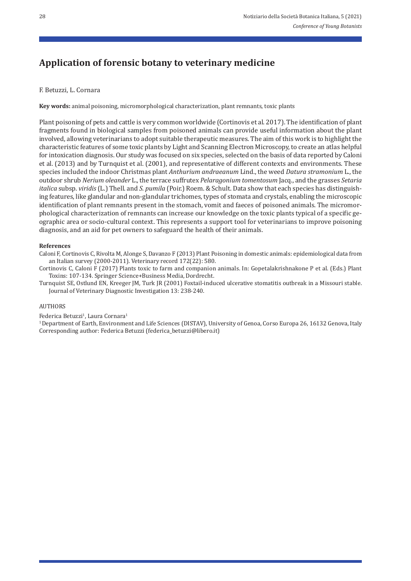# **Application of forensic botany to veterinary medicine**

# F. Betuzzi, L. Cornara

**Key words:** animal poisoning, micromorphological characterization, plant remnants, toxic plants

Plant poisoning of pets and cattle is very common worldwide (Cortinovis et al. 2017). The identification of plant fragments found in biological samples from poisoned animals can provide useful information about the plant involved, allowing veterinarians to adopt suitable therapeutic measures. The aim of this work is to highlight the characteristic features of some toxic plants by Light and Scanning Electron Microscopy, to create an atlas helpful for intoxication diagnosis. Our study was focused on six species, selected on the basis of data reported by Caloni et al. (2013) and by Turnquist et al. (2001), and representative of different contexts and environments. These species included the indoor Christmas plant *Anthurium andraeanum* Lind., the weed *Datura stramonium* L., the outdoor shrub *Nerium oleander* L., the terrace suffrutex *Pelaragonium tomentosum* Jacq., and the grasses *Setaria italica* subsp. *viridis* (L.) Thell. and *S. pumila* (Poir.) Roem. & Schult. Data show that each species has distinguish‐ ing features, like glandular and non‐glandular trichomes, types of stomata and crystals, enabling the microscopic identification of plant remnants present in the stomach, vomit and faeces of poisoned animals. The micromorphological characterization of remnants can increase our knowledge on the toxic plants typical of a specific geographic area or socio‐cultural context. This represents a support tool for veterinarians to improve poisoning diagnosis, and an aid for pet owners to safeguard the health of their animals.

## **References**

Caloni F, Cortinovis C, Rivolta M, Alonge S, Davanzo F (2013) Plant Poisoning in domestic animals: epidemiological data from an Italian survey (2000‐2011). Veterinary record 172(22): 580.

Cortinovis C, Caloni F (2017) Plants toxic to farm and companion animals. In: Gopetalakrishnakone P et al. (Eds.) Plant Toxins: 107‐134. Springer Science+Business Media, Dordrecht.

Turnquist SE, Ostlund EN, Kreeger JM, Turk JR (2001) Foxtail‐induced ulcerative stomatitis outbreak in a Missouri stable. Journal of Veterinary Diagnostic Investigation 13: 238‐240.

### **AUTHORS**

Federica Betuzzi<sup>1</sup>, Laura Cornara<sup>1</sup>

1 Department of Earth, Environment and Life Sciences (DISTAV), University of Genoa, Corso Europa 26, 16132 Genova, Italy Corresponding author: Federica Betuzzi (federica\_betuzzi@libero.it)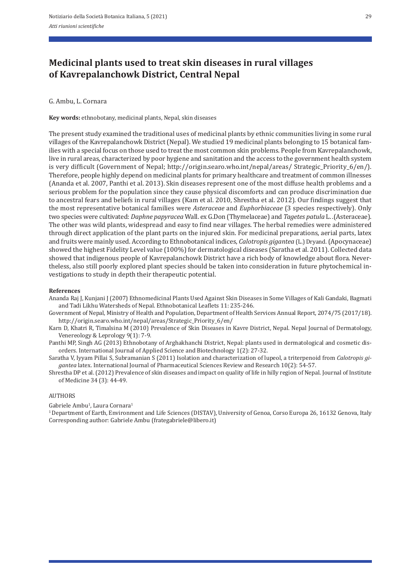# **Medicinal plants used to treat skin diseases in rural villages of Kavrepalanchowk District, Central Nepal**

G. Ambu, L. Cornara

**Key words:** ethnobotany, medicinal plants, Nepal, skin diseases

The present study examined the traditional uses of medicinal plants by ethnic communities living in some rural villages of the Kavrepalanchowk District (Nepal). We studied 19 medicinal plants belonging to 15 botanical fam‐ ilies with a special focus on those used to treat the most common skin problems. People from Kavrepalanchowk, live in rural areas, characterized by poor hygiene and sanitation and the access to the government health system is very difficult (Government of Nepal; http://origin.searo.who.int/nepal/areas/ Strategic\_Priority\_6/en/). Therefore, people highly depend on medicinal plants for primary healthcare and treatment of common illnesses (Ananda et al. 2007, Panthi et al. 2013). Skin diseases represent one of the most diffuse health problems and a serious problem for the population since they cause physical discomforts and can produce discrimination due to ancestral fears and beliefs in rural villages (Kam et al. 2010, Shrestha et al. 2012). Our findings suggest that the most representative botanical families were *Asteraceae* and *Euphorbiaceae* (3 species respectively). Only two species were cultivated: *Daphne papyracea* Wall. ex G.Don (Thymelaceae) and *Tagetes patula* L. *.*(Asteraceae). The other was wild plants, widespread and easy to find near villages. The herbal remedies were administered through direct application of the plant parts on the injured skin. For medicinal preparations, aerial parts, latex and fruits were mainly used. According to Ethnobotanical indices, *Calotropis gigantea* (L.) Dryand. (Apocynaceae) showed the highest Fidelity Level value (100%) for dermatological diseases (Saratha et al. 2011). Collected data showed that indigenous people of Kavrepalanchowk District have a rich body of knowledge about flora. Nevertheless, also still poorly explored plant species should be taken into consideration in future phytochemical in‐ vestigations to study in depth their therapeutic potential.

### **References**

- Ananda Raj J, Kunjani J (2007) Ethnomedicinal Plants Used Against Skin Diseases in Some Villages of Kali Gandaki, Bagmati and Tadi Likhu Watersheds of Nepal. Ethnobotanical Leaflets 11: 235‐246.
- Government of Nepal, Ministry of Health and Population, Department of Health Services Annual Report, 2074/75 (2017/18). http://origin.searo.who.int/nepal/areas/Strategic\_Priority\_6/en/
- Karn D, Khatri R, Timalsina M (2010) Prevalence of Skin Diseases in Kavre District, Nepal. Nepal Journal of Dermatology, Venereology & Leprology 9(1): 7‐9.
- Panthi MP, Singh AG (2013) Ethnobotany of Arghakhanchi District, Nepal: plants used in dermatological and cosmetic dis‐ orders. International Journal of Applied Science and Biotechnology 1(2): 27‐32.
- Saratha V, Iyyam Pillai S, Subramanian S (2011) Isolation and characterization of lupeol, a triterpenoid from *Calotropis gi‑ gantea* latex. International Journal of Pharmaceutical Sciences Review and Research 10(2): 54‐57.
- Shrestha DP et al. (2012) Prevalence of skin diseases and impact on quality of life in hilly region of Nepal. Journal of Institute of Medicine 34 (3): 44‐49.

### **AUTHORS**

Gabriele Ambu<sup>1</sup>, Laura Cornara<sup>1</sup>

1 Department of Earth, Environment and Life Sciences (DISTAV), University of Genoa, Corso Europa 26, 16132 Genova, Italy Corresponding author: Gabriele Ambu (frategabriele@libero.it)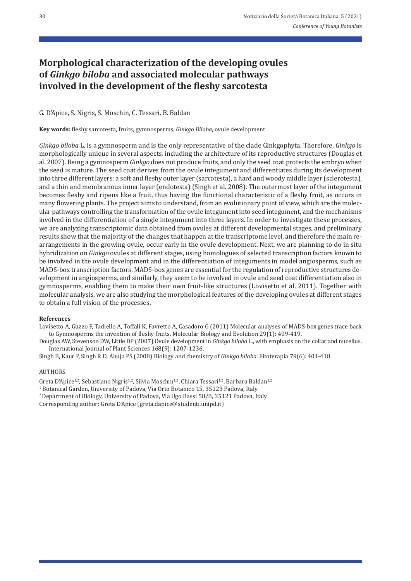# **Morphological characterization of the developing ovules of** *Ginkgo biloba* **and associated molecular pathways involved in the development of the fleshy sarcotesta**

## G. D'Apice, S. Nigris, S. Moschin, C. Tessari, B. Baldan

**Key words:** fleshy sarcotesta, fruits, gymnosperms, *Ginkgo Biloba*, ovule development

*Ginkgo biloba* L. is a gymnosperm and is the only representative of the clade Ginkgophyta. Therefore, *Ginkgo* is morphologically unique in several aspects, including the architecture of its reproductive structures (Douglas et al. 2007). Being a gymnosperm *Ginkgo* does not produce fruits, and only the seed coat protects the embryo when the seed is mature. The seed coat derives from the ovule integument and differentiates during its development into three different layers: a soft and fleshy outer layer (sarcotesta), a hard and woody middle layer (sclerotesta), and a thin and membranous inner layer (endotesta) (Singh et al. 2008). The outermost layer of the integument becomes fleshy and ripens like a fruit, thus having the functional characteristic of a fleshy fruit, as occurs in many flowering plants. The project aims to understand, from an evolutionary point of view, which are the molecular pathways controlling the transformation of the ovule integument into seed integument, and the mechanisms involved in the differentiation of a single integument into three layers. In order to investigate these processes, we are analyzing transcriptomic data obtained from ovules at different developmental stages, and preliminary results show that the majority of the changes that happen at the transcriptome level, and therefore the main rearrangements in the growing ovule, occur early in the ovule development. Next, we are planning to do in situ hybridization on *Ginkgo* ovules at different stages, using homologues of selected transcription factors known to be involved in the ovule development and in the differentiation of integuments in model angiosperms, such as MADS-box transcription factors. MADS-box genes are essential for the regulation of reproductive structures development in angiosperms, and similarly, they seem to be involved in ovule and seed coat differentiation also in gymnosperms, enabling them to make their own fruit‐like structures (Lovisetto et al. 2011). Together with molecular analysis, we are also studying the morphological features of the developing ovules at different stages to obtain a full vision of the processes.

#### **References**

Lovisetto A, Guzzo F, Tadiello A, Toffali K, Favretto A, Casadoro G (2011) Molecular analyses of MADS‐box genes trace back to Gymnosperms the invention of fleshy fruits. Molecular Biology and Evolution 29(1): 409‐419.

Douglas AW, Stevenson DW, Little DP (2007) Ovule development in *Ginkgo biloba* L., with emphasis on the collar and nucellus. International Journal of Plant Sciences 168(9): 1207‐1236.

Singh B, Kaur P, Singh R D, Ahuja PS (2008) Biology and chemistry of *Ginkgo biloba*. Fitoterapia 79(6): 401‐418.

#### AUTHORS

Greta D'Apice<sup>1,2</sup>, Sebastiano Nigris<sup>1,2</sup>, Silvia Moschin<sup>1,2</sup>, Chiara Tessari<sup>1,2</sup>, Barbara Baldan<sup>1,2</sup>

<sup>1</sup> Botanical Garden, University of Padova, Via Orto Botanico 15, 35123 Padova, Italy

2 Department of Biology, University of Padova, Via Ugo Bassi 58/B, 35121 Padova, Italy

Corresponding author: Greta D'Apice (greta.dapice@studenti.unipd.it)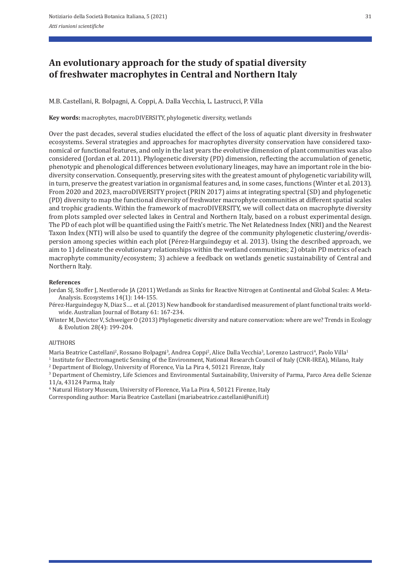# **An evolutionary approach for the study of spatial diversity of freshwater macrophytes in Central and Northern Italy**

M.B. Castellani, R. Bolpagni, A. Coppi, A. Dalla Vecchia, L. Lastrucci, P. Villa

**Key words:** macrophytes, macroDIVERSITY, phylogenetic diversity, wetlands

Over the past decades, several studies elucidated the effect of the loss of aquatic plant diversity in freshwater ecosystems. Several strategies and approaches for macrophytes diversity conservation have considered taxonomical or functional features, and only in the last years the evolutive dimension of plant communities was also considered (Jordan et al. 2011). Phylogenetic diversity (PD) dimension, reflecting the accumulation of genetic, phenotypic and phenological differences between evolutionary lineages, may have an important role in the bio‐ diversity conservation. Consequently, preserving sites with the greatest amount of phylogenetic variability will, in turn, preserve the greatest variation in organismal features and, in some cases, functions (Winter et al. 2013). From 2020 and 2023, macroDIVERSITY project (PRIN 2017) aims at integrating spectral (SD) and phylogenetic (PD) diversity to map the functional diversity of freshwater macrophyte communities at different spatial scales and trophic gradients. Within the framework of macroDIVERSITY, we will collect data on macrophyte diversity from plots sampled over selected lakes in Central and Northern Italy, based on a robust experimental design. The PD of each plot will be quantified using the Faith's metric. The Net Relatedness Index (NRI) and the Nearest Taxon Index (NTI) will also be used to quantify the degree of the community phylogenetic clustering/overdis‐ persion among species within each plot (Pérez‐Harguindeguy et al. 2013). Using the described approach, we aim to 1) delineate the evolutionary relationships within the wetland communities; 2) obtain PD metrics of each macrophyte community/ecosystem; 3) achieve a feedback on wetlands genetic sustainability of Central and Northern Italy.

### **References**

Jordan SJ, Stoffer J, Nestlerode JA (2011) Wetlands as Sinks for Reactive Nitrogen at Continental and Global Scales: A Meta-Analysis. Ecosystems 14(1): 144‐155.

Pérez-Harguindeguy N, Diaz S.... et al. (2013) New handbook for standardised measurement of plant functional traits worldwide. Australian Journal of Botany 61: 167‐234.

Winter M, Devictor V, Schweiger O (2013) Phylogenetic diversity and nature conservation: where are we? Trends in Ecology & Evolution 28(4): 199‐204.

### AUTHORS

Maria Beatrice Castellani<sup>2</sup>, Rossano Bolpagni<sup>3</sup>, Andrea Coppi<sup>2</sup>, Alice Dalla Vecchia<sup>3</sup>, Lorenzo Lastrucci<sup>4</sup>, Paolo Villa<sup>1</sup>

<sup>1</sup> Institute for Electromagnetic Sensing of the Environment, National Research Council of Italy (CNR-IREA), Milano, Italy <sup>2</sup> Department of Biology, University of Florence, Via La Pira 4, 50121 Firenze, Italy

3 Department of Chemistry, Life Sciences and Environmental Sustainability, University of Parma, Parco Area delle Scienze 11/a, 43124 Parma, Italy

4 Natural History Museum, University of Florence, Via La Pira 4, 50121 Firenze, Italy

Corresponding author: Maria Beatrice Castellani (mariabeatrice.castellani@unifi.it)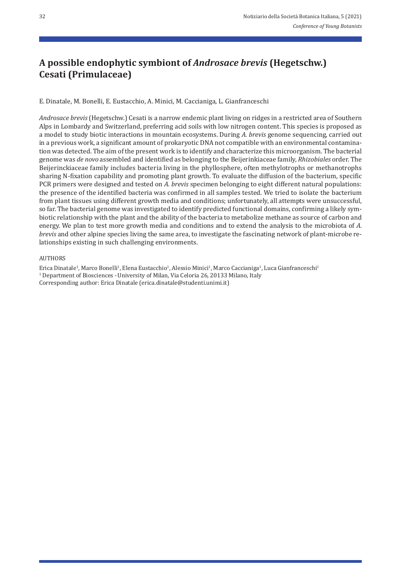# **A possible endophytic symbiont of** *Androsace brevis* **(Hegetschw.) Cesati (Primulaceae)**

E. Dinatale, M. Bonelli, E. Eustacchio, A. Minici, M. Caccianiga, L. Gianfranceschi

*Androsace brevis* (Hegetschw.) Cesati is a narrow endemic plant living on ridges in a restricted area of Southern Alps in Lombardy and Switzerland, preferring acid soils with low nitrogen content. This species is proposed as a model to study biotic interactions in mountain ecosystems. During *A. brevis* genome sequencing, carried out in a previous work, a significant amount of prokaryotic DNA not compatible with an environmental contamination was detected. The aim of the present work is to identify and characterize this microorganism. The bacterial genome was *de novo* assembled and identified as belonging to the Beijerinkiaceae family, *Rhizobiales* order. The Beijerinckiaceae family includes bacteria living in the phyllosphere, often methylotrophs or methanotrophs sharing N-fixation capability and promoting plant growth. To evaluate the diffusion of the bacterium, specific PCR primers were designed and tested on *A. brevis* specimen belonging to eight different natural populations: the presence of the identified bacteria was confirmed in all samples tested. We tried to isolate the bacterium from plant tissues using different growth media and conditions; unfortunately, all attempts were unsuccessful, so far. The bacterial genome was investigated to identify predicted functional domains, confirming a likely symbiotic relationship with the plant and the ability of the bacteria to metabolize methane as source of carbon and energy. We plan to test more growth media and conditions and to extend the analysis to the microbiota of *A. brevis* and other alpine species living the same area, to investigate the fascinating network of plant-microbe relationships existing in such challenging environments.

### AUTHORS

Erica Dinatale<sup>1</sup>, Marco Bonelli<sup>1</sup>, Elena Eustacchio<sup>1</sup>, Alessio Minici<sup>1</sup>, Marco Caccianiga<sup>1</sup>, Luca Gianfranceschi<sup>1</sup> <sup>1</sup> Department of Biosciences - University of Milan, Via Celoria 26, 20133 Milano, Italy Corresponding author: Erica Dinatale (erica.dinatale@studenti.unimi.it)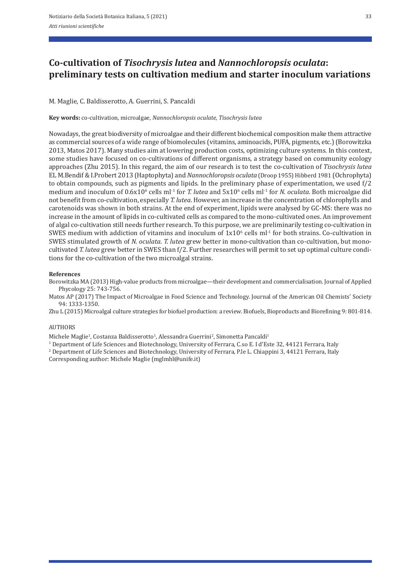# **Co‑cultivation of** *Tisochrysis lutea* **and** *Nannochloropsis oculata***: preliminary tests on cultivation medium and starter inoculum variations**

M. Maglie, C. Baldisserotto, A. Guerrini, S. Pancaldi

**Key words:** co‐cultivation, microalgae, *Nannochloropsis oculate, Tisochrysis lutea* 

Nowadays, the great biodiversity of microalgae and their different biochemical composition make them attractive as commercial sources of a wide range of biomolecules (vitamins, aminoacids, PUFA, pigments, etc.) (Borowitzka 2013, Matos 2017). Many studies aim at lowering production costs, optimizing culture systems. In this context, some studies have focused on co-cultivations of different organisms, a strategy based on community ecology approaches (Zhu 2015). In this regard, the aim of our research is to test the co‐cultivation of *Tisochrysis lutea* EL M.Bendif & I.Probert 2013 (Haptophyta) and *Nannochloropsis oculata* (Droop 1955) Hibberd 1981 (Ochrophyta) to obtain compounds, such as pigments and lipids. In the preliminary phase of experimentation, we used f/2 medium and inoculum of  $0.6x10^6$  cells ml<sup>-1</sup> for *T. lutea* and  $5x10^6$  cells ml<sup>-1</sup> for *N. oculata*. Both microalgae did not benefit from co‐cultivation, especially *T. lutea*. However, an increase in the concentration of chlorophylls and carotenoids was shown in both strains. At the end of experiment, lipids were analysed by GC‐MS: there was no increase in the amount of lipids in co-cultivated cells as compared to the mono-cultivated ones. An improvement of algal co-cultivation still needs further research. To this purpose, we are preliminarily testing co-cultivation in SWES medium with addiction of vitamins and inoculum of  $1x10^6$  cells ml<sup>-1</sup> for both strains. Co-cultivation in SWES stimulated growth of *N. oculata. T. lutea* grew better in mono-cultivation than co-cultivation, but monocultivated *T. lutea* grew better in SWES than f/2. Further researches will permit to set up optimal culture conditions for the co-cultivation of the two microalgal strains.

### **References**

Borowitzka MA (2013) High-value products from microalgae—their development and commercialisation. Journal of Applied Phycology 25: 743‐756.

Matos AP (2017) The Impact of Microalgae in Food Science and Technology. Journal of the American Oil Chemists' Society 94: 1333‐1350.

Zhu L (2015) Microalgal culture strategies for biofuel production: a review. Biofuels, Bioproducts and Biorefining 9: 801‐814.

# AUTHORS

Michele Maglie<sup>1</sup>, Costanza Baldisserotto<sup>1</sup>, Alessandra Guerrini<sup>2</sup>, Simonetta Pancaldi<sup>1</sup>

<sup>1</sup> Department of Life Sciences and Biotechnology, University of Ferrara, C.so E. I d'Este 32, 44121 Ferrara, Italy

<sup>2</sup> Department of Life Sciences and Biotechnology, University of Ferrara, P.le L. Chiappini 3, 44121 Ferrara, Italy

Corresponding author: Michele Maglie (mglmhl@unife.it)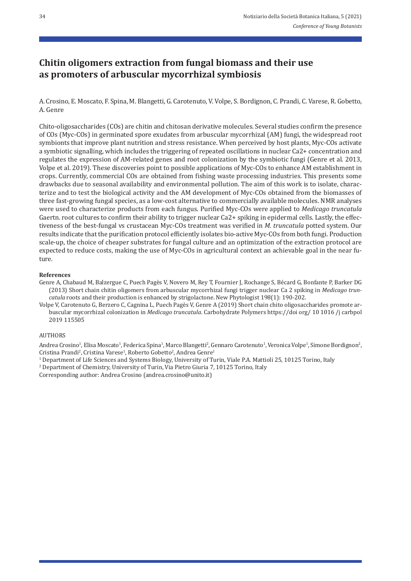# **Chitin oligomers extraction from fungal biomass and their use as promoters of arbuscular mycorrhizal symbiosis**

A. Crosino, E. Moscato, F. Spina, M. Blangetti, G. Carotenuto, V. Volpe, S. Bordignon, C. Prandi, C. Varese, R. Gobetto, A. Genre

Chito‐oligosaccharides (COs) are chitin and chitosan derivative molecules. Several studies confirm the presence of COs (Myc‐COs) in germinated spore exudates from arbuscular mycorrhizal (AM) fungi, the widespread root symbionts that improve plant nutrition and stress resistance. When perceived by host plants, Myc-COs activate a symbiotic signalling, which includes the triggering of repeated oscillations in nuclear Ca2+ concentration and regulates the expression of AM‐related genes and root colonization by the symbiotic fungi (Genre et al. 2013, Volpe et al. 2019). These discoveries point to possible applications of Myc‐COs to enhance AM establishment in crops. Currently, commercial COs are obtained from fishing waste processing industries. This presents some drawbacks due to seasonal availability and environmental pollution. The aim of this work is to isolate, charac‐ terize and to test the biological activity and the AM development of Myc‐COs obtained from the biomasses of three fast-growing fungal species, as a low-cost alternative to commercially available molecules. NMR analyses were used to characterize products from each fungus. Purified Myc‐COs were applied to *Medicago truncatula* Gaertn. root cultures to confirm their ability to trigger nuclear Ca2+ spiking in epidermal cells. Lastly, the effectiveness of the best‐fungal vs crustacean Myc‐COs treatment was verified in *M. truncatula* potted system. Our results indicate that the purification protocol efficiently isolates bio‐active Myc‐COs from both fungi. Production scale-up, the choice of cheaper substrates for fungal culture and an optimization of the extraction protocol are expected to reduce costs, making the use of Myc-COs in agricultural context an achievable goal in the near future.

#### **References**

- Genre A, Chabaud M, Balzergue C, Puech Pagès V, Novero M, Rey T, Fournier J, Rochange S, Bécard G, Bonfante P, Barker DG (2013) Short chain chitin oligomers from arbuscular mycorrhizal fungi trigger nuclear Ca 2 spiking in *Medicago trun‑ catula roots and their production is enhanced by strigolactone. New Phytologist 198(1): 190-202.*
- Volpe V, Carotenuto G, Berzero C, Cagnina L, Puech Pagès V, Genre A (2019) Short chain chito oligosaccharides promote ar‐ buscular mycorrhizal colonization in *Medicago truncatula*. Carbohydrate Polymers https://doi org/ 10 1016 /j carbpol 2019 115505

# AUTHORS

Andrea Crosino<sup>1</sup>, Elisa Moscato<sup>1</sup>, Federica Spina<sup>1</sup>, Marco Blangetti<sup>2</sup>, Gennaro Carotenuto<sup>1</sup>, Veronica Volpe<sup>1</sup>, Simone Bordignon<sup>2</sup>, Cristina Prandi<sup>2</sup>, Cristina Varese<sup>1</sup>, Roberto Gobetto<sup>2</sup>, Andrea Genre<sup>1</sup>

- 1 Department of Life Sciences and Systems Biology, University of Turin, Viale P.A. Mattioli 25, 10125 Torino, Italy
- 2 Department of Chemistry, University of Turin, Via Pietro Giuria 7, 10125 Torino, Italy

Corresponding author: Andrea Crosino (andrea.crosino@unito.it)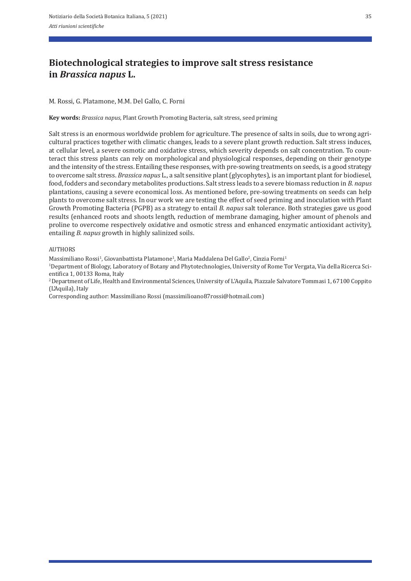# **Biotechnological strategies to improve salt stress resistance in** *Brassica napus* **L.**

### M. Rossi, G. Platamone, M.M. Del Gallo, C. Forni

**Key words:** *Brassica napus*, Plant Growth Promoting Bacteria, salt stress, seed priming

Salt stress is an enormous worldwide problem for agriculture. The presence of salts in soils, due to wrong agricultural practices together with climatic changes, leads to a severe plant growth reduction. Salt stress induces, at cellular level, a severe osmotic and oxidative stress, which severity depends on salt concentration. To counteract this stress plants can rely on morphological and physiological responses, depending on their genotype and the intensity of the stress. Entailing these responses, with pre-sowing treatments on seeds, is a good strategy to overcome salt stress. *Brassica napus* L., a salt sensitive plant (glycophytes), is an important plant for biodiesel, food, fodders and secondary metabolites productions. Salt stress leads to a severe biomass reduction in *B. napus*  plantations, causing a severe economical loss. As mentioned before, pre‐sowing treatments on seeds can help plants to overcome salt stress. In our work we are testing the effect of seed priming and inoculation with Plant Growth Promoting Bacteria (PGPB) as a strategy to entail *B. napus* salt tolerance. Both strategies gave us good results (enhanced roots and shoots length, reduction of membrane damaging, higher amount of phenols and proline to overcome respectively oxidative and osmotic stress and enhanced enzymatic antioxidant activity), entailing *B. napus* growth in highly salinized soils.

### AUTHORS

Massimiliano Rossi<sup>1</sup>, Giovanbattista Platamone<sup>1</sup>, Maria Maddalena Del Gallo<sup>2</sup>, Cinzia Forni<sup>1</sup>

1Department of Biology, Laboratory of Botany and Phytotechnologies, University of Rome Tor Vergata, Via della Ricerca Sci‐ entifica 1, 00133 Roma, Italy<br><sup>2</sup> Department of Life, Health and Environmental Sciences, University of L'Aquila, Piazzale Salvatore Tommasi 1, 67100 Coppito

(L'Aquila), Italy

Corresponding author: Massimiliano Rossi (massimilioano87rossi@hotmail.com)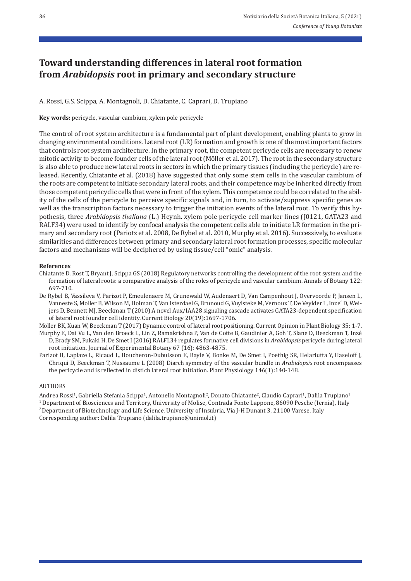## **Toward understanding differences in lateral root formation from** *Arabidopsis* **root in primary and secondary structure**

A. Rossi, G.S. Scippa, A. Montagnoli, D. Chiatante, C. Caprari, D. Trupiano

**Key words:** pericycle, vascular cambium, xylem pole pericycle

The control of root system architecture is a fundamental part of plant development, enabling plants to grow in changing environmental conditions. Lateral root (LR) formation and growth is one of the most important factors that controls root system architecture. In the primary root, the competent pericycle cells are necessary to renew mitotic activity to become founder cells of the lateral root (Möller et al. 2017). The root in the secondary structure is also able to produce new lateral roots in sectors in which the primary tissues (including the pericycle) are re‐ leased. Recently, Chiatante et al. (2018) have suggested that only some stem cells in the vascular cambium of the roots are competent to initiate secondary lateral roots, and their competence may be inherited directly from those competent pericyclic cells that were in front of the xylem. This competence could be correlated to the abil‐ ity of the cells of the pericycle to perceive specific signals and, in turn, to activate/suppress specific genes as well as the transcription factors necessary to trigger the initiation events of the lateral root. To verify this hypothesis, three *Arabidopsis thaliana* (L.) Heynh. xylem pole pericycle cell marker lines (J0121, GATA23 and RALF34) were used to identify by confocal analysis the competent cells able to initiate LR formation in the primary and secondary root (Pariotz et al. 2008, De Rybel et al. 2010, Murphy et al. 2016). Successively, to evaluate similarities and differences between primary and secondary lateral root formation processes, specific molecular factors and mechanisms will be deciphered by using tissue/cell "omic" analysis.

### **References**

- Chiatante D, Rost T, Bryant J, Scippa GS (2018) Regulatory networks controlling the development of the root system and the formation of lateral roots: a comparative analysis of the roles of pericycle and vascular cambium. Annals of Botany 122: 697‐710.
- De Rybel B, Vassileva V, Parizot P, Emeulenaere M, Grunewald W, Audenaert D, Van Campenhout J, Overvoorde P, Jansen L, Vanneste S, Moller B, Wilson M, Holman T, Van Isterdael G, Brunoud G, Vuylsteke M, Vernoux T, De Veylder L, Inze´ D, Wei‐ jers D, Bennett MJ, Beeckman T (2010) A novel Aux/IAA28 signaling cascade activates GATA23-dependent specification of lateral root founder cell identity. Current Biology 20(19):1697‐1706.

Möller BK, Xuan W, Beeckman T (2017) Dynamic control of lateral root positioning. Current Opinion in Plant Biology 35: 1‐7. Murphy E, Dai Vu L, Van den Broeck L, Lin Z, Ramakrishna P, Van de Cotte B, Gaudinier A, Goh T, Slane D, Beeckman T, Inzé D, Brady SM, Fukaki H, De Smet I (2016) RALFL34 regulates formative cell divisions in *Arabidopsis* pericycle during lateral root initiation. Journal of Experimental Botany 67 (16): 4863‐4875.

Parizot B, Laplaze L, Ricaud L, Boucheron‐Dubuisson E, Bayle V, Bonke M, De Smet I, Poethig SR, Helariutta Y, Haseloff J, Chriqui D, Beeckman T, Nussaume L (2008) Diarch symmetry of the vascular bundle in *Arabidopsis* root encompasses the pericycle and is reflected in distich lateral root initiation. Plant Physiology 146(1):140-148.

### AUTHORS

Andrea Rossi<sup>1</sup>, Gabriella Stefania Scippa<sup>1</sup>, Antonello Montagnoli<sup>2</sup>, Donato Chiatante<sup>2</sup>, Claudio Caprari<sup>1</sup>, Dalila Trupiano<sup>1</sup> 1 Department of Biosciences and Territory, University of Molise, Contrada Fonte Lappone, 86090 Pesche (Iernia), Italy <sup>2</sup> Department of Biotechnology and Life Science, University of Insubria, Via J-H Dunant 3, 21100 Varese, Italy Corresponding author: Dalila Trupiano (dalila.trupiano@unimol.it)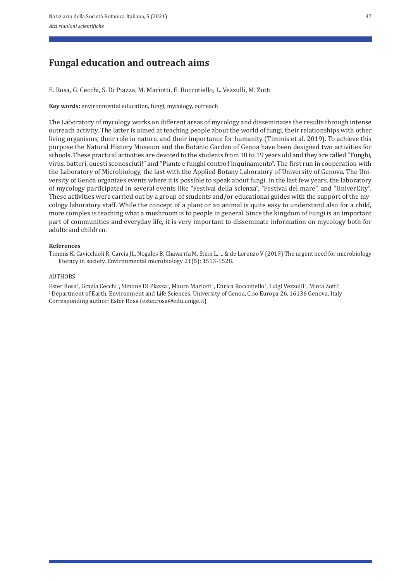## **Fungal education and outreach aims**

E. Rosa, G. Cecchi, S. Di Piazza, M. Mariotti, E. Roccotiello, L. Vezzulli, M. Zotti

**Key words:** environmental education, fungi, mycology, outreach

The Laboratory of mycology works on different areas of mycology and disseminates the results through intense outreach activity. The latter is aimed at teaching people about the world of fungi, their relationships with other living organisms, their role in nature, and their importance for humanity (Timmis et al. 2019). To achieve this purpose the Natural History Museum and the Botanic Garden of Genoa have been designed two activities for schools. These practical activities are devoted to the students from 10 to 19 years old and they are called "Funghi, virus, batteri, questi sconosciuti!" and "Piante e funghi contro l'inquinamento". The first run in cooperation with the Laboratory of Microbiology, the last with the Applied Botany Laboratory of University of Genova. The Uni‐ versity of Genoa organizes events where it is possible to speak about fungi. In the last few years, the laboratory of mycology participated in several events like "Festival della scienza", "Festival del mare", and "UniverCity". These activities were carried out by a group of students and/or educational guides with the support of the my‐ cology laboratory staff. While the concept of a plant or an animal is quite easy to understand also for a child, more complex is teaching what a mushroom is to people in general. Since the kingdom of Fungi is an important part of communities and everyday life, it is very important to disseminate information on mycology both for adults and children.

#### **References**

Timmis K, Cavicchioli R, Garcia JL, Nogales B, Chavarría M, Stein L, ... & de Lorenzo V (2019) The urgent need for microbiology literacy in society. Environmental microbiology 21(5): 1513‐1528.

#### AUTHORS

Ester Rosa<sup>1</sup>, Grazia Cecchi<sup>1</sup>, Simone Di Piazza<sup>1</sup>, Mauro Mariotti<sup>1</sup>, Enrica Roccotiello<sup>1</sup>, Luigi Vezzulli<sup>1</sup>, Mirca Zotti<sup>1</sup> 1 Department of Earth, Environment and Life Sciences, University of Genoa, C.so Europa 26, 16136 Genova, Italy Corresponding author: Ester Rosa (ester.rosa@edu.unige.it)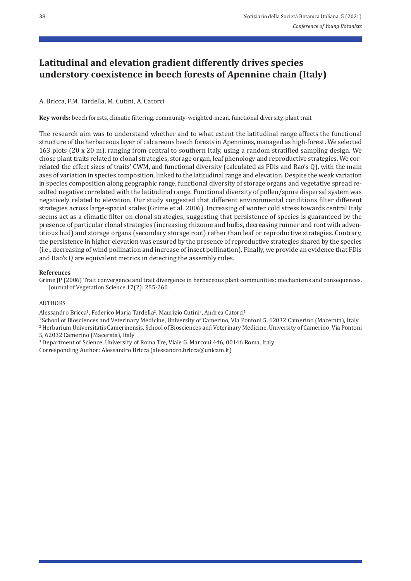## **Latitudinal and elevation gradient differently drives species understory coexistence in beech forests of Apennine chain (Italy)**

## A. Bricca, F.M. Tardella, M. Cutini, A. Catorci

Key words: beech forests, climatic filtering, community-weighted-mean, functional diversity, plant trait

The research aim was to understand whether and to what extent the latitudinal range affects the functional structure of the herbaceous layer of calcareous beech forests in Apennines, managed as high‐forest. We selected 163 plots (20 x 20 m), ranging from central to southern Italy, using a random stratified sampling design. We chose plant traits related to clonal strategies, storage organ, leaf phenology and reproductive strategies. We cor‐ related the effect sizes of traits' CWM, and functional diversity (calculated as FDis and Rao's Q), with the main axes of variation in species composition, linked to the latitudinal range and elevation. Despite the weak variation in species composition along geographic range, functional diversity of storage organs and vegetative spread resulted negative correlated with the latitudinal range. Functional diversity of pollen/spore dispersal system was negatively related to elevation. Our study suggested that different environmental conditions filter different strategies across large‐spatial scales (Grime et al. 2006). Increasing of winter cold stress towards central Italy seems act as a climatic filter on clonal strategies, suggesting that persistence of species is guaranteed by the presence of particular clonal strategies (increasing rhizome and bulbs, decreasing runner and root with adventitious bud) and storage organs (secondary storage root) rather than leaf or reproductive strategies. Contrary, the persistence in higher elevation was ensured by the presence of reproductive strategies shared by the species (i.e., decreasing of wind pollination and increase of insect pollination). Finally, we provide an evidence that FDis and Rao's Q are equivalent metrics in detecting the assembly rules.

### **References**

Grime JP (2006) Trait convergence and trait divergence in herbaceous plant communities: mechanisms and consequences. Journal of Vegetation Science 17(2): 255‐260.

### AUTHORS

Alessandro Bricca<sup>1</sup>, Federico Maria Tardella<sup>2</sup>, Maurizio Cutini<sup>3</sup>, Andrea Catorci<sup>1</sup>

<sup>1</sup> School of Biosciences and Veterinary Medicine, University of Camerino, Via Pontoni 5, 62032 Camerino (Macerata), Italy

2 Herbarium Universitatis Camerinensis, School of Biosciences and Veterinary Medicine, University of Camerino, Via Pontoni 5, 62032 Camerino (Macerata), Italy

<sup>3</sup> Department of Science, University of Roma Tre, Viale G. Marconi 446, 00146 Roma, Italy

Corresponding Author: Alessandro Bricca (alessandro.bricca@unicam.it)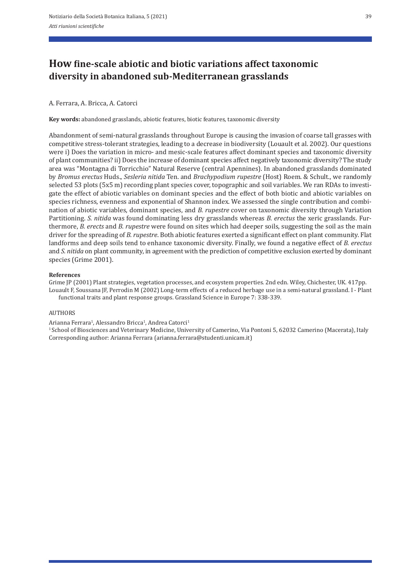# **How fine‑scale abiotic and biotic variations affect taxonomic diversity in abandoned sub‑Mediterranean grasslands**

### A. Ferrara, A. Bricca, A. Catorci

**Key words:** abandoned grasslands, abiotic features, biotic features, taxonomic diversity

Abandonment of semi‐natural grasslands throughout Europe is causing the invasion of coarse tall grasses with competitive stress‐tolerant strategies, leading to a decrease in biodiversity (Louault et al. 2002). Our questions were i) Does the variation in micro- and mesic-scale features affect dominant species and taxonomic diversity of plant communities? ii) Does the increase of dominant species affect negatively taxonomic diversity? The study area was "Montagna di Torricchio" Natural Reserve (central Apennines). In abandoned grasslands dominated by *Bromus erectus* Huds., *Sesleria nitida* Ten. and *Brachypodium rupestre* (Host) Roem. & Schult., we randomly selected 53 plots (5x5 m) recording plant species cover, topographic and soil variables. We ran RDAs to investigate the effect of abiotic variables on dominant species and the effect of both biotic and abiotic variables on species richness, evenness and exponential of Shannon index. We assessed the single contribution and combination of abiotic variables, dominant species, and *B. rupestre* cover on taxonomic diversity through Variation Partitioning. *S. nitida* was found dominating less dry grasslands whereas *B. erectus* the xeric grasslands. Fur‐ thermore, *B. erects* and *B. rupestre* were found on sites which had deeper soils, suggesting the soil as the main driver for the spreading of *B. rupestre*. Both abiotic features exerted a significant effect on plant community. Flat landforms and deep soils tend to enhance taxonomic diversity. Finally, we found a negative effect of *B. erectus* and *S. nitida* on plant community, in agreement with the prediction of competitive exclusion exerted by dominant species (Grime 2001).

#### **References**

Grime JP (2001) Plant strategies, vegetation processes, and ecosystem properties. 2nd edn. Wiley, Chichester, UK. 417pp. Louault F, Soussana JF, Perrodin M (2002) Long-term effects of a reduced herbage use in a semi-natural grassland. I - Plant functional traits and plant response groups. Grassland Science in Europe 7: 338‐339.

#### AUTHORS

Arianna Ferrara<sup>1</sup>, Alessandro Bricca<sup>1</sup>, Andrea Catorci<sup>1</sup> <sup>1</sup> School of Biosciences and Veterinary Medicine, University of Camerino, Via Pontoni 5, 62032 Camerino (Macerata), Italy Corresponding author: Arianna Ferrara (arianna.ferrara@studenti.unicam.it)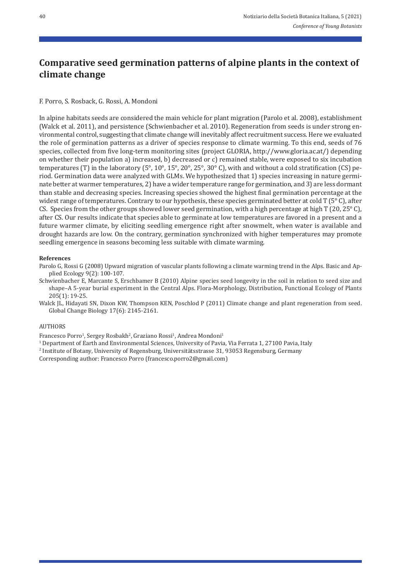# **Comparative seed germination patterns of alpine plants in the context of climate change**

F. Porro, S. Rosback, G. Rossi, A. Mondoni

In alpine habitats seeds are considered the main vehicle for plant migration (Parolo et al. 2008), establishment (Walck et al. 2011), and persistence (Schwienbacher et al. 2010). Regeneration from seeds is under strong en‐ vironmental control, suggesting that climate change will inevitably affect recruitment success. Here we evaluated the role of germination patterns as a driver of species response to climate warming. To this end, seeds of 76 species, collected from five long‐term monitoring sites (project GLORIA, http://www.gloria.ac.at/) depending on whether their population a) increased, b) decreased or c) remained stable, were exposed to six incubation temperatures (T) in the laboratory (5°, 10°, 15°, 20°, 25°, 30° C), with and without a cold stratification (CS) pe‐ riod. Germination data were analyzed with GLMs. We hypothesized that 1) species increasing in nature germi‐ nate better at warmer temperatures, 2) have a wider temperature range for germination, and 3) are less dormant than stable and decreasing species. Increasing species showed the highest final germination percentage at the widest range of temperatures. Contrary to our hypothesis, these species germinated better at cold T (5°C), after CS. Species from the other groups showed lower seed germination, with a high percentage at high T (20, 25° C), after CS. Our results indicate that species able to germinate at low temperatures are favored in a present and a future warmer climate, by eliciting seedling emergence right after snowmelt, when water is available and drought hazards are low. On the contrary, germination synchronized with higher temperatures may promote seedling emergence in seasons becoming less suitable with climate warming.

#### **References**

Parolo G, Rossi G (2008) Upward migration of vascular plants following a climate warming trend in the Alps. Basic and Ap‐ plied Ecology 9(2): 100‐107.

Schwienbacher E, Marcante S, Erschbamer B (2010) Alpine species seed longevity in the soil in relation to seed size and shape–A 5-year burial experiment in the Central Alps. Flora-Morphology, Distribution, Functional Ecology of Plants 205(1): 19‐25.

Walck JL, Hidayati SN, Dixon KW, Thompson KEN, Poschlod P (2011) Climate change and plant regeneration from seed. Global Change Biology 17(6): 2145‐2161.

#### AUTHORS

Francesco Porro<sup>1</sup>, Sergey Rosbakh<sup>2</sup>, Graziano Rossi<sup>1</sup>, Andrea Mondoni<sup>1</sup>

- <sup>1</sup> Department of Earth and Environmental Sciences, University of Pavia, Via Ferrata 1, 27100 Pavia, Italy
- 2 Institute of Botany, University of Regensburg, Universitätsstrasse 31, 93053 Regensburg, Germany

Corresponding author: Francesco Porro (francesco.porro2@gmail.com)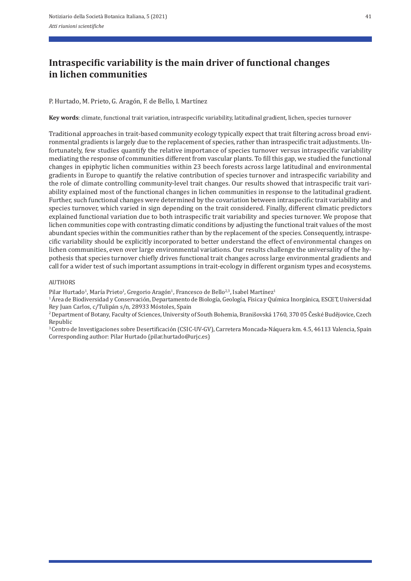# **Intraspecific variability is the main driver of functional changes in lichen communities**

P. Hurtado, M. Prieto, G. Aragón, F. de Bello, I. Martínez

**Key words**: climate, functional trait variation, intraspecific variability, latitudinal gradient, lichen, species turnover

Traditional approaches in trait‐based community ecology typically expect that trait filtering across broad envi‐ ronmental gradients is largely due to the replacement of species, rather than intraspecific trait adjustments. Un‐ fortunately, few studies quantify the relative importance of species turnover versus intraspecific variability mediating the response of communities different from vascular plants. To fill this gap, we studied the functional changes in epiphytic lichen communities within 23 beech forests across large latitudinal and environmental gradients in Europe to quantify the relative contribution of species turnover and intraspecific variability and the role of climate controlling community-level trait changes. Our results showed that intraspecific trait variability explained most of the functional changes in lichen communities in response to the latitudinal gradient. Further, such functional changes were determined by the covariation between intraspecific trait variability and species turnover, which varied in sign depending on the trait considered. Finally, different climatic predictors explained functional variation due to both intraspecific trait variability and species turnover. We propose that lichen communities cope with contrasting climatic conditions by adjusting the functional trait values of the most abundant species within the communities rather than by the replacement of the species. Consequently, intraspe‐ cific variability should be explicitly incorporated to better understand the effect of environmental changes on lichen communities, even over large environmental variations. Our results challenge the universality of the hy‐ pothesis that species turnover chiefly drives functional trait changes across large environmental gradients and call for a wider test of such important assumptions in trait‐ecology in different organism types and ecosystems.

### AUTHORS

Pilar Hurtado<sup>1</sup>, María Prieto<sup>1</sup>, Gregorio Aragón<sup>1</sup>, Francesco de Bello<sup>2,3</sup>, Isabel Martínez<sup>1</sup>

1 Área de Biodiversidad y Conservación, Departamento de Biología, Geología, Física y Química Inorgánica, ESCET, Universidad Rey Juan Carlos, c/Tulipán s/n, 28933 Móstoles, Spain

2 Department of Botany, Faculty of Sciences, University of South Bohemia, Branišovská 1760, 370 05 České Budějovice, Czech Republic

3 Centro de Investigaciones sobre Desertificación (CSIC‐UV‐GV), Carretera Moncada‐Náquera km. 4.5, 46113 Valencia, Spain Corresponding author: Pilar Hurtado (pilar.hurtado@urjc.es)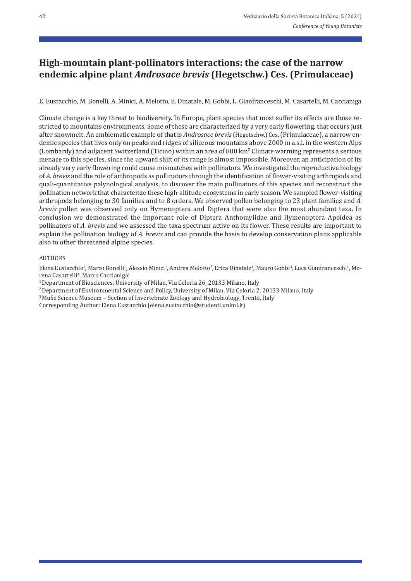## **High‑mountain plant‑pollinators interactions: the case of the narrow endemic alpine plant** *Androsace brevis* **(Hegetschw.) Ces. (Primulaceae)**

E. Eustacchio, M. Bonelli, A. Minici, A. Melotto, E. Dinatale, M. Gobbi, L. Gianfranceschi, M. Casartelli, M. Caccianiga

Climate change is a key threat to biodiversity. In Europe, plant species that most suffer its effects are those re‐ stricted to mountains environments. Some of these are characterized by a very early flowering, that occurs just after snowmelt. An emblematic example of that is *Androsace brevis*(Hegetschw.) Ces. (Primulaceae), a narrow en‐ demic species that lives only on peaks and ridges of siliceous mountains above 2000 m a.s.l. in the western Alps (Lombardy) and adjacent Switzerland (Ticino) within an area of 800 km2 Climate warming represents a serious menace to this species, since the upward shift of its range is almost impossible. Moreover, an anticipation of its already very early flowering could cause mismatches with pollinators. We investigated the reproductive biology of *A. brevis* and the role of arthropods as pollinators through the identification of flower-visiting arthropods and quali‐quantitative palynological analysis, to discover the main pollinators of this species and reconstruct the pollination network that characterize these high‐altitude ecosystems in early season. We sampled flower‐visiting arthropods belonging to 30 families and to 8 orders. We observed pollen belonging to 23 plant families and *A. brevis* pollen was observed only on Hymenoptera and Diptera that were also the most abundant taxa. In conclusion we demonstrated the important role of Diptera Anthomyiidae and Hymenoptera Apoidea as pollinators of *A. brevis* and we assessed the taxa spectrum active on its flower. These results are important to explain the pollination biology of *A. brevis* and can provide the basis to develop conservation plans applicable also to other threatened alpine species.

### AUTHORS

Elena Eustacchio<sup>1</sup>, Marco Bonelli<sup>1</sup>, Alessio Minici<sup>1</sup>, Andrea Melotto<sup>2</sup>, Erica Dinatale<sup>1</sup>, Mauro Gobbi<sup>3</sup>, Luca Gianfranceschi<sup>1</sup>, Morena Casartelli<sup>1</sup>, Marco Caccianiga<sup>1</sup>

<sup>1</sup> Department of Biosciences, University of Milan, Via Celoria 26, 20133 Milano, Italy

<sup>2</sup> Department of Environmental Science and Policy, University of Milan, Via Celoria 2, 20133 Milano, Italy  $3$  MuSe Science Museum – Section of Invertebrate Zoology and Hydrobiology, Trento, Italy

Corresponding Author: Elena Eustacchio (elena.eustacchio@studenti.unimi.it)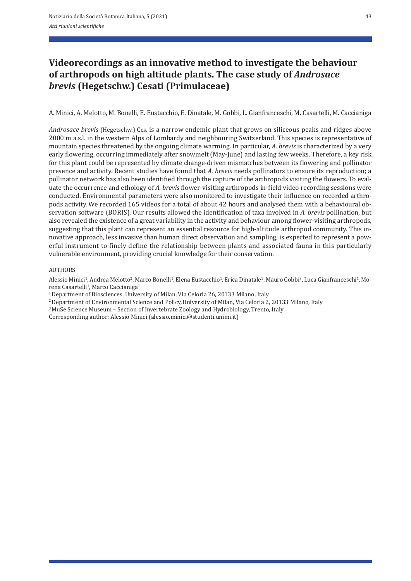# **Videorecordings as an innovative method to investigate the behaviour of arthropods on high altitude plants. The case study of** *Androsace brevis* **(Hegetschw.) Cesati (Primulaceae)**

A. Minici, A. Melotto, M. Bonelli, E. Eustacchio, E. Dinatale, M. Gobbi, L. Gianfranceschi, M. Casartelli, M. Caccianiga

*Androsace brevis* (Hegetschw.) Ces. is a narrow endemic plant that grows on siliceous peaks and ridges above 2000 m a.s.l. in the western Alps of Lombardy and neighbouring Switzerland. This species is representative of mountain species threatened by the ongoing climate warming. In particular, *A. brevis* is characterized by a very early flowering, occurring immediately after snowmelt (May-June) and lasting few weeks. Therefore, a key risk for this plant could be represented by climate change-driven mismatches between its flowering and pollinator presence and activity. Recent studies have found that *A. brevis* needs pollinators to ensure its reproduction; a pollinator network has also been identified through the capture of the arthropods visiting the flowers. To evaluate the occurrence and ethology of *A. brevis* flower-visiting arthropods in-field video recording sessions were conducted. Environmental parameters were also monitored to investigate their influence on recorded arthropods activity. We recorded 165 videos for a total of about 42 hours and analysed them with a behavioural ob‐ servation software (BORIS). Our results allowed the identification of taxa involved in *A. brevis* pollination, but also revealed the existence of a great variability in the activity and behaviour among flower‐visiting arthropods, suggesting that this plant can represent an essential resource for high-altitude arthropod community. This innovative approach, less invasive than human direct observation and sampling, is expected to represent a powerful instrument to finely define the relationship between plants and associated fauna in this particularly vulnerable environment, providing crucial knowledge for their conservation.

### **AUTHORS**

Alessio Minici<sup>1</sup>, Andrea Melotto<sup>2</sup>, Marco Bonelli<sup>1</sup>, Elena Eustacchio<sup>1</sup>, Erica Dinatale<sup>1</sup>, Mauro Gobbi<sup>3</sup>, Luca Gianfranceschi<sup>1</sup>, Morena Casartelli<sup>1</sup>, Marco Caccianiga<sup>1</sup>

<sup>1</sup> Department of Biosciences, University of Milan, Via Celoria 26, 20133 Milano, Italy

<sup>2</sup> Department of Environmental Science and Policy, University of Milan, Via Celoria 2, 20133 Milano, Italy  $3$  MuSe Science Museum – Section of Invertebrate Zoology and Hydrobiology, Trento, Italy

Corresponding author: Alessio Minici (alessio.minici@studenti.unimi.it)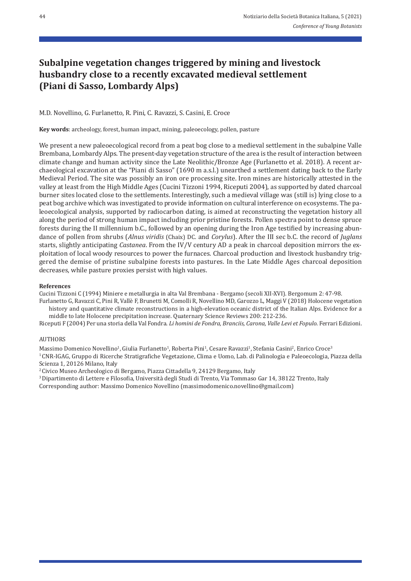# **Subalpine vegetation changes triggered by mining and livestock husbandry close to a recently excavated medieval settlement (Piani di Sasso, Lombardy Alps)**

M.D. Novellino, G. Furlanetto, R. Pini, C. Ravazzi, S. Casini, E. Croce

**Key words**: archeology, forest, human impact, mining, paleoecology, pollen, pasture

We present a new paleoecological record from a peat bog close to a medieval settlement in the subalpine Valle Brembana, Lombardy Alps. The present‐day vegetation structure of the area is the result of interaction between climate change and human activity since the Late Neolithic/Bronze Age (Furlanetto et al. 2018). A recent ar‐ chaeological excavation at the "Piani di Sasso" (1690 m a.s.l.) unearthed a settlement dating back to the Early Medieval Period. The site was possibly an iron ore processing site. Iron mines are historically attested in the valley at least from the High Middle Ages (Cucini Tizzoni 1994, Riceputi 2004), as supported by dated charcoal burner sites located close to the settlements. Interestingly, such a medieval village was (still is) lying close to a peat bog archive which was investigated to provide information on cultural interference on ecosystems. The pa‐ leoecological analysis, supported by radiocarbon dating, is aimed at reconstructing the vegetation history all along the period of strong human impact including prior pristine forests. Pollen spectra point to dense spruce forests during the II millennium b.C., followed by an opening during the Iron Age testified by increasing abun– dance of pollen from shrubs (*Alnus viridis* (Chaix) DC. and *Corylus*). After the III sec b.C. the record of *Juglans* starts, slightly anticipating *Castanea*. From the IV/V century AD a peak in charcoal deposition mirrors the ex‐ ploitation of local woody resources to power the furnaces. Charcoal production and livestock husbandry trig‐ gered the demise of pristine subalpine forests into pastures. In the Late Middle Ages charcoal deposition decreases, while pasture proxies persist with high values.

#### **References**

Cucini Tizzoni C (1994) Miniere e metallurgia in alta Val Brembana ‐ Bergamo (secoli XII‐XVI). Bergomum 2: 47‐98.

Furlanetto G, Ravazzi C, Pini R, Vallè F, Brunetti M, Comolli R, Novellino MD, Garozzo L, Maggi V (2018) Holocene vegetation history and quantitative climate reconstructions in a high‐elevation oceanic district of the Italian Alps. Evidence for a middle to late Holocene precipitation increase. Quaternary Science Reviews 200: 212‐236.

Riceputi F (2004) Per una storia della Val Fondra. *Li homini de Fondra, Branciis, Carona, Valle Levi et Fopulo*. Ferrari Edizioni.

### AUTHORS

Massimo Domenico Novellino<sup>1</sup>, Giulia Furlanetto<sup>1</sup>, Roberta Pini<sup>1</sup>, Cesare Ravazzi<sup>1</sup>, Stefania Casini<sup>2</sup>, Enrico Croce<sup>3</sup> 1 CNR‐IGAG, Gruppo di Ricerche Stratigrafiche Vegetazione, Clima e Uomo, Lab. di Palinologia e Paleoecologia, Piazza della Scienza 1, 20126 Milano, Italy

2 Civico Museo Archeologico di Bergamo, Piazza Cittadella 9, 24129 Bergamo, Italy

3 Dipartimento di Lettere e Filosofia, Università degli Studi di Trento, Via Tommaso Gar 14, 38122 Trento, Italy Corresponding author: Massimo Domenico Novellino (massimodomenico.novellino@gmail.com)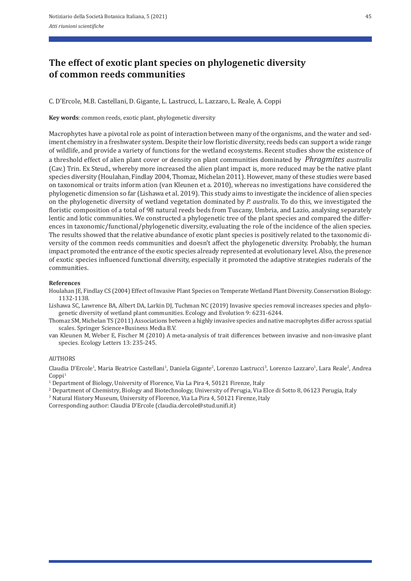## **The effect of exotic plant species on phylogenetic diversity of common reeds communities**

C. D'Ercole, M.B. Castellani, D. Gigante, L. Lastrucci, L. Lazzaro, L. Reale, A. Coppi

**Key words**: common reeds, exotic plant, phylogenetic diversity

Macrophytes have a pivotal role as point of interaction between many of the organisms, and the water and sediment chemistry in a freshwater system. Despite their low floristic diversity, reeds beds can support a wide range of wildlife, and provide a variety of functions for the wetland ecosystems. Recent studies show the existence of a threshold effect of alien plant cover or density on plant communities dominated by *Phragmites australis* (Cav.) Trin. Ex Steud., whereby more increased the alien plant impact is, more reduced may be the native plant species diversity (Houlahan, Findlay 2004, Thomaz, Michelan 2011). However, many of these studies were based on taxonomical or traits inform ation (van Kleunen et a. 2010), whereas no investigations have considered the phylogenetic dimension so far (Lishawa et al. 2019). This study aims to investigate the incidence of alien species on the phylogenetic diversity of wetland vegetation dominated by *P. australis*. To do this, we investigated the floristic composition of a total of 98 natural reeds beds from Tuscany, Umbria, and Lazio, analysing separately lentic and lotic communities. We constructed a phylogenetic tree of the plant species and compared the differ‐ ences in taxonomic/functional/phylogenetic diversity, evaluating the role of the incidence of the alien species. The results showed that the relative abundance of exotic plant species is positively related to the taxonomic diversity of the common reeds communities and doesn't affect the phylogenetic diversity. Probably, the human impact promoted the entrance of the exotic species already represented at evolutionary level. Also, the presence of exotic species influenced functional diversity, especially it promoted the adaptive strategies ruderals of the communities.

#### **References**

Houlahan JE, Findlay CS (2004) Effect of Invasive Plant Species on Temperate Wetland Plant Diversity. Conservation Biology: 1132‐1138.

Lishawa SC, Lawrence BA, Albert DA, Larkin DJ, Tuchman NC (2019) Invasive species removal increases species and phylo‐ genetic diversity of wetland plant communities. Ecology and Evolution 9: 6231‐6244.

Thomaz SM, Michelan TS (2011) Associations between a highly invasive species and native macrophytes differ across spatial scales. Springer Science+Business Media B.V.

van Kleunen M, Weber E, Fischer M (2010) A meta-analysis of trait differences between invasive and non-invasive plant species. Ecology Letters 13: 235‐245.

### AUTHORS

Claudia D'Ercole<sup>1</sup>, Maria Beatrice Castellani<sup>1</sup>, Daniela Gigante<sup>2</sup>, Lorenzo Lastrucci<sup>3</sup>, Lorenzo Lazzaro<sup>1</sup>, Lara Reale<sup>2</sup>, Andrea  $Coppi<sup>1</sup>$ 

<sup>1</sup> Department of Biology, University of Florence, Via La Pira 4, 50121 Firenze, Italy

2 Department of Chemistry, Biology and Biotechnology, University of Perugia, Via Elce di Sotto 8, 06123 Perugia, Italy

3 Natural History Museum, University of Florence, Via La Pira 4, 50121 Firenze, Italy

Corresponding author: Claudia D'Ercole (claudia.dercole@stud.unifi.it)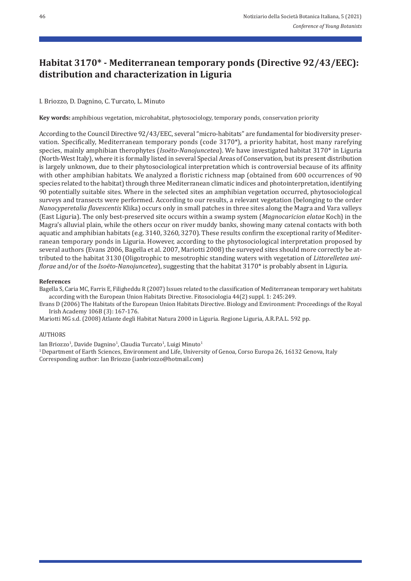## **Habitat 3170\* ‑ Mediterranean temporary ponds (Directive 92/43/EEC): distribution and characterization in Liguria**

## I. Briozzo, D. Dagnino, C. Turcato, L. Minuto

**Key words:** amphibious vegetation, microhabitat, phytosociology, temporary ponds, conservation priority

According to the Council Directive 92/43/EEC, several "micro‐habitats" are fundamental for biodiversity preser‐ vation. Specifically, Mediterranean temporary ponds (code 3170\*), a priority habitat, host many rarefying species, mainly amphibian therophytes (*Isoëto-Nanojuncetea*). We have investigated habitat 3170<sup>\*</sup> in Liguria (North‐West Italy), where it is formally listed in several Special Areas of Conservation, but its present distribution is largely unknown, due to their phytosociological interpretation which is controversial because of its affinity with other amphibian habitats. We analyzed a floristic richness map (obtained from 600 occurrences of 90 species related to the habitat) through three Mediterranean climatic indices and photointerpretation, identifying 90 potentially suitable sites. Where in the selected sites an amphibian vegetation occurred, phytosociological surveys and transects were performed. According to our results, a relevant vegetation (belonging to the order *Nanocyperetalia flavescentis* Klika) occurs only in small patches in three sites along the Magra and Vara valleys (East Liguria). The only best‐preserved site occurs within a swamp system (*Magnocaricion elatae* Koch) in the Magra's alluvial plain, while the others occur on river muddy banks, showing many catenal contacts with both aquatic and amphibian habitats (e.g. 3140, 3260, 3270). These results confirm the exceptional rarity of Mediterranean temporary ponds in Liguria. However, according to the phytosociological interpretation proposed by several authors (Evans 2006, Bagella et al. 2007, Mariotti 2008) the surveyed sites should more correctly be attributed to the habitat 3130 (Oligotrophic to mesotrophic standing waters with vegetation of *Littorelletea uni‑ florae* and/or of the *Isoëto‑Nanojuncetea*), suggesting that the habitat 3170\* is probably absent in Liguria.

### **References**

Bagella S, Caria MC, Farris E, Filigheddu R (2007) Issues related to the classification of Mediterranean temporary wet habitats according with the European Union Habitats Directive. Fitosociologia 44(2) suppl. 1: 245:249.

Evans D (2006) The Habitats of the European Union Habitats Directive. Biology and Environment: Proceedings of the Royal Irish Academy 106B (3): 167‐176.

Mariotti MG s.d. (2008) Atlante degli Habitat Natura 2000 in Liguria. Regione Liguria, A.R.P.A.L. 592 pp.

### AUTHORS

Ian Briozzo<sup>1</sup>, Davide Dagnino<sup>1</sup>, Claudia Turcato<sup>1</sup>, Luigi Minuto<sup>1</sup>

1 Department of Earth Sciences, Environment and Life, University of Genoa, Corso Europa 26, 16132 Genova, Italy Corresponding author: Ian Briozzo (ianbriozzo@hotmail.com)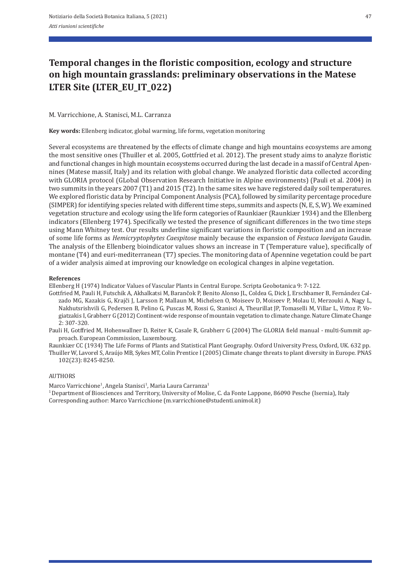# **Temporal changes in the floristic composition, ecology and structure on high mountain grasslands: preliminary observations in the Matese LTER Site (LTER\_EU\_IT\_022)**

### M. Varricchione, A. Stanisci, M.L. Carranza

**Key words:** Ellenberg indicator, global warming, life forms, vegetation monitoring

Several ecosystems are threatened by the effects of climate change and high mountains ecosystems are among the most sensitive ones (Thuiller et al. 2005, Gottfried et al. 2012). The present study aims to analyze floristic and functional changes in high mountain ecosystems occurred during the last decade in a massif of Central Apennines (Matese massif, Italy) and its relation with global change. We analyzed floristic data collected according with GLORIA protocol (GLobal Observation Research Initiative in Alpine environments) (Pauli et al. 2004) in two summits in the years 2007 (T1) and 2015 (T2). In the same sites we have registered daily soil temperatures. We explored floristic data by Principal Component Analysis (PCA), followed by similarity percentage procedure (SIMPER) for identifying species related with different time steps, summits and aspects (N, E, S, W). We examined vegetation structure and ecology using the life form categories of Raunkiaer (Raunkiær 1934) and the Ellenberg indicators (Ellenberg 1974). Specifically we tested the presence of significant differences in the two time steps using Mann Whitney test. Our results underline significant variations in floristic composition and an increase of some life forms as *Hemicryptophytes Caespitose* mainly because the expansion of *Festuca laevigata* Gaudin. The analysis of the Ellenberg bioindicator values shows an increase in T (Temperature value), specifically of montane (T4) and euri-mediterranean (T7) species. The monitoring data of Apennine vegetation could be part of a wider analysis aimed at improving our knowledge on ecological changes in alpine vegetation.

#### **References**

Ellenberg H (1974) Indicator Values of Vascular Plants in Central Europe. Scripta Geobotanica 9: 7‐122.

Gottfried M, Pauli H, Futschik A, Akhalkatsi M, Barančok P, Benito Alonso JL, Coldea G, Dick J, Erschbamer B, Fernández Cal‐ zado MG, Kazakis G, Krajči J, Larsson P, Mallaun M, Michelsen O, Moiseev D, Moiseev P, Molau U, Merzouki A, Nagy L, Nakhutsrishvili G, Pedersen B, Pelino G, Puscas M, Rossi G, Stanisci A, Theurillat JP, Tomaselli M, Villar L, Vittoz P, Vo‐ giatzakis I, Grabherr G (2012) Continent‐wide response of mountain vegetation to climate change. Nature Climate Change 2: 307‐320.

Pauli H, Gotffried M, Hohenwallner D, Reiter K, Casale R, Grabherr G (2004) The GLORIA field manual ‐ multi‐Summit ap‐ proach. European Commission, Luxembourg.

Raunkiær CC (1934) The Life Forms of Plants and Statistical Plant Geography. Oxford University Press, Oxford, UK. 632 pp. Thuiller W, Lavorel S, Araújo MB, Sykes MT, Colin Prentice I (2005) Climate change threats to plant diversity in Europe. PNAS 102(23): 8245‐8250.

### AUTHORS

Marco Varricchione<sup>1</sup>, Angela Stanisci<sup>1</sup>, Maria Laura Carranza<sup>1</sup>

1 Department of Biosciences and Territory, University of Molise, C. da Fonte Lappone, 86090 Pesche (Isernia), Italy Corresponding author: Marco Varricchione (m.varricchione@studenti.unimol.it)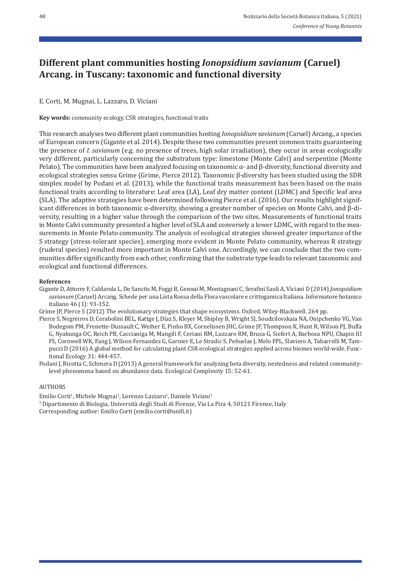## **Different plant communities hosting** *Ionopsidium savianum* **(Caruel) Arcang. in Tuscany: taxonomic and functional diversity**

E. Corti, M. Mugnai, L. Lazzaro, D. Viciani

**Key words:** community ecology, CSR strategies, functional traits

This research analyses two different plant communities hosting *Ionopsidium savianum* (Caruel) Arcang., a species of European concern (Gigante et al. 2014). Despite these two communities present common traits guaranteeing the presence of *I. savianum* (e.g. no presence of trees, high solar irradiation), they occur in areas ecologically very different, particularly concerning the substratum type: limestone (Monte Calvi) and serpentine (Monte Pelato). The communities have been analyzed focusing on taxonomic  $\alpha$ - and  $\beta$ -diversity, functional diversity and ecological strategies sensu Grime (Grime, Pierce 2012). Taxonomic β‐diversity has been studied using the SDR simplex model by Podani et al. (2013), while the functional traits measurement has been based on the main functional traits according to literature: Leaf area (LA), Leaf dry matter content (LDMC) and Specific leaf area (SLA). The adaptive strategies have been determined following Pierce et al. (2016). Our results highlight signif‐ icant differences in both taxonomic α‐diversity, showing a greater number of species on Monte Calvi, and β‐di‐ versity, resulting in a higher value through the comparison of the two sites. Measurements of functional traits in Monte Calvi community presented a higher level of SLA and conversely a lower LDMC, with regard to the measurements in Monte Pelato community. The analysis of ecological strategies showed greater importance of the S strategy (stress‐tolerant species), emerging more evident in Monte Pelato community, whereas R strategy (ruderal species) resulted more important in Monte Calvi one. Accordingly, we can conclude that the two com‐ munities differ significantly from each other, confirming that the substrate type leads to relevant taxonomic and ecological and functional differences.

### **References**

Gigante D, Attorre F, Caldarola L, De Sanctis M, Foggi B, Gennai M, Montagnani C, Serafini Sauli A, Viciani D (2014) *Jonopsidium savianum* (Caruel) Arcang. Schede per una Lista Rossa della Flora vascolare e crittogamica Italiana. Informatore botanico italiano 46 (1): 93‐152.

Grime JP, Pierce S (2012) The evolutionary strategies that shape ecosystems. Oxford, Wiley-Blackwell. 264 pp.

Pierce S, Negreiros D, Cerabolini BEL, Kattge J, Díaz S, Kleyer M, Shipley B, Wright SJ, Soudzilovskaia NA, Onipchenko VG, Van Bodegom PM, Frenette‐Dussault C, Weiher E, Pinho BX, Cornelissen JHC, Grime JP, Thompson K, Hunt R, Wilson PJ, Buffa G, Nyakunga OC, Reich PB, Caccianiga M, Mangili F, Ceriani RM, Luzzaro RM, Brusa G, Siefert A, Barbosa NPU, Chapin III FS, Cornwell WK, Fang J, Wilson Fernandez G, Garnier E, Le Stradic S, Peñuelas J, Melo FPL, Slaviero A, Tabarrelli M, Tam‐ pucci D (2016) A global method for calculating plant CSR ecological strategies applied across biomes world-wide. Functional Ecology 31: 444‐457.

Podani J, Ricotta C, Schmera D (2013) A general framework for analyzing beta diversity, nestedness and related communitylevel phenomena based on abundance data. Ecological Complexity 15: 52‐61.

### AUTHORS

Emilio Corti<sup>1</sup>, Michele Mugnai<sup>1</sup>, Lorenzo Lazzaro<sup>1</sup>, Daniele Viciani<sup>1</sup> 1 Dipartimento di Biologia, Università degli Studi di Firenze, Via La Pira 4, 50121 Firenze, Italy Corresponding author: Emilio Corti (emilio.corti@unifi.it)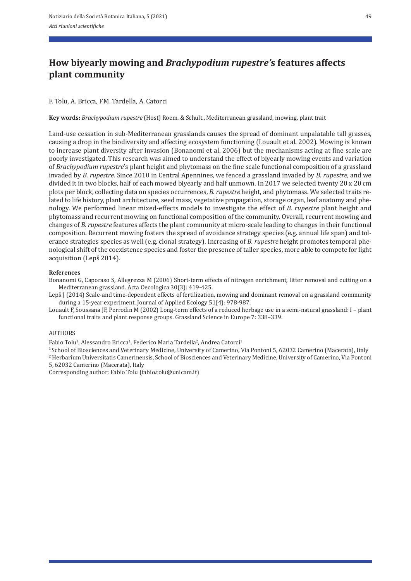# **How biyearly mowing and** *Brachypodium rupestre'***s features affects plant community**

## F. Tolu, A. Bricca, F.M. Tardella, A. Catorci

**Key words:** *Brachypodium rupestre* (Host) Roem. & Schult., Mediterranean grassland, mowing, plant trait

Land-use cessation in sub-Mediterranean grasslands causes the spread of dominant unpalatable tall grasses, causing a drop in the biodiversity and affecting ecosystem functioning (Louault et al. 2002). Mowing is known to increase plant diversity after invasion (Bonanomi et al. 2006) but the mechanisms acting at fine scale are poorly investigated. This research was aimed to understand the effect of biyearly mowing events and variation of *Brachypodium rupestre*'s plant height and phytomass on the fine scale functional composition of a grassland invaded by *B. rupestre*. Since 2010 in Central Apennines, we fenced a grassland invaded by *B. rupestre*, and we divided it in two blocks, half of each mowed biyearly and half unmown. In 2017 we selected twenty 20 x 20 cm plots per block, collecting data on species occurrences, *B. rupestre* height, and phytomass. We selected traits re‐ lated to life history, plant architecture, seed mass, vegetative propagation, storage organ, leaf anatomy and phenology. We performed linear mixed‐effects models to investigate the effect of *B. rupestre* plant height and phytomass and recurrent mowing on functional composition of the community. Overall, recurrent mowing and changes of *B. rupestre* features affects the plant community at micro‐scale leading to changes in their functional composition. Recurrent mowing fosters the spread of avoidance strategy species (e.g. annual life span) and tolerance strategies species as well (e.g. clonal strategy). Increasing of *B. rupestre* height promotes temporal phe‐ nological shift of the coexistence species and foster the presence of taller species, more able to compete for light acquisition (Lepš 2014).

### **References**

Bonanomi G, Caporaso S, Allegrezza M (2006) Short‐term effects of nitrogen enrichment, litter removal and cutting on a Mediterranean grassland. Acta Oecologica 30(3): 419‐425.

Lepš J (2014) Scale-and time-dependent effects of fertilization, mowing and dominant removal on a grassland community during a 15‐year experiment. Journal of Applied Ecology 51(4): 978‐987.

Louault F, Soussana JF, Perrodin M (2002) Long-term effects of a reduced herbage use in a semi-natural grassland: I – plant functional traits and plant response groups. Grassland Science in Europe 7: 338–339.

### AUTHORS

Fabio Tolu<sup>1</sup>, Alessandro Bricca<sup>1</sup>, Federico Maria Tardella<sup>2</sup>, Andrea Catorci<sup>1</sup>

1 School of Biosciences and Veterinary Medicine, University of Camerino, Via Pontoni 5, 62032 Camerino (Macerata), Italy 2 Herbarium Universitatis Camerinensis, School of Biosciences and Veterinary Medicine, University of Camerino, Via Pontoni

5, 62032 Camerino (Macerata), Italy

Corresponding author: Fabio Tolu (fabio.tolu@unicam.it)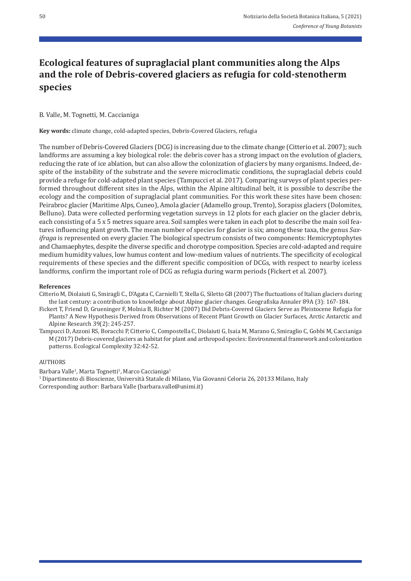# **Ecological features of supraglacial plant communities along the Alps and the role of Debris‑covered glaciers as refugia for cold‑stenotherm species**

### B. Valle, M. Tognetti, M. Caccianiga

**Key words:** climate change, cold‐adapted species, Debris‐Covered Glaciers, refugia

The number of Debris-Covered Glaciers (DCG) is increasing due to the climate change (Citterio et al. 2007); such landforms are assuming a key biological role: the debris cover has a strong impact on the evolution of glaciers, reducing the rate of ice ablation, but can also allow the colonization of glaciers by many organisms. Indeed, de‐ spite of the instability of the substrate and the severe microclimatic conditions, the supraglacial debris could provide a refuge for cold‐adapted plant species (Tampucci et al. 2017). Comparing surveys of plant species per‐ formed throughout different sites in the Alps, within the Alpine altitudinal belt, it is possible to describe the ecology and the composition of supraglacial plant communities. For this work these sites have been chosen: Peirabroc glacier (Maritime Alps, Cuneo), Amola glacier (Adamello group, Trento), Sorapiss glaciers (Dolomites, Belluno). Data were collected performing vegetation surveys in 12 plots for each glacier on the glacier debris, each consisting of a 5 x 5 metres square area. Soil samples were taken in each plot to describe the main soil features influencing plant growth. The mean number of species for glacier is six; among these taxa, the genus *Sax‑ ifraga* is represented on every glacier. The biological spectrum consists of two components: Hemicryptophytes and Chamaephytes, despite the diverse specific and chorotype composition. Species are cold‐adapted and require medium humidity values, low humus content and low-medium values of nutrients. The specificity of ecological requirements of these species and the different specific composition of DCGs, with respect to nearby iceless landforms, confirm the important role of DCG as refugia during warm periods (Fickert et al. 2007).

#### **References**

- Citterio M, Diolaiuti G, Smiragli C., D'Agata C, Carnielli T, Stella G, Siletto GB (2007) The fluctuations of Italian glaciers during the last century: a contribution to knowledge about Alpine glacier changes. Geografiska Annaler 89A (3): 167‐184.
- Fickert T, Friend D, Grueninger F, Molnia B, Richter M (2007) Did Debris‐Covered Glaciers Serve as Pleistocene Refugia for Plants? A New Hypothesis Derived from Observations of Recent Plant Growth on Glacier Surfaces, Arctic Antarctic and Alpine Research 39(2): 245‐257.
- Tampucci D, Azzoni RS, Boracchi P, Citterio C, Compostella C, Diolaiuti G, Isaia M, Marano G, Smiraglio C, Gobbi M, Caccianiga M (2017) Debris‐covered glaciers as habitat for plant and arthropod species: Environmental framework and colonization patterns. Ecological Complexity 32:42‐52.

#### AUTHORS

Barbara Valle<sup>1</sup>, Marta Tognetti<sup>1</sup>, Marco Caccianiga<sup>1</sup> 1 Dipartimento di Bioscienze, Università Statale di Milano, Via Giovanni Celoria 26, 20133 Milano, Italy Corresponding author: Barbara Valle (barbara.valle@unimi.it)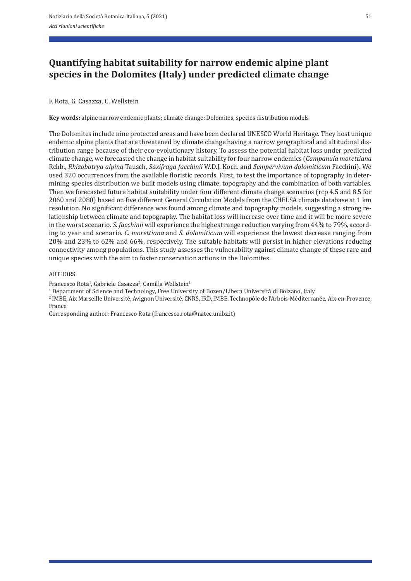# **Quantifying habitat suitability for narrow endemic alpine plant species in the Dolomites (Italy) under predicted climate change**

## F. Rota, G. Casazza, C. Wellstein

**Key words:** alpine narrow endemic plants; climate change; Dolomites, species distribution models

The Dolomites include nine protected areas and have been declared UNESCO World Heritage. They host unique endemic alpine plants that are threatened by climate change having a narrow geographical and altitudinal dis‐ tribution range because of their eco-evolutionary history. To assess the potential habitat loss under predicted climate change, we forecasted the change in habitat suitability for four narrow endemics (*Campanula morettiana* Rchb., *Rhizobotrya alpina* Tausch, *Saxifraga facchinii* W.D.J. Koch. and *Sempervivum dolomiticum* Facchini). We used 320 occurrences from the available floristic records. First, to test the importance of topography in determining species distribution we built models using climate, topography and the combination of both variables. Then we forecasted future habitat suitability under four different climate change scenarios (rcp 4.5 and 8.5 for 2060 and 2080) based on five different General Circulation Models from the CHELSA climate database at 1 km resolution. No significant difference was found among climate and topography models, suggesting a strong re‐ lationship between climate and topography. The habitat loss will increase over time and it will be more severe in the worst scenario. *S. facchinii* will experience the highest range reduction varying from 44% to 79%, according to year and scenario. *C. morettiana* and *S. dolomiticum* will experience the lowest decrease ranging from 20% and 23% to 62% and 66%, respectively. The suitable habitats will persist in higher elevations reducing connectivity among populations. This study assesses the vulnerability against climate change of these rare and unique species with the aim to foster conservation actions in the Dolomites.

### AUTHORS

Francesco Rota<sup>1</sup>, Gabriele Casazza<sup>2</sup>, Camilla Wellstein<sup>1</sup>

<sup>1</sup> Department of Science and Technology, Free University of Bozen/Libera Università di Bolzano, Italy

2 IMBE, Aix Marseille Université, Avignon Université, CNRS, IRD, IMBE. Technopôle de l'Arbois‐Méditerranée, Aix‐en‐Provence, France

Corresponding author: Francesco Rota (francesco.rota@natec.unibz.it)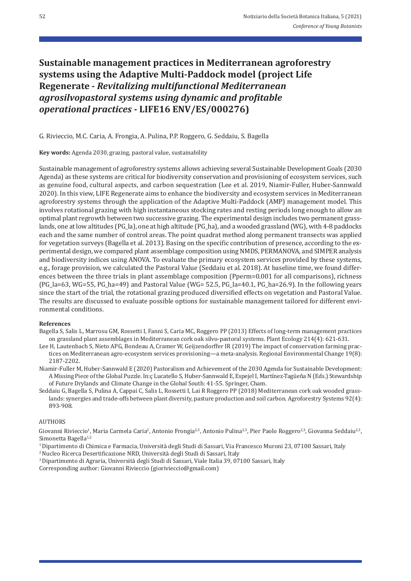# **Sustainable management practices in Mediterranean agroforestry systems using the Adaptive Multi‑Paddock model (project Life Regenerate ‑** *Revitalizing multifunctional Mediterranean agrosilvopastoral systems using dynamic and profitable operational practices* **‑ LIFE16 ENV/ES/000276)**

G. Rivieccio, M.C. Caria, A. Frongia, A. Pulina, P.P. Roggero, G. Seddaiu, S. Bagella

**Key words:** Agenda 2030, grazing, pastoral value, sustainability

Sustainable management of agroforestry systems allows achieving several Sustainable Development Goals (2030 Agenda) as these systems are critical for biodiversity conservation and provisioning of ecosystem services, such as genuine food, cultural aspects, and carbon sequestration (Lee et al. 2019, Niamir‐Fuller, Huber‐Sannwald 2020). In this view, LIFE Regenerate aims to enhance the biodiversity and ecosystem services in Mediterranean agroforestry systems through the application of the Adaptive Multi‐Paddock (AMP) management model. This involves rotational grazing with high instantaneous stocking rates and resting periods long enough to allow an optimal plant regrowth between two successive grazing. The experimental design includes two permanent grass‐ lands, one at low altitudes (PG\_la), one at high altitude (PG\_ha), and a wooded grassland (WG), with 4-8 paddocks each and the same number of control areas. The point quadrat method along permanent transects was applied for vegetation surveys (Bagella et al. 2013). Basing on the specific contribution of presence, according to the experimental design, we compared plant assemblage composition using NMDS, PERMANOVA, and SIMPER analysis and biodiversity indices using ANOVA. To evaluate the primary ecosystem services provided by these systems, e.g., forage provision, we calculated the Pastoral Value (Seddaiu et al. 2018). At baseline time, we found differ‐ ences between the three trials in plant assemblage composition (Pperm=0.001 for all comparisons), richness (PG\_la=63, WG=55, PG\_ha=49) and Pastoral Value (WG= 52.5, PG\_la=40.1, PG\_ha=26.9). In the following years since the start of the trial, the rotational grazing produced diversified effects on vegetation and Pastoral Value. The results are discussed to evaluate possible options for sustainable management tailored for different environmental conditions.

### **References**

- Bagella S, Salis L, Marrosu GM, Rossetti I, Fanni S, Caria MC, Roggero PP (2013) Effects of long‐term management practices on grassland plant assemblages in Mediterranean cork oak silvo‐pastoral systems. Plant Ecology 214(4): 621‐631.
- Lee H, Lautenbach S, Nieto APG, Bondeau A, Cramer W, Geijzendorffer IR (2019) The impact of conservation farming prac‐ tices on Mediterranean agro-ecosystem services provisioning—a meta-analysis. Regional Environmental Change 19(8): 2187‐2202.
- Niamir‐Fuller M, Huber‐Sannwald E (2020) Pastoralism and Achievement of the 2030 Agenda for Sustainable Development: A Missing Piece of the Global Puzzle. In:ç Lucatello S, Huber‐Sannwald E, Espejel I, Martínez‐Tagüeña N (Eds.) Stewardship of Future Drylands and Climate Change in the Global South: 41‐55. Springer, Cham.
- Seddaiu G, Bagella S, Pulina A, Cappai C, Salis L, Rossetti I, Lai R Roggero PP (2018) Mediterranean cork oak wooded grass‐ lands: synergies and trade‐offs between plant diversity, pasture production and soil carbon. Agroforestry Systems 92(4): 893‐908.

#### AUTHORS

Giovanni Rivieccio<sup>1</sup>, Maria Carmela Caria<sup>2</sup>, Antonio Frongia<sup>2,3</sup>, Antonio Pulina<sup>2,3</sup>, Pier Paolo Roggero<sup>2,3</sup>, Giovanna Seddaiu<sup>2,3</sup>, Simonetta Bagella<sup>1,2</sup>

- 1 Dipartimento di Chimica e Farmacia, Università degli Studi di Sassari, Via Francesco Muroni 23, 07100 Sassari, Italy
- 2 Nucleo Ricerca Desertificazione NRD, Università degli Studi di Sassari, Italy
- 3 Dipartimento di Agraria, Università degli Studi di Sassari, Viale Italia 39, 07100 Sassari, Italy

Corresponding author: Giovanni Rivieccio (giorivieccio@gmail.com)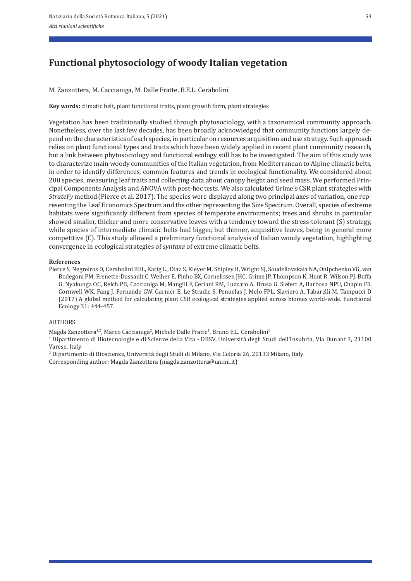# **Functional phytosociology of woody Italian vegetation**

M. Zanzottera, M. Caccianiga, M. Dalle Fratte, B.E.L. Cerabolini

**Key words:** climatic belt, plant functional traits, plant growth form, plant strategies

Vegetation has been traditionally studied through phytosociology, with a taxonomical community approach. Nonetheless, over the last few decades, has been broadly acknowledged that community functions largely de‐ pend on the characteristics of each species, in particular on resources acquisition and use strategy. Such approach relies on plant functional types and traits which have been widely applied in recent plant community research, but a link between phytosociology and functional ecology still has to be investigated. The aim of this study was to characterize main woody communities of the Italian vegetation, from Mediterranean to Alpine climatic belts, in order to identify differences, common features and trends in ecological functionality. We considered about 200 species, measuring leaf traits and collecting data about canopy height and seed mass. We performed Prin‐ cipal Components Analysis and ANOVA with post‐hoc tests. We also calculated Grime's CSR plant strategies with *StrateFy* method(Pierce et al. 2017). The species were displayed along two principal axes of variation, one rep‐ resenting the Leaf Economics Spectrum and the other representing the Size Spectrum. Overall, species of extreme habitats were significantly different from species of temperate environments; trees and shrubs in particular showed smaller, thicker and more conservative leaves with a tendency toward the stress-tolerant (S) strategy, while species of intermediate climatic belts had bigger, but thinner, acquisitive leaves, being in general more competitive (C). This study allowed a preliminary functional analysis of Italian woody vegetation, highlighting convergence in ecological strategies of *syntaxa* of extreme climatic belts.

#### **References**

Pierce S, Negreiros D, Cerabolini BEL, Kattg L., Diaz S, Kleyer M, Shipley B, Wright SJ, Soudzilovskaia NA, Onipchenko VG, van Bodegom PM, Frenette‐Dussault C, Weiher E, Pinho BX, Cornelissen JHC, Grime JP, Thompson K, Hunt R, Wilson PJ, Buffa G, Nyakunga OC, Reich PB, Caccianiga M, Mangili F, Ceriani RM, Luzzaro A, Brusa G, Siefert A, Barbosa NPU, Chapin FS, Cornwell WK, Fang J, Fernande GW, Garnier E, Le Stradic S, Penuelas J, Melo FPL, Slaviero A, Tabarelli M, Tampucci D (2017) A global method for calculating plant CSR ecological strategies applied across biomes world‐wide. Functional Ecology 31: 444‐457.

#### AUTHORS

Magda Zanzottera<sup>1,2</sup>, Marco Caccianiga<sup>2</sup>, Michele Dalle Fratte<sup>1</sup>, Bruno E.L. Cerabolini<sup>1</sup>

1 Dipartimento di Biotecnologie e di Scienze della Vita ‐ DBSV, Università degli Studi dell'Insubria, Via Dunant 3, 21100 Varese, Italy<br><sup>2</sup> Dipartimento di Bioscienze, Università degli Studi di Milano, Via Celoria 26, 20133 Milano, Italy

Corresponding author: Magda Zanzottera (magda.zanzottera@unimi.it)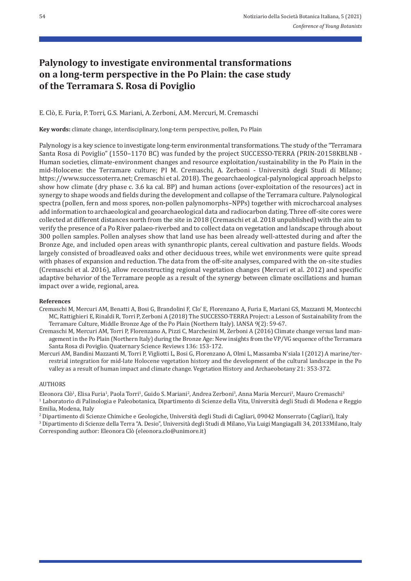# **Palynology to investigate environmental transformations on a long‑term perspective in the Po Plain: the case study of the Terramara S. Rosa di Poviglio**

### E. Clò, E. Furia, P. Torri, G.S. Mariani, A. Zerboni, A.M. Mercuri, M. Cremaschi

**Key words:** climate change, interdisciplinary, long-term perspective, pollen, Po Plain

Palynology is a key science to investigate long‐term environmental transformations. The study of the "Terramara Santa Rosa di Poviglio" (1550–1170 BC) was funded by the project SUCCESSO-TERRA (PRIN-20158KBLNB -Human societies, climate‐environment changes and resource exploitation/sustainability in the Po Plain in the mid‐Holocene: the Terramare culture; PI M. Cremaschi, A. Zerboni ‐ Università degli Studi di Milano; https://www.successoterra.net; Cremaschi et al. 2018). The geoarchaeological‐palynological approach helps to show how climate (dry phase c. 3.6 ka cal. BP) and human actions (over-exploitation of the resources) act in synergy to shape woods and fields during the development and collapse of the Terramara culture. Palynological spectra (pollen, fern and moss spores, non-pollen palynomorphs–NPPs) together with microcharcoal analyses add information to archaeological and geoarchaeological data and radiocarbon dating. Three off‐site cores were collected at different distances north from the site in 2018 (Cremaschi et al. 2018 unpublished) with the aim to verify the presence of a Po River palaeo‐riverbed and to collect data on vegetation and landscape through about 300 pollen samples. Pollen analyses show that land use has been already well‐attested during and after the Bronze Age, and included open areas with synanthropic plants, cereal cultivation and pasture fields. Woods largely consisted of broadleaved oaks and other deciduous trees, while wet environments were quite spread with phases of expansion and reduction. The data from the off-site analyses, compared with the on-site studies (Cremaschi et al. 2016), allow reconstructing regional vegetation changes (Mercuri et al. 2012) and specific adaptive behavior of the Terramare people as a result of the synergy between climate oscillations and human impact over a wide, regional, area.

### **References**

- Cremaschi M, Mercuri AM, Benatti A, Bosi G, Brandolini F, Clo' E, Florenzano A, Furia E, Mariani GS, Mazzanti M, Montecchi MC, Rattighieri E, Rinaldi R, Torri P, Zerboni A (2018) The SUCCESSO‐TERRA Project: a Lesson of Sustainability from the Terramare Culture, Middle Bronze Age of the Po Plain (Northern Italy). IANSA 9(2): 59‐67.
- Cremaschi M, Mercuri AM, Torri P, Florenzano A, Pizzi C, Marchesini M, Zerboni A (2016) Climate change versus land man‐ agement in the Po Plain (Northern Italy) during the Bronze Age: New insights from the VP/VG sequence of the Terramara Santa Rosa di Poviglio. Quaternary Science Reviews 136: 153‐172.
- Mercuri AM, Bandini Mazzanti M, Torri P, Vigliotti L, Bosi G, Florenzano A, Olmi L, Massamba N'siala I (2012) A marine/ter‐ restrial integration for mid‐late Holocene vegetation history and the development of the cultural landscape in the Po valley as a result of human impact and climate change. Vegetation History and Archaeobotany 21: 353‐372.

#### **AUTHORS**

Eleonora Clò<sup>1</sup>, Elisa Furia<sup>1</sup>, Paola Torri<sup>1</sup>, Guido S. Mariani<sup>2</sup>, Andrea Zerboni<sup>3</sup>, Anna Maria Mercuri<sup>1</sup>, Mauro Cremaschi<sup>3</sup> 1 Laboratorio di Palinologia e Paleobotanica, Dipartimento di Scienze della Vita, Università degli Studi di Modena e Reggio Emilia, Modena, Italy

2 Dipartimento di Scienze Chimiche e Geologiche, Università degli Studi di Cagliari, 09042 Monserrato (Cagliari), Italy 3 Dipartimento di Scienze della Terra "A. Desio", Università degli Studi di Milano, Via Luigi Mangiagalli 34, 20133Milano, Italy Corresponding author: Eleonora Clò (eleonora.clo@unimore.it)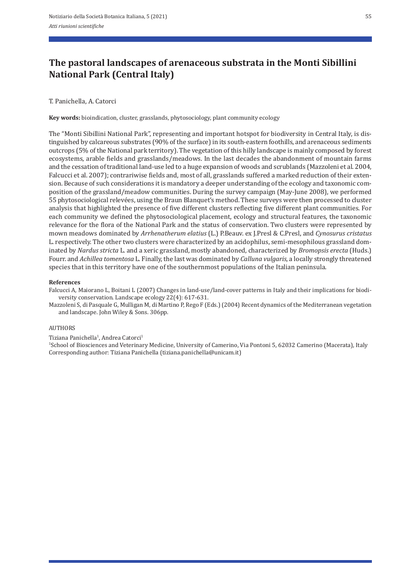# **The pastoral landscapes of arenaceous substrata in the Monti Sibillini National Park (Central Italy)**

T. Panichella, A. Catorci

**Key words:** bioindication, cluster, grasslands, phytosociology, plant community ecology

The "Monti Sibillini National Park", representing and important hotspot for biodiversity in Central Italy, is dis‐ tinguished by calcareous substrates (90% of the surface) in its south-eastern foothills, and arenaceous sediments outcrops (5% of the National park territory). The vegetation of this hilly landscape is mainly composed by forest ecosystems, arable fields and grasslands/meadows. In the last decades the abandonment of mountain farms and the cessation of traditional land‐use led to a huge expansion of woods and scrublands (Mazzoleni et al. 2004, Falcucci et al. 2007); contrariwise fields and, most of all, grasslands suffered a marked reduction of their extension. Because of such considerations it is mandatory a deeper understanding of the ecology and taxonomic composition of the grassland/meadow communities. During the survey campaign (May‐June 2008), we performed 55 phytosociological relevées, using the Braun Blanquet's method. These surveys were then processed to cluster analysis that highlighted the presence of five different clusters reflecting five different plant communities. For each community we defined the phytosociological placement, ecology and structural features, the taxonomic relevance for the flora of the National Park and the status of conservation. Two clusters were represented by mown meadows dominated by *Arrhenatherum elatius* (L.) P.Beauv. ex J. Presl & C.Presl, and *Cynosurus cristatus* L. respectively. The other two clusters were characterized by an acidophilus, semi-mesophilous grassland dominated by *Nardus stricta* L. and a xeric grassland, mostly abandoned, characterized by *Bromopsis erecta* (Huds.) Fourr. and *Achillea tomentosa* L. Finally, the last was dominated by *Calluna vulgaris*, a locally strongly threatened species that in this territory have one of the southernmost populations of the Italian peninsula.

#### **References**

Falcucci A, Maiorano L, Boitani L (2007) Changes in land-use/land-cover patterns in Italy and their implications for biodiversity conservation. Landscape ecology 22(4): 617‐631.

Mazzoleni S, di Pasquale G, Mulligan M, di Martino P, Rego F (Eds.) (2004) Recent dynamics of the Mediterranean vegetation and landscape. John Wiley & Sons. 306pp.

### AUTHORS

Tiziana Panichella<sup>1</sup>, Andrea Catorci<sup>1</sup>

1School of Biosciences and Veterinary Medicine, University of Camerino, Via Pontoni 5, 62032 Camerino (Macerata), Italy Corresponding author: Tiziana Panichella (tiziana.panichella@unicam.it)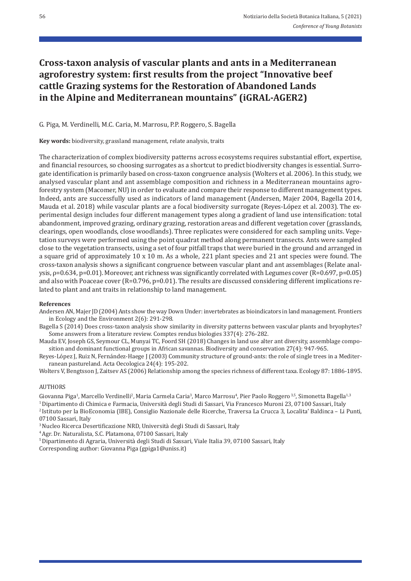# **Cross‑taxon analysis of vascular plants and ants in a Mediterranean agroforestry system: first results from the project "Innovative beef cattle Grazing systems for the Restoration of Abandoned Lands in the Alpine and Mediterranean mountains" (iGRAL‑AGER2)**

## G. Piga, M. Verdinelli, M.C. Caria, M. Marrosu, P.P. Roggero, S. Bagella

**Key words:** biodiversity, grassland management, relate analysis, traits

The characterization of complex biodiversity patterns across ecosystems requires substantial effort, expertise, and financial resources, so choosing surrogates as a shortcut to predict biodiversity changes is essential. Surrogate identification is primarily based on cross‐taxon congruence analysis (Wolters et al. 2006). In this study, we analysed vascular plant and ant assemblage composition and richness in a Mediterranean mountains agroforestry system (Macomer, NU) in order to evaluate and compare their response to different management types. Indeed, ants are successfully used as indicators of land management (Andersen, Majer 2004, Bagella 2014, Mauda et al. 2018) while vascular plants are a focal biodiversity surrogate (Reyes-López et al. 2003). The experimental design includes four different management types along a gradient of land use intensification: total abandonment, improved grazing, ordinary grazing, restoration areas and different vegetation cover (grasslands, clearings, open woodlands, close woodlands). Three replicates were considered for each sampling units. Vegetation surveys were performed using the point quadrat method along permanent transects. Ants were sampled close to the vegetation transects, using a set of four pitfall traps that were buried in the ground and arranged in a square grid of approximately 10 x 10 m. As a whole, 221 plant species and 21 ant species were found. The cross‐taxon analysis shows a significant congruence between vascular plant and ant assemblages (Relate anal‐ ysis, ρ=0.634, p=0.01). Moreover, ant richness was significantly correlated with Legumes cover (R=0.697, p=0.05) and also with Poaceae cover (R=0.796, p=0.01). The results are discussed considering different implications related to plant and ant traits in relationship to land management.

#### **References**

Andersen AN, Majer JD (2004) Ants show the way Down Under: invertebrates as bioindicators in land management. Frontiers in Ecology and the Environment 2(6): 291‐298.

Bagella S (2014) Does cross-taxon analysis show similarity in diversity patterns between vascular plants and bryophytes? Some answers from a literature review. Comptes rendus biologies 337(4): 276‐282.

Mauda EV, Joseph GS, Seymour CL, Munyai TC, Foord SH (2018) Changes in land use alter ant diversity, assemblage compo‐ sition and dominant functional groups in African savannas. Biodiversity and conservation 27(4): 947‐965.

Reyes-López J, Ruiz N, Fernández-Haege J (2003) Community structure of ground-ants: the role of single trees in a Mediterranean pastureland. Acta Oecologica 24(4): 195‐202.

Wolters V, Bengtsson J, Zaitsev AS (2006) Relationship among the species richness of different taxa. Ecology 87: 1886‐1895.

### AUTHORS

Giovanna Piga<sup>1</sup>, Marcello Verdinelli<sup>2</sup>, Maria Carmela Caria<sup>3</sup>, Marco Marrosu<sup>4</sup>, Pier Paolo Roggero <sup>3,5</sup>, Simonetta Bagella<sup>1,3</sup>

1 Dipartimento di Chimica e Farmacia, Università degli Studi di Sassari, Via Francesco Muroni 23, 07100 Sassari, Italy

2 Istituto per la BioEconomia (IBE), Consiglio Nazionale delle Ricerche, Traversa La Crucca 3, Localita' Baldinca – Li Punti, 07100 Sassari, Italy

<sup>3</sup> Nucleo Ricerca Desertificazione NRD, Università degli Studi di Sassari, Italy 4 Agr. Dr. Naturalista, S.C. Platamona, 07100 Sassari, Italy

5 Dipartimento di Agraria, Università degli Studi di Sassari, Viale Italia 39, 07100 Sassari, Italy Corresponding author: Giovanna Piga (gpiga1@uniss.it)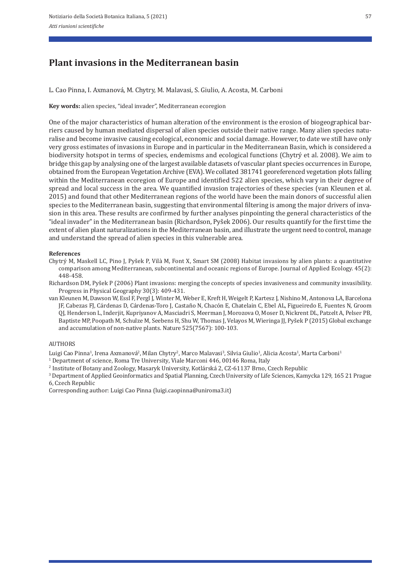## **Plant invasions in the Mediterranean basin**

L. Cao Pinna, I. Axmanová, M. Chytry, M. Malavasi, S. Giulio, A. Acosta, M. Carboni

**Key words:** alien species, "ideal invader", Mediterranean ecoregion

One of the major characteristics of human alteration of the environment is the erosion of biogeographical barriers caused by human mediated dispersal of alien species outside their native range. Many alien species natu‐ ralise and become invasive causing ecological, economic and social damage. However, to date we still have only very gross estimates of invasions in Europe and in particular in the Mediterranean Basin, which is considered a biodiversity hotspot in terms of species, endemisms and ecological functions (Chytrý et al. 2008). We aim to bridge this gap by analysing one of the largest available datasets of vascular plant species occurrences in Europe, obtained from the European Vegetation Archive (EVA). We collated 381741 georeferenced vegetation plots falling within the Mediterranean ecoregion of Europe and identified 522 alien species, which vary in their degree of spread and local success in the area. We quantified invasion trajectories of these species (van Kleunen et al. 2015) and found that other Mediterranean regions of the world have been the main donors of successful alien species to the Mediterranean basin, suggesting that environmental filtering is among the major drivers of invasion in this area. These results are confirmed by further analyses pinpointing the general characteristics of the "ideal invader" in the Mediterranean basin (Richardson, Pyšek 2006). Our results quantify for the first time the extent of alien plant naturalizations in the Mediterranean basin, and illustrate the urgent need to control, manage and understand the spread of alien species in this vulnerable area.

#### **References**

- Chytrý M, Maskell LC, Pino J, Pyšek P, Vilà M, Font X, Smart SM (2008) Habitat invasions by alien plants: a quantitative comparison among Mediterranean, subcontinental and oceanic regions of Europe. Journal of Applied Ecology. 45(2): 448‐458.
- Richardson DM, Pyšek P (2006) Plant invasions: merging the concepts of species invasiveness and community invasibility. Progress in Physical Geography 30(3): 409‐431.
- van Kleunen M, Dawson W, Essl F, Pergl J, Winter M, Weber E, Kreft H, Weigelt P, Kartesz J, Nishino M, Antonova LA, Barcelona JF, Cabezas FJ, Cárdenas D, Cárdenas‐Toro J, Castaño N, Chacón E, Chatelain C, Ebel AL, Figueiredo E, Fuentes N, Groom QJ, Henderson L, Inderjit, Kupriyanov A, Masciadri S, Meerman J, Morozova O, Moser D, Nickrent DL, Patzelt A, Pelser PB, Baptiste MP, Poopath M, Schulze M, Seebens H, Shu W, Thomas J, Velayos M, Wieringa JJ, Pyšek P (2015) Global exchange and accumulation of non‐native plants. Nature 525(7567): 100‐103.

#### AUTHORS

Luigi Cao Pinna<sup>1</sup>, Irena Axmanová<sup>2</sup>, Milan Chytry<sup>2</sup>, Marco Malavasi<sup>3</sup>, Silvia Giulio<sup>1</sup>, Alicia Acosta<sup>1</sup>, Marta Carboni<sup>1</sup><br><sup>1</sup> Department of science, Roma Tre University, Viale Marconi 446, 00146 Roma, Italy

- 
- 2 Institute of Botany and Zoology, Masaryk University, Kotlárská 2, CZ‐61137 Brno, Czech Republic 3
- Department of Applied Geoinformatics and Spatial Planning, Czech University of Life Sciences, Kamycka 129, 165 21 Prague 6, Czech Republic

Corresponding author: Luigi Cao Pinna (luigi.caopinna@uniroma3.it)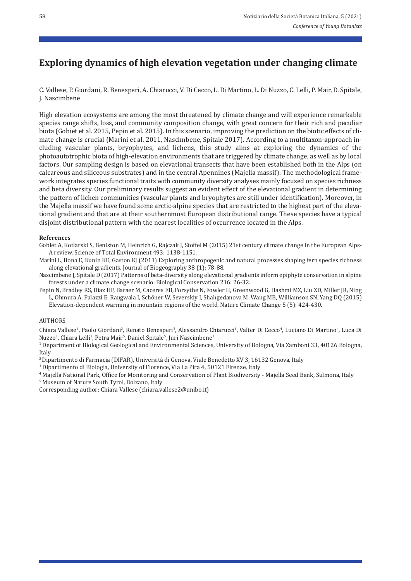## **Exploring dynamics of high elevation vegetation under changing climate**

C. Vallese, P. Giordani, R. Benesperi, A. Chiarucci, V. Di Cecco, L. Di Martino, L. Di Nuzzo, C. Lelli, P. Mair, D. Spitale, J. Nascimbene

High elevation ecosystems are among the most threatened by climate change and will experience remarkable species range shifts, loss, and community composition change, with great concern for their rich and peculiar biota (Gobiet et al. 2015, Pepin et al. 2015). In this scenario, improving the prediction on the biotic effects of climate change is crucial (Marini et al. 2011, Nascimbene, Spitale 2017). According to a multitaxon-approach including vascular plants, bryophytes, and lichens, this study aims at exploring the dynamics of the photoautotrophic biota of high‐elevation environments that are triggered by climate change, as well as by local factors. Our sampling design is based on elevational transects that have been established both in the Alps (on calcareous and siliceous substrates) and in the central Apennines (Majella massif). The methodological frame‐ work integrates species functional traits with community diversity analyses mainly focused on species richness and beta diversity. Our preliminary results suggest an evident effect of the elevational gradient in determining the pattern of lichen communities (vascular plants and bryophytes are still under identification). Moreover, in the Majella massif we have found some arctic-alpine species that are restricted to the highest part of the elevational gradient and that are at their southernmost European distributional range. These species have a typical disjoint distributional pattern with the nearest localities of occurrence located in the Alps.

### **References**

Gobiet A, Kotlarski S, Beniston M, Heinrich G, Rajczak J, Stoffel M (2015) 21st century climate change in the European Alps-A review. Science of Total Environment 493: 1138‐1151.

Marini L, Bona E, Kunin KE, Gaston KJ (2011) Exploring anthropogenic and natural processes shaping fern species richness along elevational gradients. Journal of Biogeography 38 (1): 78‐88.

Nascimbene J, Spitale D (2017) Patterns of beta-diversity along elevational gradients inform epiphyte conservation in alpine forests under a climate change scenario. Biological Conservation 216: 26‐32.

Pepin N, Bradley RS, Diaz HF, Baraer M, Caceres EB, Forsythe N, Fowler H, Greenwood G, Hashmi MZ, Liu XD, Miller JR, Ning L, Ohmura A, Palazzi E, Rangwala I, Schöner W, Severskiy I, Shahgedanova M, Wang MB, Williamson SN, Yang DQ (2015) Elevation‐dependent warming in mountain regions of the world. Nature Climate Change 5 (5): 424‐430.

### AUTHORS

Chiara Vallese<sup>1</sup>, Paolo Giordani<sup>2</sup>, Renato Benesperi<sup>3</sup>, Alessandro Chiarucci<sup>1</sup>, Valter Di Cecco<sup>4</sup>, Luciano Di Martino<sup>4</sup>, Luca Di Nuzzo<sup>3</sup>, Chiara Lelli<sup>1</sup>, Petra Mair<sup>5</sup>, Daniel Spitale<sup>5</sup>, Juri Nascimbene<sup>1</sup>

1 Department of Biological Geological and Environmental Sciences, University of Bologna, Via Zamboni 33, 40126 Bologna, Italy

2 Dipartimento di Farmacia (DIFAR), Università di Genova, Viale Benedetto XV 3, 16132 Genova, Italy

3 Dipartimento di Biologia, University of Florence, Via La Pira 4, 50121 Firenze, Italy

<sup>4</sup> Majella National Park, Office for Monitoring and Conservation of Plant Biodiversity - Majella Seed Bank, Sulmona, Italy 5 Museum of Nature South Tyrol, Bolzano, Italy

Corresponding author: Chiara Vallese (chiara.vallese2@unibo.it)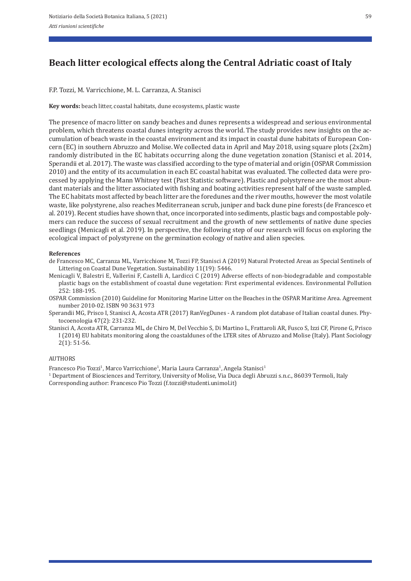# **Beach litter ecological effects along the Central Adriatic coast of Italy**

F.P. Tozzi, M. Varricchione, M. L. Carranza, A. Stanisci

**Key words:** beach litter, coastal habitats, dune ecosystems, plastic waste

The presence of macro litter on sandy beaches and dunes represents a widespread and serious environmental problem, which threatens coastal dunes integrity across the world. The study provides new insights on the accumulation of beach waste in the coastal environment and its impact in coastal dune habitats of European Con‐ cern (EC) in southern Abruzzo and Molise. We collected data in April and May 2018, using square plots (2x2m) randomly distributed in the EC habitats occurring along the dune vegetation zonation (Stanisci et al. 2014, Sperandii et al. 2017). The waste was classified according to the type of material and origin(OSPAR Commission 2010) and the entity of its accumulation in each EC coastal habitat was evaluated. The collected data were pro‐ cessed by applying the Mann Whitney test (Past Statistic software). Plastic and polystyrene are the most abun‐ dant materials and the litter associated with fishing and boating activities represent half of the waste sampled. The EC habitats most affected by beach litter are the foredunes and the river mouths, however the most volatile waste, like polystyrene, also reaches Mediterranean scrub, juniper and back dune pine forests (de Francesco et al. 2019). Recent studies have shown that, once incorporated into sediments, plastic bags and compostable poly‐ mers can reduce the success of sexual recruitment and the growth of new settlements of native dune species seedlings (Menicagli et al. 2019). In perspective, the following step of our research will focus on exploring the ecological impact of polystyrene on the germination ecology of native and alien species.

#### **References**

- de Francesco MC, Carranza ML, Varricchione M, Tozzi FP, Stanisci A (2019) Natural Protected Areas as Special Sentinels of Littering on Coastal Dune Vegetation. Sustainability 11(19): 5446.
- Menicagli V, Balestri E, Vallerini F, Castelli A, Lardicci C (2019) Adverse effects of non‐biodegradable and compostable plastic bags on the establishment of coastal dune vegetation: First experimental evidences. Environmental Pollution 252: 188‐195.
- OSPAR Commission (2010) Guideline for Monitoring Marine Litter on the Beaches in the OSPAR Maritime Area. Agreement number 2010‐02. ISBN 90 3631 973
- Sperandii MG, Prisco I, Stanisci A, Acosta ATR (2017) RanVegDunes ‐ A random plot database of Italian coastal dunes. Phy‐ tocoenologia 47(2): 231‐232.
- Stanisci A, Acosta ATR, Carranza ML, de Chiro M, Del Vecchio S, Di Martino L, Frattaroli AR, Fusco S, Izzi CF, Pirone G, Prisco I (2014) EU habitats monitoring along the coastaldunes of the LTER sites of Abruzzo and Molise (Italy). Plant Sociology 2(1): 51‐56.

#### AUTHORS

Francesco Pio Tozzi<sup>1</sup>, Marco Varricchione<sup>1</sup>, Maria Laura Carranza<sup>1</sup>, Angela Stanisci<sup>1</sup>

1 Department of Biosciences and Territory, University of Molise, Via Duca degli Abruzzi s.n.c., 86039 Termoli, Italy Corresponding author: Francesco Pio Tozzi (f.tozzi@studenti.unimol.it)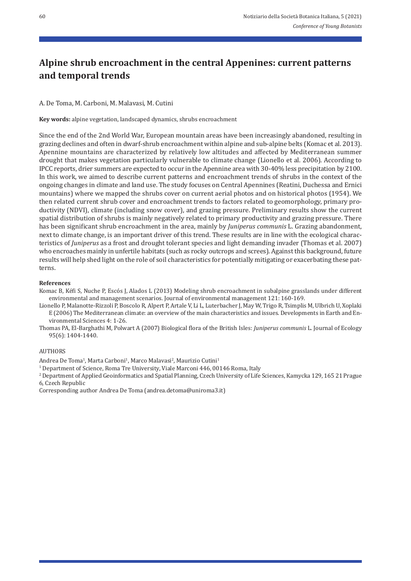# **Alpine shrub encroachment in the central Appenines: current patterns and temporal trends**

A. De Toma, M. Carboni, M. Malavasi, M. Cutini

**Key words:** alpine vegetation, landscaped dynamics, shrubs encroachment

Since the end of the 2nd World War, European mountain areas have been increasingly abandoned, resulting in grazing declines and often in dwarf‐shrub encroachment within alpine and sub‐alpine belts (Komac et al. 2013). Apennine mountains are characterized by relatively low altitudes and affected by Mediterranean summer drought that makes vegetation particularly vulnerable to climate change (Lionello et al. 2006). According to IPCC reports, drier summers are expected to occur in the Apennine area with 30‐40% less precipitation by 2100. In this work, we aimed to describe current patterns and encroachment trends of shrubs in the context of the ongoing changes in climate and land use. The study focuses on Central Apennines (Reatini, Duchessa and Ernici mountains) where we mapped the shrubs cover on current aerial photos and on historical photos (1954). We then related current shrub cover and encroachment trends to factors related to geomorphology, primary pro‐ ductivity (NDVI), climate (including snow cover), and grazing pressure. Preliminary results show the current spatial distribution of shrubs is mainly negatively related to primary productivity and grazing pressure. There has been significant shrub encroachment in the area, mainly by *Juniperus communis* L. Grazing abandonment, next to climate change, is an important driver of this trend. These results are in line with the ecological characteristics of *Juniperus* as a frost and drought tolerant species and light demanding invader (Thomas et al. 2007) who encroaches mainly in unfertile habitats (such as rocky outcrops and screes). Against this background, future results will help shed light on the role of soil characteristics for potentially mitigating or exacerbating these pat‐ terns.

### **References**

Komac B, Kéfi S, Nuche P, Escós J, Alados L (2013) Modeling shrub encroachment in subalpine grasslands under different environmental and management scenarios. Journal of environmental management 121: 160-169.

Lionello P, Malanotte‐Rizzoli P, Boscolo R, Alpert P, Artale V, Li L, Luterbacher J, May W, Trigo R, Tsimplis M, Ulbrich U, Xoplaki E (2006) The Mediterranean climate: an overview of the main characteristics and issues. Developments in Earth and En‐ vironmental Sciences 4: 1‐26.

Thomas PA, El‐Barghathi M, Polwart A (2007) Biological flora of the British Isles: *Juniperus communis* L. Journal of Ecology 95(6): 1404‐1440.

#### AUTHORS

Andrea De Toma<sup>1</sup>, Marta Carboni<sup>1</sup>, Marco Malavasi<sup>2</sup>, Maurizio Cutini<sup>1</sup>

<sup>1</sup> Department of Science, Roma Tre University, Viale Marconi 446, 00146 Roma, Italy

2 Department of Applied Geoinformatics and Spatial Planning, Czech University of Life Sciences, Kamycka 129, 165 21 Prague 6, Czech Republic

Corresponding author Andrea De Toma (andrea.detoma@uniroma3.it)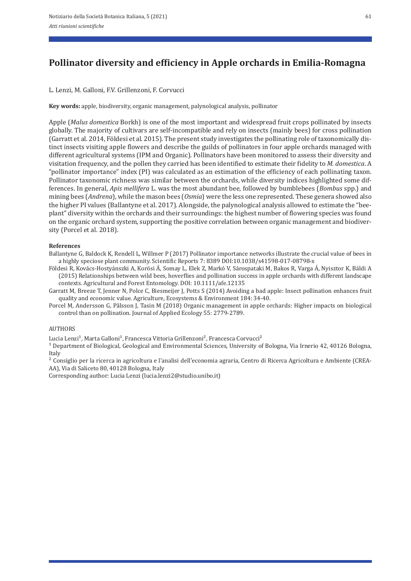# **Pollinator diversity and efficiency in Apple orchards in Emilia‑Romagna**

L. Lenzi, M. Galloni, F.V. Grillenzoni, F. Corvucci

**Key words:** apple, biodiversity, organic management, palynological analysis, pollinator

Apple (*Malus domestica* Borkh) is one of the most important and widespread fruit crops pollinated by insects globally. The majority of cultivars are self‐incompatible and rely on insects (mainly bees) for cross pollination (Garratt et al. 2014, Földesi et al. 2015). The present study investigates the pollinating role of taxonomically dis‐ tinct insects visiting apple flowers and describe the guilds of pollinators in four apple orchards managed with different agricultural systems (IPM and Organic). Pollinators have been monitored to assess their diversity and visitation frequency, and the pollen they carried has been identified to estimate their fidelity to *M. domestica*. A "pollinator importance" index (PI) was calculated as an estimation of the efficiency of each pollinating taxon. Pollinator taxonomic richness was similar between the orchards, while diversity indices highlighted some dif‐ ferences. In general, *Apis mellifera* L. was the most abundant bee, followed by bumblebees (*Bombus* spp.) and mining bees (*Andrena*), while the mason bees (*Osmia*) were the less one represented. These genera showed also the higher PI values (Ballantyne et al. 2017). Alongside, the palynological analysis allowed to estimate the "bee‐ plant" diversity within the orchards and their surroundings: the highest number of flowering species was found on the organic orchard system, supporting the positive correlation between organic management and biodiver‐ sity (Porcel et al. 2018).

### **References**

Ballantyne G, Baldock K, Rendell L, Willmer P (2017) Pollinator importance networks illustrate the crucial value of bees in a highly speciose plant community. Scientific Reports 7: 8389 DOI:10.1038/s41598‐017‐08798‐x

Földesi R, Kovács‐Hostyánszki A, Korösi Á, Somay L, Elek Z, Markó V, Sárospataki M, Bakos R, Varga Á, Nyisztor K, Báldi A (2015) Relationships between wild bees, hoverflies and pollination success in apple orchards with different landscape contexts. Agricultural and Forest Entomology. DOI: 10.1111/afe.12135

Garratt M, Breeze T, Jenner N, Polce C, Biesmeijer J, Potts S (2014) Avoiding a bad apple: Insect pollination enhances fruit quality and economic value. Agriculture, Ecosystems & Environment 184: 34‐40.

Porcel M, Andersson G, Pålsson J, Tasin M (2018) Organic management in apple orchards: Higher impacts on biological control than on pollination. Journal of Applied Ecology 55: 2779‐2789.

### AUTHORS

Lucia Lenzi<sup>1</sup>, Marta Galloni<sup>1</sup>, Francesca Vittoria Grillenzoni<sup>2</sup>, Francesca Corvucci<sup>2</sup>

<sup>1</sup> Department of Biological, Geological and Environmental Sciences, University of Bologna, Via Irnerio 42, 40126 Bologna, Italy

² Consiglio per la ricerca in agricoltura e l'analisi dell'economia agraria, Centro di Ricerca Agricoltura e Ambiente (CREA‐ AA), Via di Saliceto 80, 40128 Bologna, Italy

Corresponding author: Lucia Lenzi (lucia.lenzi2@studio.unibo.it)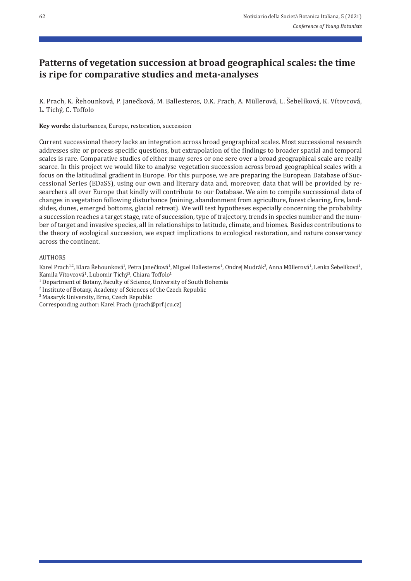## **Patterns of vegetation succession at broad geographical scales: the time is ripe for comparative studies and meta‑analyses**

K. Prach, K. Řehounková, P. Janečková, M. Ballesteros, O.K. Prach, A. Müllerová, L. Šebelíková, K. Vítovcová, L. Tichý, C. Toffolo

**Key words:** disturbances, Europe, restoration, succession

Current successional theory lacks an integration across broad geographical scales. Most successional research addresses site or process specific questions, but extrapolation of the findings to broader spatial and temporal scales is rare. Comparative studies of either many seres or one sere over a broad geographical scale are really scarce. In this project we would like to analyse vegetation succession across broad geographical scales with a focus on the latitudinal gradient in Europe. For this purpose, we are preparing the European Database of Suc‐ cessional Series (EDaSS), using our own and literary data and, moreover, data that will be provided by re‐ searchers all over Europe that kindly will contribute to our Database. We aim to compile successional data of changes in vegetation following disturbance (mining, abandonment from agriculture, forest clearing, fire, land‐ slides, dunes, emerged bottoms, glacial retreat). We will test hypotheses especially concerning the probability a succession reaches a target stage, rate of succession, type of trajectory, trends in species number and the num‐ ber of target and invasive species, all in relationships to latitude, climate, and biomes. Besides contributions to the theory of ecological succession, we expect implications to ecological restoration, and nature conservancy across the continent.

#### AUTHORS

Karel Prach<sup>12</sup>, Klara Řehounková<sup>1</sup>, Petra Janečková<sup>1</sup>, Miguel Ballesteros<sup>1</sup>, Ondrej Mudrák<sup>2</sup>, Anna Müllerová<sup>1</sup>, Lenka Šebelíková<sup>1</sup>, Kamila Vítovcová<sup>1</sup>, Lubomir Tichý<sup>3</sup>, Chiara Toffolo<sup>1</sup>

<sup>1</sup> Department of Botany, Faculty of Science, University of South Bohemia

2 Institute of Botany, Academy of Sciences of the Czech Republic

3 Masaryk University, Brno, Czech Republic

Corresponding author: Karel Prach (prach@prf.jcu.cz)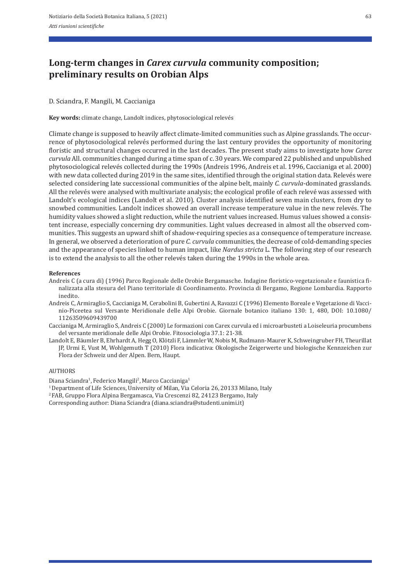## **Long‑term changes in** *Carex curvula* **community composition; preliminary results on Orobian Alps**

D. Sciandra, F. Mangili, M. Caccianiga

**Key words:** climate change, Landolt indices, phytosociological relevés

Climate change is supposed to heavily affect climate‐limited communities such as Alpine grasslands. The occur‐ rence of phytosociological relevés performed during the last century provides the opportunity of monitoring floristic and structural changes occurred in the last decades. The present study aims to investigate how *Carex curvula* All. communities changed during a time span of c. 30 years. We compared 22 published and unpublished phytosociological relevés collected during the 1990s (Andreis 1996, Andreis et al. 1996, Caccianiga et al. 2000) with new data collected during 2019 in the same sites, identified through the original station data. Relevés were selected considering late successional communities of the alpine belt, mainly *C. curvula*-dominated grasslands. All the relevés were analysed with multivariate analysis; the ecological profile of each relevé was assessed with Landolt's ecological indices (Landolt et al. 2010). Cluster analysis identified seven main clusters, from dry to snowbed communities. Landolt indices showed an overall increase temperature value in the new relevés. The humidity values showed a slight reduction, while the nutrient values increased. Humus values showed a consistent increase, especially concerning dry communities. Light values decreased in almost all the observed communities. This suggests an upward shift of shadow-requiring species as a consequence of temperature increase. In general, we observed a deterioration of pure *C. curvula* communities, the decrease of cold-demanding species and the appearance of species linked to human impact, like *Nardus stricta* L. The following step of our research is to extend the analysis to all the other relevés taken during the 1990s in the whole area.

#### **References**

- Andreis C (a cura di) (1996) Parco Regionale delle Orobie Bergamasche. Indagine floristico-vegetazionale e faunistica finalizzata alla stesura del Piano territoriale di Coordinamento. Provincia di Bergamo, Regione Lombardia. Rapporto inedito.
- Andreis C, Armiraglio S, Caccianiga M, Cerabolini B, Gubertini A, Ravazzi C (1996) Elemento Boreale e Vegetazione di Vacci‐ nio‐Piceetea sul Versante Meridionale delle Alpi Orobie. Giornale botanico italiano 130: 1, 480, DOI: 10.1080/ 11263509609439700
- Caccianiga M, Armiraglio S, Andreis C (2000) Le formazioni con Carex curvula ed i microarbusteti a Loiseleuria procumbens del versante meridionale delle Alpi Orobie. Fitosociologia 37.1: 21‐38.
- Landolt E, Bäumler B, Ehrhardt A, Hegg O, Klötzli F, Lämmler W, Nobis M, Rudmann‐Maurer K, Schweingruber FH, Theurillat JP, Urmi E, Vust M, Wohlgemuth T (2010) Flora indicativa: Okologische Zeigerwerte und biologische Kennzeichen zur Flora der Schweiz und der Alpen. Bern, Haupt.

#### **AUTHORS**

Diana Sciandra<sup>1</sup>, Federico Mangili<sup>2</sup>, Marco Caccianiga<sup>1</sup>

<sup>1</sup> Department of Life Sciences, University of Milan, Via Celoria 26, 20133 Milano, Italy

2 FAB, Gruppo Flora Alpina Bergamasca, Via Crescenzi 82, 24123 Bergamo, Italy

Corresponding author: Diana Sciandra (diana.sciandra@studenti.unimi.it)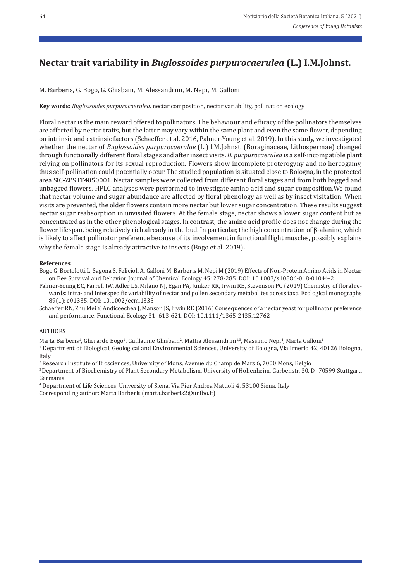# **Nectar trait variability in** *Buglossoides purpurocaerulea* **(L.) I.M.Johnst.**

M. Barberis, G. Bogo, G. Ghisbain, M. Alessandrini, M. Nepi, M. Galloni

**Key words:** *Buglossoides purpurocaerulea,* nectar composition, nectar variability, pollination ecology

Floral nectar is the main reward offered to pollinators. The behaviour and efficacy of the pollinators themselves are affected by nectar traits, but the latter may vary within the same plant and even the same flower, depending on intrinsic and extrinsic factors (Schaeffer et al. 2016, Palmer‐Young et al. 2019). In this study, we investigated whether the nectar of *Buglossoides purpurocaerulae* (L.) I.M.Johnst. (Boraginaceae, Lithospermae) changed through functionally different floral stages and after insect visits. *B. purpurocaerulea* is a self-incompatible plant relying on pollinators for its sexual reproduction. Flowers show incomplete proterogyny and no hercogamy, thus self‐pollination could potentially occur. The studied population is situated close to Bologna, in the protected area SIC‐ZPS IT4050001. Nectar samples were collected from different floral stages and from both bagged and unbagged flowers. HPLC analyses were performed to investigate amino acid and sugar composition.We found that nectar volume and sugar abundance are affected by floral phenology as well as by insect visitation. When visits are prevented, the older flowers contain more nectar but lower sugar concentration. These results suggest nectar sugar reabsorption in unvisited flowers. At the female stage, nectar shows a lower sugar content but as concentrated as in the other phenological stages. In contrast, the amino acid profile does not change during the flower lifespan, being relatively rich already in the bud. In particular, the high concentration of β‐alanine, which is likely to affect pollinator preference because of its involvement in functional flight muscles, possibly explains why the female stage is already attractive to insects (Bogo et al. 2019).

### **References**

Bogo G, Bortolotti L, Sagona S, Felicioli A, Galloni M, Barberis M, Nepi M (2019) Effects of Non‐Protein Amino Acids in Nectar on Bee Survival and Behavior. Journal of Chemical Ecology 45: 278‐285. DOI: 10.1007/s10886‐018‐01044‐2

Palmer‐Young EC, Farrell IW, Adler LS, Milano NJ, Egan PA, Junker RR, Irwin RE, Stevenson PC (2019) Chemistry of floral re‐ wards: intra‐ and interspecific variability of nectar and pollen secondary metabolites across taxa. Ecological monographs 89(1): e01335. DOI: 10.1002/ecm.1335

Schaeffer RN, Zhu Mei Y, Andicoechea J, Manson JS, Irwin RE (2016) Consequences of a nectar yeast for pollinator preference and performance. Functional Ecology 31: 613‐621. DOI: 10.1111/1365‐2435.12762

### AUTHORS

Marta Barberis<sup>1</sup>, Gherardo Bogo<sup>1</sup>, Guillaume Ghisbain<sup>2</sup>, Mattia Alessandrini<sup>1,3</sup>, Massimo Nepi<sup>4</sup>, Marta Galloni<sup>1</sup>

1 Department of Biological, Geological and Environmental Sciences, University of Bologna, Via Irnerio 42, 40126 Bologna, Italy

2 Research Institute of Biosciences, University of Mons, Avenue du Champ de Mars 6, 7000 Mons, Belgio

3 Department of Biochemistry of Plant Secondary Metabolism, University of Hohenheim, Garbenstr. 30, D‐ 70599 Stuttgart, Germania

4 Department of Life Sciences, University of Siena, Via Pier Andrea Mattioli 4, 53100 Siena, Italy Corresponding author: Marta Barberis (marta.barberis2@unibo.it)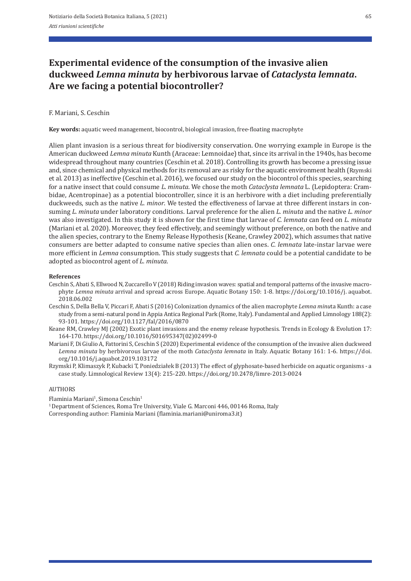## **Experimental evidence of the consumption of the invasive alien duckweed** *Lemna minuta* **by herbivorous larvae of** *Cataclysta lemnata***. Are we facing a potential biocontroller?**

#### F. Mariani, S. Ceschin

**Key words:** aquatic weed management, biocontrol, biological invasion, free-floating macrophyte

Alien plant invasion is a serious threat for biodiversity conservation. One worrying example in Europe is the American duckweed *Lemna minuta* Kunth (Araceae: Lemnoidae) that, since its arrival in the 1940s, has become widespread throughout many countries (Ceschin et al. 2018). Controlling its growth has become a pressing issue and, since chemical and physical methods for its removal are as risky for the aquatic environment health (Rzymski et al. 2013) as ineffective (Ceschin et al. 2016), we focused our study on the biocontrol of this species, searching for a native insect that could consume *L. minuta*. We chose the moth *Cataclysta lemnata* L. (Lepidoptera: Cram‐ bidae, Acentropinae) as a potential biocontroller, since it is an herbivore with a diet including preferentially duckweeds, such as the native *L. minor*. We tested the effectiveness of larvae at three different instars in consuming *L. minuta* under laboratory conditions. Larval preference for the alien *L. minuta* and the native *L. minor* was also investigated. In this study it is shown for the first time that larvae of *C. lemnata* can feed on *L. minuta* (Mariani et al. 2020). Moreover, they feed effectively, and seemingly without preference, on both the native and the alien species, contrary to the Enemy Release Hypothesis (Keane, Crawley 2002), which assumes that native consumers are better adapted to consume native species than alien ones. *C. lemnata* late-instar larvae were more efficient in *Lemna* consumption. This study suggests that *C. lemnata* could be a potential candidate to be adopted as biocontrol agent of *L. minuta*.

#### **References**

- Ceschin S, Abati S, Ellwood N, Zuccarello V (2018) Riding invasion waves: spatial and temporal patterns of the invasive macro‐ phyte *Lemna minuta* arrival and spread across Europe. Aquatic Botany 150: 1‐8. https://doi.org/10.1016/j. aquabot. 2018.06.002
- Ceschin S, Della Bella V, Piccari F, Abati S (2016) Colonization dynamics of the alien macrophyte *Lemna minu*ta Kunth: a case study from a semi‐natural pond in Appia Antica Regional Park (Rome, Italy). Fundamental and Applied Limnology 188(2): 93‐101. https://doi.org/10.1127/fal/2016/0870
- Keane RM, Crawley MJ (2002) Exotic plant invasions and the enemy release hypothesis. Trends in Ecology & Evolution 17: 164‐170. https://doi.org/10.1016/S01695347(02)02499‐0
- Mariani F, Di Giulio A, Fattorini S, Ceschin S (2020) Experimental evidence of the consumption of the invasive alien duckweed *Lemna minuta* by herbivorous larvae of the moth *Cataclysta lemnata* in Italy. Aquatic Botany 161: 1‐6. https://doi. org/10.1016/j.aquabot.2019.103172
- Rzymski P, Klimaszyk P, Kubacki T, Poniedziałek B (2013) The effect of glyphosate‐based herbicide on aquatic organisms ‐ a case study. Limnological Review 13(4): 215‐220. https://doi.org/10.2478/limre‐2013‐0024

### AUTHORS

Flaminia Mariani<sup>1</sup>, Simona Ceschin<sup>1</sup>

<sup>1</sup> Department of Sciences, Roma Tre University, Viale G. Marconi 446, 00146 Roma, Italy Corresponding author: Flaminia Mariani (flaminia.mariani@uniroma3.it)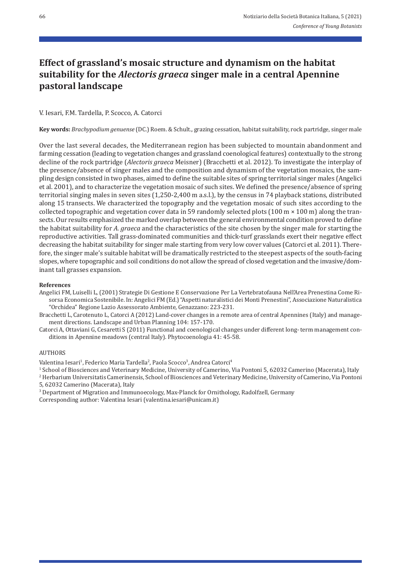## **Effect of grassland's mosaic structure and dynamism on the habitat suitability for the** *Alectoris graeca* **singer male in a central Apennine pastoral landscape**

### V. Iesari, F.M. Tardella, P. Scocco, A. Catorci

**Key words:** *Brachypodium genuense* (DC.) Roem. & Schult.*,* grazing cessation, habitat suitability, rock partridge, singer male

Over the last several decades, the Mediterranean region has been subjected to mountain abandonment and farming cessation (leading to vegetation changes and grassland coenological features) contextually to the strong decline of the rock partridge (*Alectoris graeca* Meisner) (Bracchetti et al. 2012). To investigate the interplay of the presence/absence of singer males and the composition and dynamism of the vegetation mosaics, the sampling design consisted in two phases, aimed to define the suitable sites of spring territorial singer males (Angelici et al. 2001), and to characterize the vegetation mosaic of such sites. We defined the presence/absence of spring territorial singing males in seven sites (1,250‐2,400 m a.s.l.), by the census in 74 playback stations, distributed along 15 transects. We characterized the topography and the vegetation mosaic of such sites according to the collected topographic and vegetation cover data in 59 randomly selected plots (100 m  $\times$  100 m) along the transects. Our results emphasized the marked overlap between the general environmental condition proved to define the habitat suitability for *A. graeca* and the characteristics of the site chosen by the singer male for starting the reproductive activities. Tall grass‐dominated communities and thick‐turf grasslands exert their negative effect decreasing the habitat suitability for singer male starting from very low cover values (Catorci et al. 2011). Therefore, the singer male's suitable habitat will be dramatically restricted to the steepest aspects of the south‐facing slopes, where topographic and soil conditions do not allow the spread of closed vegetation and the invasive/dominant tall grasses expansion.

#### **References**

Angelici FM, Luiselli L, (2001) Strategie Di Gestione E Conservazione Per La Vertebratofauna Nell'Area Prenestina Come Ri‐ sorsa Economica Sostenibile. In: Angelici FM (Ed.) "Aspetti naturalistici dei Monti Prenestini", Associazione Naturalistica "Orchidea" Regione Lazio Assessorato Ambiente, Genazzano: 223‐231.

Bracchetti L, Carotenuto L, Catorci A (2012) Land-cover changes in a remote area of central Apennines (Italy) and management directions. Landscape and Urban Planning 104: 157‐170.

Catorci A, Ottaviani G, Cesaretti S (2011) Functional and coenological changes under different long-term management conditions in Apennine meadows (central Italy). Phytocoenologia 41: 45‐58.

#### AUTHORS

Valentina Iesari<sup>1</sup>, Federico Maria Tardella<sup>2</sup>, Paola Scocco<sup>3</sup>, Andrea Catorci<sup>4</sup>

1 School of Biosciences and Veterinary Medicine, University of Camerino, Via Pontoni 5, 62032 Camerino (Macerata), Italy

2 Herbarium Universitatis Camerinensis, School of Biosciences and Veterinary Medicine, University of Camerino, Via Pontoni 5, 62032 Camerino (Macerata), Italy

3 Department of Migration and Immunoecology, Max‐Planck for Ornithology, Radolfzell, Germany

Corresponding author: Valentina Iesari (valentina.iesari@unicam.it)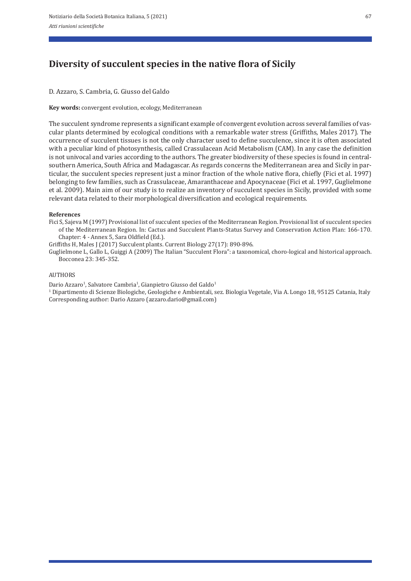# **Diversity of succulent species in the native flora of Sicily**

D. Azzaro, S. Cambria, G. Giusso del Galdo

**Key words:** convergent evolution, ecology, Mediterranean

The succulent syndrome represents a significant example of convergent evolution across several families of vascular plants determined by ecological conditions with a remarkable water stress (Griffiths, Males 2017). The occurrence of succulent tissues is not the only character used to define succulence, since it is often associated with a peculiar kind of photosynthesis, called Crassulacean Acid Metabolism (CAM). In any case the definition is not univocal and varies according to the authors. The greater biodiversity of these species is found in centralsouthern America, South Africa and Madagascar. As regards concerns the Mediterranean area and Sicily in par‐ ticular, the succulent species represent just a minor fraction of the whole native flora, chiefly (Fici et al. 1997) belonging to few families, such as Crassulaceae, Amaranthaceae and Apocynaceae (Fici et al. 1997, Guglielmone et al. 2009). Main aim of our study is to realize an inventory of succulent species in Sicily, provided with some relevant data related to their morphological diversification and ecological requirements.

### **References**

Fici S, Sajeva M (1997) Provisional list of succulent species of the Mediterranean Region. Provisional list of succulent species of the Mediterranean Region. In: Cactus and Succulent Plants‐Status Survey and Conservation Action Plan: 166‐170. Chapter: 4 ‐ Annex 5, Sara Oldfield (Ed.).

Griffiths H, Males J (2017) Succulent plants. Current Biology 27(17): 890‐896.

Guglielmone L, Gallo L, Guiggi A (2009) The Italian "Succulent Flora": a taxonomical, choro‐logical and historical approach. Bocconea 23: 345‐352.

### AUTHORS

Dario Azzaro<sup>1</sup>, Salvatore Cambria<sup>1</sup>, Gianpietro Giusso del Galdo<sup>1</sup>

1 Dipartimento di Scienze Biologiche, Geologiche e Ambientali, sez. Biologia Vegetale, Via A. Longo 18, 95125 Catania, Italy Corresponding author: Dario Azzaro (azzaro.dario@gmail.com)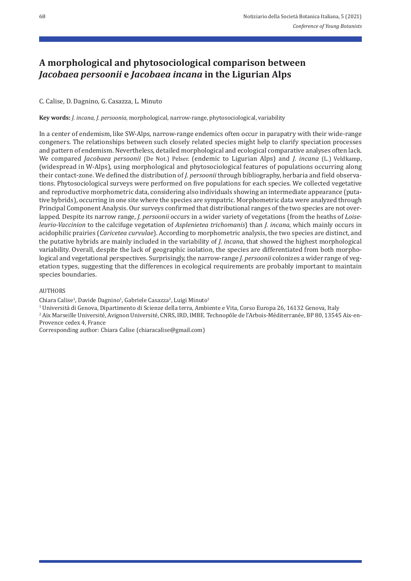## **A morphological and phytosociological comparison between**  *Jacobaea persoonii* **e** *Jacobaea incana* **in the Ligurian Alps**

### C. Calise, D. Dagnino, G. Casazza, L. Minuto

**Key words:** *J. incana, J. persoonia,* morphological, narrow‐range, phytosociological, variability

In a center of endemism, like SW‐Alps, narrow‐range endemics often occur in parapatry with their wide‐range congeners. The relationships between such closely related species might help to clarify speciation processes and pattern of endemism. Nevertheless, detailed morphological and ecological comparative analyses often lack. We compared *Jacobaea persoonii* (De Not.) Pelser. (endemic to Ligurian Alps) and *J. incana* (L.) Veldkamp, (widespread in W‐Alps), using morphological and phytosociological features of populations occurring along their contact-zone. We defined the distribution of *J. persoonii* through bibliography, herbaria and field observations. Phytosociological surveys were performed on five populations for each species. We collected vegetative and reproductive morphometric data, considering also individuals showing an intermediate appearance (putative hybrids), occurring in one site where the species are sympatric. Morphometric data were analyzed through Principal Component Analysis. Our surveys confirmed that distributional ranges of the two species are not over‐ lapped. Despite its narrow range, *J. persoonii* occurs in a wider variety of vegetations (from the heaths of *Loise‑ leurio‑Vaccinion* to the calcifuge vegetation of *Asplenietea trichomanis*) than *J. incana*, which mainly occurs in acidophilic prairies (*Caricetea curvulae*). According to morphometric analysis, the two species are distinct, and the putative hybrids are mainly included in the variability of *J. incana*, that showed the highest morphological variability. Overall, despite the lack of geographic isolation, the species are differentiated from both morpho‐ logical and vegetational perspectives. Surprisingly, the narrow-range *J. persoonii* colonizes a wider range of vegetation types, suggesting that the differences in ecological requirements are probably important to maintain species boundaries.

## AUTHORS

Chiara Calise<sup>1</sup>, Davide Dagnino<sup>1</sup>, Gabriele Casazza<sup>2</sup>, Luigi Minuto<sup>1</sup>

1 Università di Genova, Dipartimento di Scienze della terra, Ambiente e Vita, Corso Europa 26, 16132 Genova, Italy

2 Aix Marseille Université, Avignon Université, CNRS, IRD, IMBE. Technopôle de l'Arbois‐Méditerranée, BP 80, 13545 Aix‐en‐ Provence cedex 4, France

Corresponding author: Chiara Calise (chiaracalise@gmail.com)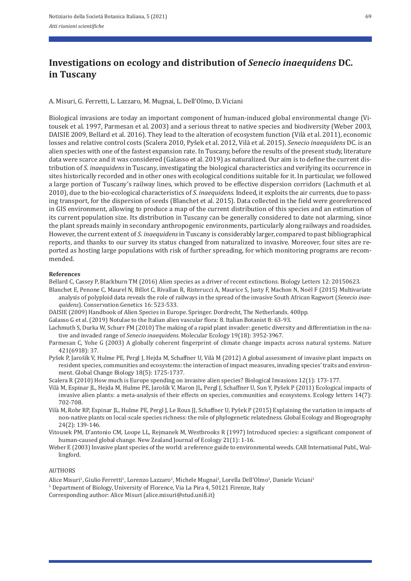## **Investigations on ecology and distribution of** *Senecio inaequidens* **DC. in Tuscany**

A. Misuri, G. Ferretti, L. Lazzaro, M. Mugnai, L. Dell'Olmo, D. Viciani

Biological invasions are today an important component of human-induced global environmental change (Vitousek et al. 1997, Parmesan et al. 2003) and a serious threat to native species and biodiversity (Weber 2003, DAISIE 2009, Bellard et al. 2016). They lead to the alteration of ecosystem function (Vilà et al. 2011), economic losses and relative control costs (Scalera 2010, Pyšek et al. 2012, Vilà et al. 2015). *Senecio inaequidens* DC. is an alien species with one of the fastest expansion rate. In Tuscany, before the results of the present study, literature data were scarce and it was considered (Galasso et al. 2019) as naturalized. Our aim is to define the current distribution of *S. inaequidens* in Tuscany, investigating the biological characteristics and verifying its occurrence in sites historically recorded and in other ones with ecological conditions suitable for it. In particular, we followed a large portion of Tuscany's railway lines, which proved to be effective dispersion corridors (Lachmuth et al. 2010), due to the bio‐ecological characteristics of *S. inaequidens.* Indeed, it exploits the air currents, due to pass‐ ing transport, for the dispersion of seeds (Blanchet et al. 2015). Data collected in the field were georeferenced in GIS environment, allowing to produce a map of the current distribution of this species and an estimation of its current population size. Its distribution in Tuscany can be generally considered to date not alarming, since the plant spreads mainly in secondary anthropogenic environments, particularly along railways and roadsides. However, the current extent of *S. inaequidens* in Tuscany is considerably larger, compared to past bibliographical reports, and thanks to our survey its status changed from naturalized to invasive. Moreover, four sites are re‐ ported as hosting large populations with risk of further spreading, for which monitoring programs are recommended.

#### **References**

Bellard C, Cassey P, Blackburn TM (2016) Alien species as a driver of recent extinctions. Biology Letters 12: 20150623.

- Blanchet E, Penone C, Maurel N, Billot C, Rivallan R, Risterucci A, Maurice S, Justy F, Machon N, Noël F (2015) Multivariate analysis of polyploid data reveals the role of railways in the spread of the invasive South African Ragwort (*Senecio inae‑ quidens*). Conservation Genetics 16: 523‐533.
- DAISIE (2009) Handbook of Alien Species in Europe. Springer. Dordrecht, The Netherlands. 400pp.

Galasso G et al. (2019) Notulae to the Italian alien vascular flora: 8. Italian Botanist 8: 63‐93.

- Lachmuth S, Durka W, Schurr FM (2010) The making of a rapid plant invader: genetic diversity and differentiation in the na‐ tive and invaded range of *Senecio inaequidens*. Molecular Ecology 19(18): 3952‐3967.
- Parmesan C, Yohe G (2003) A globally coherent fingerprint of climate change impacts across natural systems. Nature 421(6918): 37.
- Pyšek P, Jarošík V, Hulme PE, Pergl J, Hejda M, Schaffner U, Vilà M (2012) A global assessment of invasive plant impacts on resident species, communities and ecosystems: the interaction of impact measures, invading species' traits and environment. Global Change Biology 18(5): 1725‐1737.

Scalera R (2010) How much is Europe spending on invasive alien species? Biological Invasions 12(1): 173‐177.

- Vilà M, Espinar JL, Hejda M, Hulme PE, Jarošík V, Maron JL, Pergl J, Schaffner U, Sun Y, Pyšek P (2011) Ecological impacts of invasive alien plants: a meta-analysis of their effects on species, communities and ecosystems. Ecology letters 14(7): 702‐708.
- Vilà M, Rohr RP, Espinar JL, Hulme PE, Pergl J, Le Roux JJ, Schaffner U, Pyšek P (2015) Explaining the variation in impacts of non‐native plants on local‐scale species richness: the role of phylogenetic relatedness. Global Ecology and Biogeography 24(2): 139‐146.
- Vitousek PM, D'antonio CM, Loope LL, Rejmanek M, Westbrooks R (1997) Introduced species: a significant component of human‐caused global change. New Zealand Journal of Ecology 21(1): 1‐16.
- Weber E (2003) Invasive plant species of the world: a reference guide to environmental weeds. CAB International Publ., Wallingford.

### AUTHORS

Alice Misuri<sup>1</sup>, Giulio Ferretti<sup>1</sup>, Lorenzo Lazzaro<sup>1</sup>, Michele Mugnai<sup>1</sup>, Lorella Dell'Olmo<sup>1</sup>, Daniele Viciani<sup>1</sup>

<sup>1</sup> Department of Biology, University of Florence, Via La Pira 4, 50121 Firenze, Italy

Corresponding author: Alice Misuri (alice.misuri@stud.unifi.it)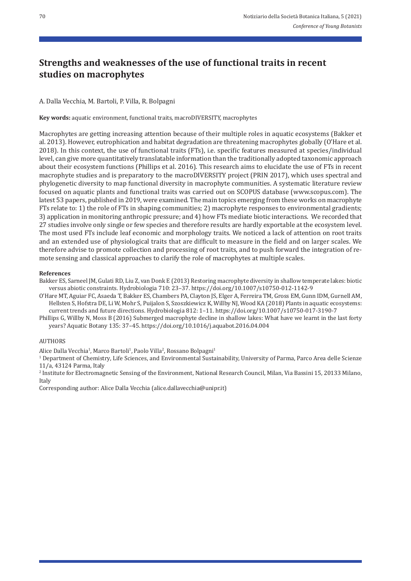# **Strengths and weaknesses of the use of functional traits in recent studies on macrophytes**

A. Dalla Vecchia, M. Bartoli, P. Villa, R. Bolpagni

**Key words:** aquatic environment, functional traits, macroDIVERSITY, macrophytes

Macrophytes are getting increasing attention because of their multiple roles in aquatic ecosystems (Bakker et al. 2013). However, eutrophication and habitat degradation are threatening macrophytes globally (O'Hare et al. 2018). In this context, the use of functional traits (FTs), i.e. specific features measured at species/individual level, can give more quantitatively translatable information than the traditionally adopted taxonomic approach about their ecosystem functions (Phillips et al. 2016). This research aims to elucidate the use of FTs in recent macrophyte studies and is preparatory to the macroDIVERSITY project (PRIN 2017), which uses spectral and phylogenetic diversity to map functional diversity in macrophyte communities. A systematic literature review focused on aquatic plants and functional traits was carried out on SCOPUS database (www.scopus.com). The latest 53 papers, published in 2019, were examined. The main topics emerging from these works on macrophyte FTs relate to: 1) the role of FTs in shaping communities; 2) macrophyte responses to environmental gradients; 3) application in monitoring anthropic pressure; and 4) how FTs mediate biotic interactions. We recorded that 27 studies involve only single or few species and therefore results are hardly exportable at the ecosystem level. The most used FTs include leaf economic and morphology traits. We noticed a lack of attention on root traits and an extended use of physiological traits that are difficult to measure in the field and on larger scales. We therefore advise to promote collection and processing of root traits, and to push forward the integration of remote sensing and classical approaches to clarify the role of macrophytes at multiple scales.

### **References**

Bakker ES, Sarneel JM, Gulati RD, Liu Z, van Donk E (2013) Restoring macrophyte diversity in shallow temperate lakes: biotic versus abiotic constraints. Hydrobiologia 710: 23–37. https://doi.org/10.1007/s10750‐012‐1142‐9

O'Hare MT, Aguiar FC, Asaeda T, Bakker ES, Chambers PA, Clayton JS, Elger A, Ferreira TM, Gross EM, Gunn IDM, Gurnell AM, Hellsten S, Hofstra DE, Li W, Mohr S, Puijalon S, Szoszkiewicz K, Willby NJ, Wood KA (2018) Plants in aquatic ecosystems: current trends and future directions. Hydrobiologia 812: 1–11. https://doi.org/10.1007/s10750‐017‐3190‐7

Phillips G, Willby N, Moss B (2016) Submerged macrophyte decline in shallow lakes: What have we learnt in the last forty years? Aquatic Botany 135: 37–45. https://doi.org/10.1016/j.aquabot.2016.04.004

### **AUTHORS**

Alice Dalla Vecchia<sup>1</sup>, Marco Bartoli<sup>1</sup>, Paolo Villa<sup>2</sup>, Rossano Bolpagni<sup>1</sup>

1 Department of Chemistry, Life Sciences, and Environmental Sustainability, University of Parma, Parco Area delle Scienze 11/a, 43124 Parma, Italy

2 Institute for Electromagnetic Sensing of the Environment, National Research Council, Milan, Via Bassini 15, 20133 Milano, Italy

Corresponding author: Alice Dalla Vecchia (alice.dallavecchia@unipr.it)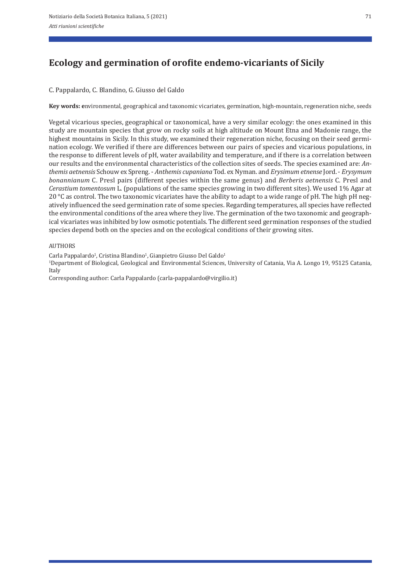# **Ecology and germination of orofite endemo‑vicariants of Sicily**

C. Pappalardo, C. Blandino, G. Giusso del Galdo

**Key words: e**nvironmental, geographical and taxonomic vicariates, germination, high‐mountain, regeneration niche, seeds

Vegetal vicarious species, geographical or taxonomical, have a very similar ecology: the ones examined in this study are mountain species that grow on rocky soils at high altitude on Mount Etna and Madonie range, the highest mountains in Sicily. In this study, we examined their regeneration niche, focusing on their seed germination ecology. We verified if there are differences between our pairs of species and vicarious populations, in the response to different levels of pH, water availability and temperature, and if there is a correlation between our results and the environmental characteristics of the collection sites of seeds. The species examined are: *An‑ themis aetnensis* Schouw ex Spreng. ‐ *Anthemis cupaniana* Tod. ex Nyman. and *Erysimum etnense* Jord. ‐ *Erysymum bonannianum* C. Presl pairs (different species within the same genus) and *Berberis aetnensis* C. Presl and *Cerastium tomentosum* L. (populations of the same species growing in two different sites). We used 1% Agar at 20 °C as control. The two taxonomic vicariates have the ability to adapt to a wide range of pH. The high pH negatively influenced the seed germination rate of some species. Regarding temperatures, all species have reflected the environmental conditions of the area where they live. The germination of the two taxonomic and geograph‐ ical vicariates was inhibited by low osmotic potentials. The different seed germination responses of the studied species depend both on the species and on the ecological conditions of their growing sites.

### AUTHORS

Carla Pappalardo<sup>1</sup>, Cristina Blandino<sup>1</sup>, Gianpietro Giusso Del Galdo<sup>1</sup>

1Department of Biological, Geological and Environmental Sciences, University of Catania, Via A. Longo 19, 95125 Catania, Italy

Corresponding author: Carla Pappalardo (carla‐pappalardo@virgilio.it)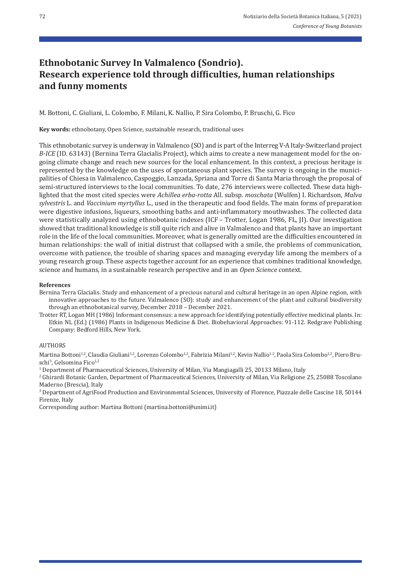# **Ethnobotanic Survey In Valmalenco (Sondrio). Research experience told through difficulties, human relationships and funny moments**

M. Bottoni, C. Giuliani, L. Colombo, F. Milani, K. Nallio, P. Sira Colombo, P. Bruschi, G. Fico

**Key words:** ethnobotany, Open Science, sustainable research, traditional uses

This ethnobotanic survey is underway in Valmalenco (SO) and is part of the Interreg V‐A Italy‐Switzerland project *B‑ICE* (ID. 63143) (Bernina Terra Glacialis Project), which aims to create a new management model for the on‐ going climate change and reach new sources for the local enhancement. In this context, a precious heritage is represented by the knowledge on the uses of spontaneous plant species. The survey is ongoing in the municipalities of Chiesa in Valmalenco, Caspoggio, Lanzada, Spriana and Torre di Santa Maria through the proposal of semi-structured interviews to the local communities. To date, 276 interviews were collected. These data highlighted that the most cited species were *Achillea erba‑rotta* All. subsp. *moschata* (Wulfen) I. Richardson, *Malva sylvestris* L. and *Vaccinium myrtyllus* L., used in the therapeutic and food fields. The main forms of preparation were digestive infusions, liqueurs, smoothing baths and anti-inflammatory mouthwashes. The collected data were statistically analyzed using ethnobotanic indexes (ICF – Trotter, Logan 1986, FL, JI). Our investigation showed that traditional knowledge is still quite rich and alive in Valmalenco and that plants have an important role in the life of the local communities. Moreover, what is generally omitted are the difficulties encountered in human relationships: the wall of initial distrust that collapsed with a smile, the problems of communication, overcome with patience, the trouble of sharing spaces and managing everyday life among the members of a young research group. These aspects together account for an experience that combines traditional knowledge, science and humans, in a sustainable research perspective and in an *Open Science* context.

#### **References**

- Bernina Terra Glacialis. Study and enhancement of a precious natural and cultural heritage in an open Alpine region, with innovative approaches to the future. Valmalenco (SO): study and enhancement of the plant and cultural biodiversity through an ethnobotanical survey, December 2018 – December 2021.
- Trotter RT, Logan MH (1986) Informant consensus: a new approach for identifying potentially effective medicinal plants. In: Etkin NL (Ed.) (1986) Plants in Indigenous Medicine & Diet. Biobehavioral Approaches: 91‐112. Redgrave Publishing Company: Bedford Hills, New York.

### **AUTHORS**

Martina Bottoni<sup>1,2</sup>, Claudia Giuliani<sup>1,2</sup>, Lorenzo Colombo<sup>1,2</sup>, Fabrizia Milani<sup>1,2</sup>, Kevin Nallio<sup>1,2</sup>, Paola Sira Colombo<sup>1,2</sup>, Piero Bruschi<sup>3</sup>, Gelsomina Fico<sup>1,2</sup>

1 Department of Pharmaceutical Sciences, University of Milan, Via Mangiagalli 25, 20133 Milano, Italy

<sup>2</sup> Ghirardi Botanic Garden, Department of Pharmaceutical Sciences, University of Milan, Via Religione 25, 25088 Toscolano Maderno (Brescia), Italy

3 Department of AgriFood Production and Environmental Sciences, University of Florence, Piazzale delle Cascine 18, 50144 Firenze, Italy

Corresponding author: Martina Bottoni (martina.bottoni@unimi.it)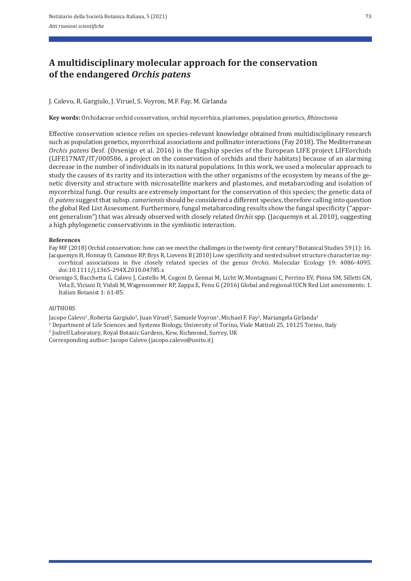# **A multidisciplinary molecular approach for the conservation of the endangered** *Orchis patens*

J. Calevo, R. Gargiulo, J. Viruel, S. Voyron, M.F. Fay, M. Girlanda

**Key words:** Orchidaceae orchid conservation, orchid mycorrhiza, plastomes, population genetics, *Rhizoctonia*

Effective conservation science relies on species-relevant knowledge obtained from multidisciplinary research such as population genetics, mycorrhizal associations and pollinator interactions (Fay 2018). The Mediterranean *Orchis patens* Desf. (Orsenigo et al. 2016) is the flagship species of the European LIFE project LIFEorchids (LIFE17NAT/IT/000586, a project on the conservation of orchids and their habitats) because of an alarming decrease in the number of individuals in its natural populations. In this work, we used a molecular approach to study the causes of its rarity and its interaction with the other organisms of the ecosystem by means of the genetic diversity and structure with microsatellite markers and plastomes, and metabarcoding and isolation of mycorrhizal fungi. Our results are extremely important for the conservation of this species; the genetic data of *O. patens* suggest that subsp. *canariensis* should be considered a different species, therefore calling into question the global Red List Assessment. Furthermore, fungal metabarcoding results show the fungal specificity ("appar‐ ent generalism") that was already observed with closely related *Orchis* spp. (Jacquemyn et al. 2010), suggesting a high phylogenetic conservativism in the symbiotic interaction.

### **References**

Fay MF (2018) Orchid conservation: how can we meet the challenges in the twenty‐first century? Botanical Studies 59 (1): 16.

Jacquemyn H, Honnay O, Cammue BP, Brys R, Lievens B (2010) Low specificity and nested subset structure characterize my‐ corrhizal associations in five closely related species of the genus *Orchis*. Molecular Ecology 19: 4086‐4095. doi:10.1111/j.1365‐294X.2010.04785.x

Orsenigo S, Bacchetta G, Calevo J, Castello M, Cogoni D, Gennai M, Licht W, Montagnani C, Perrino EV, Pinna SM, Silletti GN, Vela E, Viciani D, Vidali M, Wagensommer RP, Zappa E, Fenu G (2016) Global and regional IUCN Red List assessments: 1. Italian Botanist 1: 61‐85.

### AUTHORS

Jacopo Calevo<sup>1</sup>, Roberta Gargiulo<sup>2</sup>, Juan Viruel<sup>2</sup>, Samuele Voyron<sup>1</sup>, Michael F. Fay<sup>2</sup>, Mariangela Girlanda<sup>1</sup>

1 Department of Life Sciences and Systems Biology, University of Torino, Viale Mattioli 25, 10125 Torino, Italy

2 Jodrell Laboratory, Royal Botanic Gardens, Kew, Richmond, Surrey, UK

Corresponding author: Jacopo Calevo (jacopo.calevo@unito.it)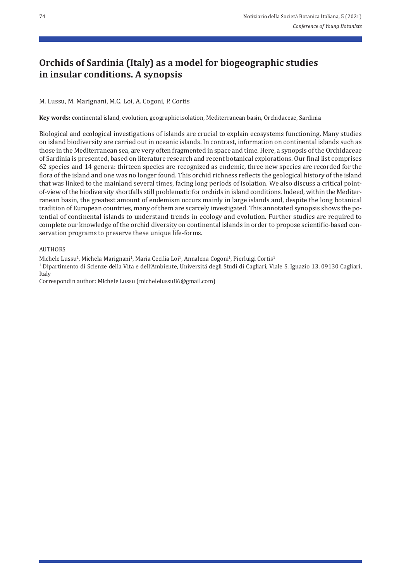# **Orchids of Sardinia (Italy) as a model for biogeographic studies in insular conditions. A synopsis**

### M. Lussu, M. Marignani, M.C. Loi, A. Cogoni, P. Cortis

**Key words: c**ontinental island, evolution, geographic isolation, Mediterranean basin, Orchidaceae, Sardinia

Biological and ecological investigations of islands are crucial to explain ecosystems functioning. Many studies on island biodiversity are carried out in oceanic islands. In contrast, information on continental islands such as those in the Mediterranean sea, are very often fragmented in space and time. Here, a synopsis of the Orchidaceae of Sardinia is presented, based on literature research and recent botanical explorations. Our final list comprises 62 species and 14 genera: thirteen species are recognized as endemic, three new species are recorded for the flora of the island and one was no longer found. This orchid richness reflects the geological history of the island that was linked to the mainland several times, facing long periods of isolation. We also discuss a critical point‐ of‐view of the biodiversity shortfalls still problematic for orchids in island conditions. Indeed, within the Mediter‐ ranean basin, the greatest amount of endemism occurs mainly in large islands and, despite the long botanical tradition of European countries, many of them are scarcely investigated. This annotated synopsis shows the po‐ tential of continental islands to understand trends in ecology and evolution. Further studies are required to complete our knowledge of the orchid diversity on continental islands in order to propose scientific-based conservation programs to preserve these unique life-forms.

### AUTHORS

Michele Lussu<sup>1</sup>, Michela Marignani<sup>1</sup>, Maria Cecilia Loi<sup>1</sup>, Annalena Cogoni<sup>1</sup>, Pierluigi Cortis<sup>1</sup>

1 Dipartimento di Scienze della Vita e dell'Ambiente, Università degli Studi di Cagliari, Viale S. Ignazio 13, 09130 Cagliari, Italy

Correspondin author: Michele Lussu (michelelussu86@gmail.com)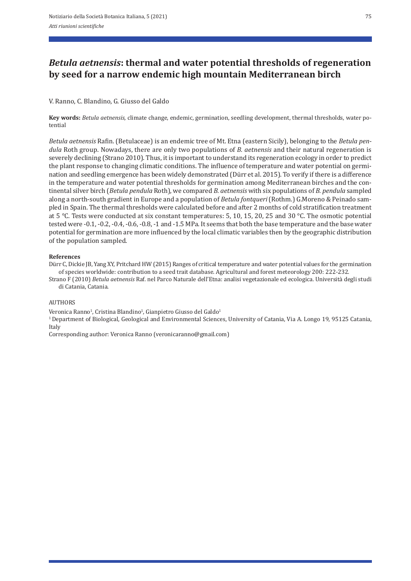## *Betula aetnensis***: thermal and water potential thresholds of regeneration by seed for a narrow endemic high mountain Mediterranean birch**

### V. Ranno, C. Blandino, G. Giusso del Galdo

**Key words:** *Betula aetnensis,* climate change, endemic, germination, seedling development, thermal thresholds, water po‐ tential

*Betula aetnensis* Rafin. (Betulaceae) is an endemic tree of Mt. Etna (eastern Sicily), belonging to the *Betula pen‑ dula* Roth group. Nowadays, there are only two populations of *B. aetnensis* and their natural regeneration is severely declining (Strano 2010). Thus, it is important to understand its regeneration ecology in order to predict the plant response to changing climatic conditions. The influence of temperature and water potential on germination and seedling emergence has been widely demonstrated (Dürr et al. 2015). To verify if there is a difference in the temperature and water potential thresholds for germination among Mediterranean birches and the continental silver birch (*Betula pendula* Roth), we compared *B. aetnensis* with six populations of *B. pendula* sampled along a north‐south gradient in Europe and a population of *Betula fontqueri* (Rothm.) G.Moreno & Peinado sam‐ pled in Spain. The thermal thresholds were calculated before and after 2 months of cold stratification treatment at 5 °C. Tests were conducted at six constant temperatures: 5, 10, 15, 20, 25 and 30 °C. The osmotic potential tested were ‐0.1, ‐0.2, ‐0.4, ‐0.6, ‐0.8, ‐1 and ‐1.5 MPa. It seems that both the base temperature and the base water potential for germination are more influenced by the local climatic variables then by the geographic distribution of the population sampled.

### **References**

Dürr C, Dickie JB, Yang XY, Pritchard HW (2015) Ranges of critical temperature and water potential values for the germination of species worldwide: contribution to a seed trait database. Agricultural and forest meteorology 200: 222‐232.

Strano F (2010) *Betula aetnensis* Raf. nel Parco Naturale dell'Etna: analisi vegetazionale ed ecologica. Università degli studi di Catania, Catania.

### AUTHORS

Veronica Ranno<sup>1</sup>, Cristina Blandino<sup>1</sup>, Gianpietro Giusso del Galdo<sup>1</sup>

1 Department of Biological, Geological and Environmental Sciences, University of Catania, Via A. Longo 19, 95125 Catania, Italy

Corresponding author: Veronica Ranno (veronicaranno@gmail.com)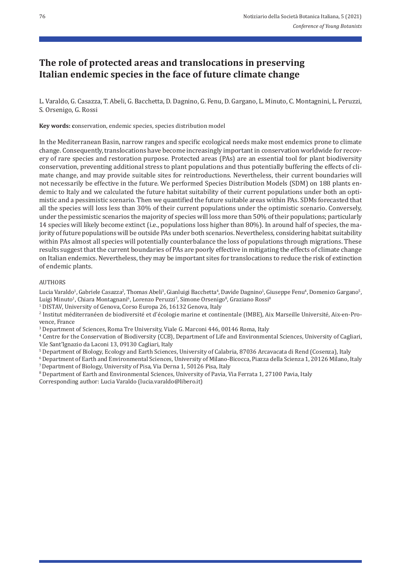## **The role of protected areas and translocations in preserving Italian endemic species in the face of future climate change**

L. Varaldo, G. Casazza, T. Abeli, G. Bacchetta, D. Dagnino, G. Fenu, D. Gargano, L. Minuto, C. Montagnini, L. Peruzzi, S. Orsenigo, G. Rossi

**Key words: c**onservation, endemic species, species distribution model

In the Mediterranean Basin, narrow ranges and specific ecological needs make most endemics prone to climate change. Consequently, translocations have become increasingly important in conservation worldwide for recovery of rare species and restoration purpose. Protected areas (PAs) are an essential tool for plant biodiversity conservation, preventing additional stress to plant populations and thus potentially buffering the effects of cli‐ mate change, and may provide suitable sites for reintroductions. Nevertheless, their current boundaries will not necessarily be effective in the future. We performed Species Distribution Models (SDM) on 188 plants en‐ demic to Italy and we calculated the future habitat suitability of their current populations under both an optimistic and a pessimistic scenario. Then we quantified the future suitable areas within PAs. SDMs forecasted that all the species will loss less than 30% of their current populations under the optimistic scenario. Conversely, under the pessimistic scenarios the majority of species will loss more than 50% of their populations; particularly 14 species will likely become extinct (i.e., populations loss higher than 80%). In around half of species, the ma‐ jority of future populations will be outside PAs under both scenarios. Nevertheless, considering habitat suitability within PAs almost all species will potentially counterbalance the loss of populations through migrations. These results suggest that the current boundaries of PAs are poorly effective in mitigating the effects of climate change on Italian endemics. Nevertheless, they may be important sites for translocations to reduce the risk of extinction of endemic plants.

#### AUTHORS

Lucia Varaldo<sup>1</sup>, Gabriele Casazza<sup>2</sup>, Thomas Abeli<sup>3</sup>, Gianluigi Bacchetta<sup>4</sup>, Davide Dagnino<sup>1</sup>, Giuseppe Fenu<sup>4</sup>, Domenico Gargano<sup>5</sup>, Luigi Minuto<sup>1</sup>, Chiara Montagnani<sup>6</sup>, Lorenzo Peruzzi<sup>7</sup>, Simone Orsenigo<sup>8</sup>, Graziano Rossi<sup>8</sup>

<sup>1</sup> DISTAV, University of Genova, Corso Europa 26, 16132 Genova, Italy

2 Institut méditerranéen de biodiversité et d'écologie marine et continentale (IMBE), Aix Marseille Université, Aix‐en‐Pro‐ vence, France

3 Department of Sciences, Roma Tre University, Viale G. Marconi 446, 00146 Roma, Italy

4 Centre for the Conservation of Biodiversity (CCB), Department of Life and Environmental Sciences, University of Cagliari, V.le Sant'Ignazio da Laconi 13, 09130 Cagliari, Italy

5 Department of Biology, Ecology and Earth Sciences, University of Calabria, 87036 Arcavacata di Rend (Cosenza), Italy

 $6$  Department of Earth and Environmental Sciences, University of Milano-Bicocca, Piazza della Scienza 1, 20126 Milano, Italy  $7$  Department of Biology, University of Pisa, Via Derna 1, 50126 Pisa, Italy

8 Department of Earth and Environmental Sciences, University of Pavia, Via Ferrata 1, 27100 Pavia, Italy Corresponding author: Lucia Varaldo (lucia.varaldo@libero.it)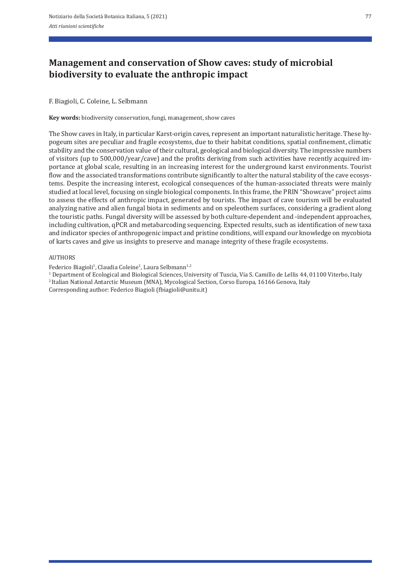# **Management and conservation of Show caves: study of microbial biodiversity to evaluate the anthropic impact**

### F. Biagioli, C. Coleine, L. Selbmann

**Key words:** biodiversity conservation, fungi, management, show caves

The Show caves in Italy, in particular Karst-origin caves, represent an important naturalistic heritage. These hypogeum sites are peculiar and fragile ecosystems, due to their habitat conditions, spatial confinement, climatic stability and the conservation value of their cultural, geological and biological diversity. The impressive numbers of visitors (up to 500,000/year/cave) and the profits deriving from such activities have recently acquired im‐ portance at global scale, resulting in an increasing interest for the underground karst environments. Tourist flow and the associated transformations contribute significantly to alter the natural stability of the cave ecosystems. Despite the increasing interest, ecological consequences of the human-associated threats were mainly studied at local level, focusing on single biological components. In this frame, the PRIN "Showcave" project aims to assess the effects of anthropic impact, generated by tourists. The impact of cave tourism will be evaluated analyzing native and alien fungal biota in sediments and on speleothem surfaces, considering a gradient along the touristic paths. Fungal diversity will be assessed by both culture‐dependent and ‐independent approaches, including cultivation, qPCR and metabarcoding sequencing. Expected results, such as identification of new taxa and indicator species of anthropogenic impact and pristine conditions, will expand our knowledge on mycobiota of karts caves and give us insights to preserve and manage integrity of these fragile ecosystems.

### AUTHORS

Federico Biagioli<sup>1</sup>, Claudia Coleine<sup>1</sup>, Laura Selbmann<sup>1,2</sup>

1 Department of Ecological and Biological Sciences, University of Tuscia, Via S. Camillo de Lellis 44, 01100 Viterbo, Italy

2 Italian National Antarctic Museum (MNA), Mycological Section, Corso Europa, 16166 Genova, Italy

Corresponding author: Federico Biagioli (fbiagioli@unitu.it)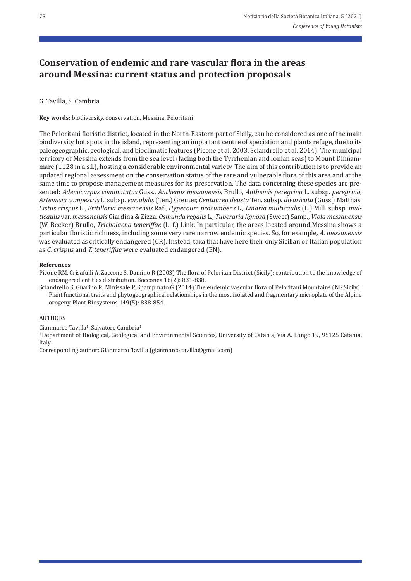## **Conservation of endemic and rare vascular flora in the areas around Messina: current status and protection proposals**

### G. Tavilla, S. Cambria

**Key words:** biodiversity, conservation, Messina, Peloritani

The Peloritani floristic district, located in the North‐Eastern part of Sicily, can be considered as one of the main biodiversity hot spots in the island, representing an important centre of speciation and plants refuge, due to its paleogeographic, geological, and bioclimatic features (Picone et al. 2003, Sciandrello et al. 2014). The municipal territory of Messina extends from the sea level (facing both the Tyrrhenian and Ionian seas) to Mount Dinnam‐ mare (1128 m a.s.l.), hosting a considerable environmental variety. The aim of this contribution is to provide an updated regional assessment on the conservation status of the rare and vulnerable flora of this area and at the same time to propose management measures for its preservation. The data concerning these species are presented: *Adenocarpus commutatus* Guss., *Anthemis messanensis* Brullo, *Anthemis peregrina* L. subsp. *peregrina*, *Artemisia campestris* L. subsp. *variabilis* (Ten.) Greuter, *Centaurea deusta* Ten. subsp. *divaricata* (Guss.) Matthäs, *Cistus crispus* L., *Fritillaria messanensis* Raf., *Hypecoum procumbens* L., *Linaria multicaulis* (L.) Mill. subsp. *mul‑ ticaulis* var. *messanensis* Giardina & Zizza, *Osmunda regalis* L., *Tuberaria lignosa* (Sweet) Samp., *Viola messanensis* (W. Becker) Brullo, *Tricholaena teneriffae* (L. f.) Link. In particular, the areas located around Messina shows a particular floristic richness, including some very rare narrow endemic species. So, for example, *A. messanensis* was evaluated as critically endangered (CR). Instead, taxa that have here their only Sicilian or Italian population as *C. crispus* and *T. teneriffae* were evaluated endangered (EN).

### **References**

Picone RM, Crisafulli A, Zaccone S, Damino R (2003) The flora of Peloritan District (Sicily): contribution to the knowledge of endangered entities distribution. Bocconea 16(2): 831‐838.

Sciandrello S, Guarino R, Minissale P, Spampinato G (2014) The endemic vascular flora of Peloritani Mountains (NE Sicily): Plant functional traits and phytogeographical relationships in the most isolated and fragmentary microplate of the Alpine orogeny. Plant Biosystems 149(5): 838‐854.

### AUTHORS

Gianmarco Tavilla<sup>1</sup>, Salvatore Cambria<sup>1</sup>

1 Department of Biological, Geological and Environmental Sciences, University of Catania, Via A. Longo 19, 95125 Catania, Italy

Corresponding author: Gianmarco Tavilla (gianmarco.tavilla@gmail.com)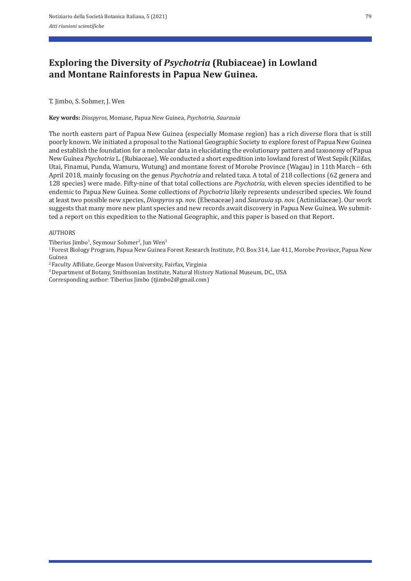# **Exploring the Diversity of** *Psychotria* **(Rubiaceae) in Lowland and Montane Rainforests in Papua New Guinea.**

T. Jimbo, S. Sohmer, J. Wen

**Key words:** *Diospyros,* Momase, Papua New Guinea, *Psychotria, Saurauia* 

The north eastern part of Papua New Guinea (especially Momase region) has a rich diverse flora that is still poorly known. We initiated a proposal to the National Geographic Society to explore forest of Papua New Guinea and establish the foundation for a molecular data in elucidating the evolutionary pattern and taxonomy of Papua New Guinea *Psychotria* L. (Rubiaceae). We conducted a short expedition into lowland forest of West Sepik (Kilifas, Utai, Finamui, Punda, Wamuru, Wutung) and montane forest of Morobe Province (Wagau) in 11th March – 6th April 2018, mainly focusing on the genus *Psychotria* and related taxa. A total of 218 collections (62 genera and 128 species) were made. Fifty‐nine of that total collections are *Psychotria*, with eleven species identified to be endemic to Papua New Guinea. Some collections of *Psychotria* likely represents undescribed species. We found at least two possible new species, *Diospyros* sp. *nov.* (Ebenaceae) and *Saurauia* sp. *nov.* (Actinidiaceae). Our work suggests that many more new plant species and new records await discovery in Papua New Guinea. We submitted a report on this expedition to the National Geographic, and this paper is based on that Report.

### AUTHORS

Tiberius Jimbo<sup>1</sup>, Seymour Sohmer<sup>2</sup>, Jun Wen<sup>3</sup>

<sup>1</sup> Forest Biology Program, Papua New Guinea Forest Research Institute, P.O. Box 314, Lae 411, Morobe Province, Papua New Guinea

<sup>2</sup> Faculty Affiliate, George Mason University, Fairfax, Virginia<br><sup>3</sup> Department of Botany, Smithsonian Institute, Natural History National Museum, DC., USA

Corresponding author: Tiberius Jimbo (tjimbo2@gmail.com)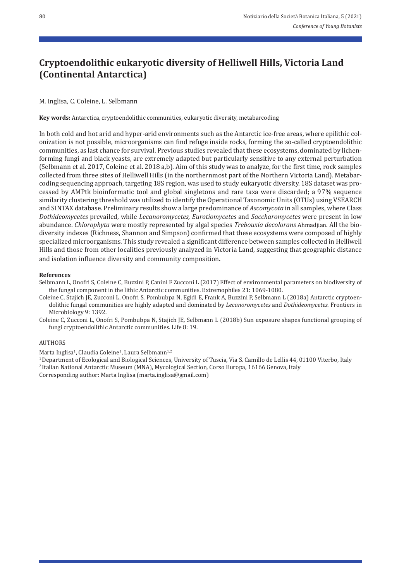# **Cryptoendolithic eukaryotic diversity of Helliwell Hills, Victoria Land (Continental Antarctica)**

M. Inglisa, C. Coleine, L. Selbmann

**Key words:** Antarctica, cryptoendolithic communities, eukaryotic diversity, metabarcoding

In both cold and hot arid and hyper-arid environments such as the Antarctic ice-free areas, where epilithic colonization is not possible, microorganisms can find refuge inside rocks, forming the so-called cryptoendolithic communities, as last chance for survival. Previous studies revealed that these ecosystems, dominated by lichenforming fungi and black yeasts, are extremely adapted but particularly sensitive to any external perturbation (Selbmann et al. 2017, Coleine et al. 2018 a,b). Aim of this study was to analyze, for the first time, rock samples collected from three sites of Helliwell Hills (in the northernmost part of the Northern Victoria Land). Metabar‐ coding sequencing approach, targeting 18S region, was used to study eukaryotic diversity. 18S dataset was pro‐ cessed by AMPtk bioinformatic tool and global singletons and rare taxa were discarded; a 97% sequence similarity clustering threshold was utilized to identify the Operational Taxonomic Units (OTUs) using VSEARCH and SINTAX database. Preliminary results show a large predominance of *Ascomycota* in all samples, where Class *Dothideomycetes* prevailed, while *Lecanoromycetes, Eurotiomycetes* and *Saccharomycetes* were present in low abundance. *Chlorophyta* were mostly represented by algal species *Trebouxia decolorans* Ahmadjian. All the bio‐ diversity indexes (Richness, Shannon and Simpson) confirmed that these ecosystems were composed of highly specialized microorganisms. This study revealed a significant difference between samples collected in Helliwell Hills and those from other localities previously analyzed in Victoria Land, suggesting that geographic distance and isolation influence diversity and community composition.

#### **References**

- Selbmann L, Onofri S, Coleine C, Buzzini P, Canini F Zucconi L (2017) Effect of environmental parameters on biodiversity of the fungal component in the lithic Antarctic communities. Extremophiles 21: 1069‐1080.
- Coleine C, Stajich JE, Zucconi L, Onofri S, Pombubpa N, Egidi E, Frank A, Buzzini P, Selbmann L (2018a) Antarctic cryptoen‐ dolithic fungal communities are highly adapted and dominated by *Lecanoromycetes* and *Dothideomycetes*. Frontiers in Microbiology 9: 1392.
- Coleine C, Zucconi L, Onofri S, Pombubpa N, Stajich JE, Selbmann L (2018b) Sun exposure shapes functional grouping of fungi cryptoendolithic Antarctic communities. Life 8: 19.

### AUTHORS

Marta Inglisa<sup>1</sup>, Claudia Coleine<sup>1</sup>, Laura Selbmann<sup>1,2</sup>

1 Department of Ecological and Biological Sciences, University of Tuscia, Via S. Camillo de Lellis 44, 01100 Viterbo, Italy

2 Italian National Antarctic Museum (MNA), Mycological Section, Corso Europa, 16166 Genova, Italy

Corresponding author: Marta Inglisa (marta.inglisa@gmail.com)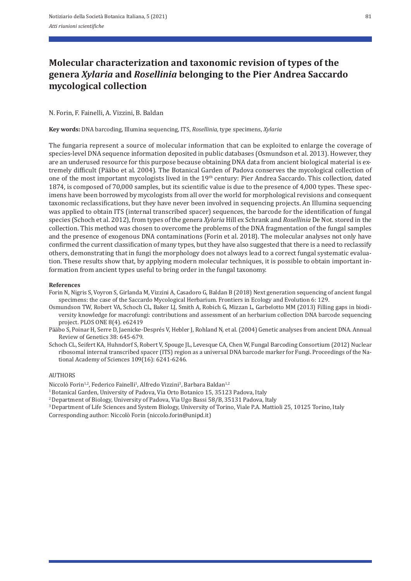# **Molecular characterization and taxonomic revision of types of the genera** *Xylaria* **and** *Rosellinia* **belonging to the Pier Andrea Saccardo mycological collection**

### N. Forin, F. Fainelli, A. Vizzini, B. Baldan

**Key words:** DNA barcoding, Illumina sequencing, ITS, *Rosellinia,* type specimens, *Xylaria*

The fungaria represent a source of molecular information that can be exploited to enlarge the coverage of species-level DNA sequence information deposited in public databases (Osmundson et al. 2013). However, they are an underused resource for this purpose because obtaining DNA data from ancient biological material is extremely difficult (Pääbo et al. 2004). The Botanical Garden of Padova conserves the mycological collection of one of the most important mycologists lived in the 19<sup>th</sup> century: Pier Andrea Saccardo. This collection, dated 1874, is composed of 70,000 samples, but its scientific value is due to the presence of 4,000 types. These spec‐ imens have been borrowed by mycologists from all over the world for morphological revisions and consequent taxonomic reclassifications, but they have never been involved in sequencing projects. An Illumina sequencing was applied to obtain ITS (internal transcribed spacer) sequences, the barcode for the identification of fungal species (Schoch et al. 2012), from types of the genera *Xylaria* Hill ex Schrank and *Rosellinia* De Not. stored in the collection. This method was chosen to overcome the problems of the DNA fragmentation of the fungal samples and the presence of exogenous DNA contaminations (Forin et al. 2018). The molecular analyses not only have confirmed the current classification of many types, but they have also suggested that there is a need to reclassify others, demonstrating that in fungi the morphology does not always lead to a correct fungal systematic evalua‐ tion. These results show that, by applying modern molecular techniques, it is possible to obtain important in‐ formation from ancient types useful to bring order in the fungal taxonomy.

#### **References**

- Forin N, Nigris S, Voyron S, Girlanda M, Vizzini A, Casadoro G, Baldan B (2018) Next generation sequencing of ancient fungal specimens: the case of the Saccardo Mycological Herbarium. Frontiers in Ecology and Evolution 6: 129.
- Osmundson TW, Robert VA, Schoch CL, Baker LJ, Smith A, Robich G, Mizzan L, Garbelotto MM (2013) Filling gaps in biodi‐ versity knowledge for macrofungi: contributions and assessment of an herbarium collection DNA barcode sequencing project. PLOS ONE 8(4). e62419
- Pääbo S, Poinar H, Serre D, Jaenicke‐Després V, Hebler J, Rohland N, et al. (2004) Genetic analyses from ancient DNA. Annual Review of Genetics 38: 645‐679.
- Schoch CL, Seifert KA, Huhndorf S, Robert V, Spouge JL, Levesque CA, Chen W, Fungal Barcoding Consortium (2012) Nuclear ribosomal internal transcribed spacer (ITS) region as a universal DNA barcode marker for Fungi. Proceedings of the Na‐ tional Academy of Sciences 109(16): 6241‐6246.

### AUTHORS

Niccolò Forin<sup>1,2</sup>, Federico Fainelli<sup>1</sup>, Alfredo Vizzini<sup>3</sup>, Barbara Baldan<sup>1,2</sup>

- <sup>1</sup> Botanical Garden, University of Padova, Via Orto Botanico 15, 35123 Padova, Italy
- <sup>2</sup> Department of Biology, University of Padova, Via Ugo Bassi 58/B, 35131 Padova, Italy
- 3 Department of Life Sciences and System Biology, University of Torino, Viale P.A. Mattioli 25, 10125 Torino, Italy

Corresponding author: Niccolò Forin (niccolo.forin@unipd.it)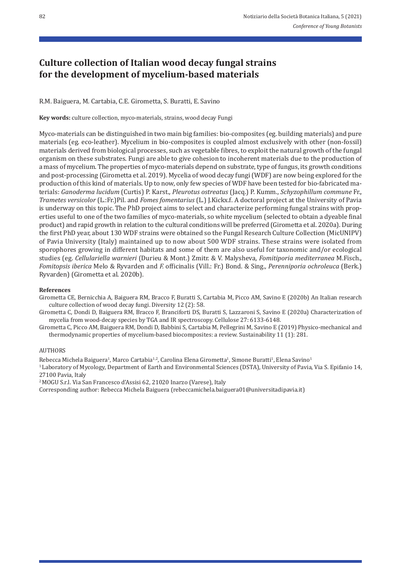## **Culture collection of Italian wood decay fungal strains for the development of mycelium‑based materials**

R.M. Baiguera, M. Cartabia, C.E. Girometta, S. Buratti, E. Savino

Key words: culture collection, myco-materials, strains, wood decay Fungi

Myco-materials can be distinguished in two main big families: bio-composites (eg. building materials) and pure materials (eg. eco-leather). Mycelium in bio-composites is coupled almost exclusively with other (non-fossil) materials derived from biological processes, such as vegetable fibres, to exploit the natural growth of the fungal organism on these substrates. Fungi are able to give cohesion to incoherent materials due to the production of a mass of mycelium. The properties of myco-materials depend on substrate, type of fungus, its growth conditions and post-processing (Girometta et al. 2019). Mycelia of wood decay fungi (WDF) are now being explored for the production of this kind of materials. Up to now, only few species of WDF have been tested for bio-fabricated materials: *Ganoderma lucidum* (Curtis) P. Karst.*, Pleurotus ostreatus* (Jacq.) P. Kumm., *Schyzophillum commune* Fr.*, Trametes versicolor* (L.:Fr.)Pil. and *Fomes fomentarius* (L.) J.Kickx.f. A doctoral project at the University of Pavia is underway on this topic. The PhD project aims to select and characterize performing fungal strains with properties useful to one of the two families of myco-materials, so white mycelium (selected to obtain a dyeable final product) and rapid growth in relation to the cultural conditions will be preferred (Girometta et al. 2020a). During the first PhD year, about 130 WDF strains were obtained so the Fungal Research Culture Collection (MicUNIPV) of Pavia University (Italy) maintained up to now about 500 WDF strains. These strains were isolated from sporophores growing in different habitats and some of them are also useful for taxonomic and/or ecological studies (eg. *Cellulariella warnieri* (Durieu & Mont.) Zmitr. & V. Malysheva*, Fomitiporia mediterranea* M.Fisch.*, Fomitopsis iberica* Melo & Ryvarden and *F.* officinalis (Vill.: Fr.) Bond. & Sing.*, Perenniporia ochroleuca* (Berk.) Ryvarden) (Girometta et al. 2020b).

### **References**

- Girometta CE, Bernicchia A, Baiguera RM, Bracco F, Buratti S, Cartabia M, Picco AM, Savino E (2020b) An Italian research culture collection of wood decay fungi. Diversity 12 (2): 58.
- Girometta C, Dondi D, Baiguera RM, Bracco F, Branciforti DS, Buratti S, Lazzaroni S, Savino E (2020a) Characterization of mycelia from wood‐decay species by TGA and IR spectroscopy. Cellulose 27: 6133‐6148.
- Girometta C, Picco AM, Baiguera RM, Dondi D, Babbini S, Cartabia M, Pellegrini M, Savino E (2019) Physico-mechanical and thermodynamic properties of mycelium‐based biocomposites: a review. Sustainability 11 (1): 281.

#### AUTHORS

Rebecca Michela Baiguera<sup>1</sup>, Marco Cartabia<sup>1,2</sup>, Carolina Elena Girometta<sup>1</sup>, Simone Buratti<sup>1</sup>, Elena Savino<sup>1</sup>

<sup>1</sup> Laboratory of Mycology, Department of Earth and Environmental Sciences (DSTA), University of Pavia, Via S. Epifanio 14, 27100 Pavia, Italy

2 MOGU S.r.l. Via San Francesco d'Assisi 62, 21020 Inarzo (Varese), Italy

Corresponding author: Rebecca Michela Baiguera (rebeccamichela.baiguera01@universitadipavia.it)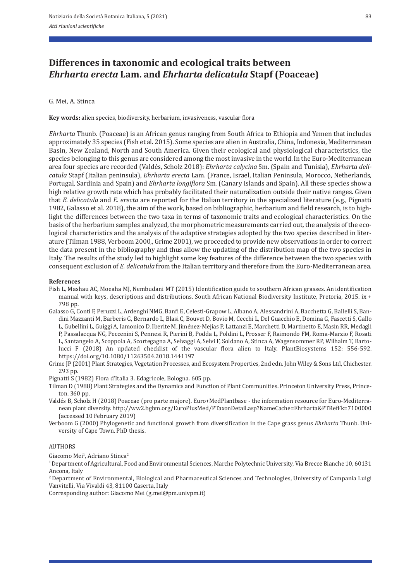## **Differences in taxonomic and ecological traits between**  *Ehrharta erecta* **Lam. and** *Ehrharta delicatula* **Stapf (Poaceae)**

### G. Mei, A. Stinca

**Key words:** alien species, biodiversity, herbarium, invasiveness, vascular flora

*Ehrharta* Thunb. (Poaceae) is an African genus ranging from South Africa to Ethiopia and Yemen that includes approximately 35 species (Fish et al. 2015). Some species are alien in Australia, China, Indonesia, Mediterranean Basin, New Zealand, North and South America. Given their ecological and physiological characteristics, the species belonging to this genus are considered among the most invasive in the world. In the Euro-Mediterranean area four species are recorded (Valdés, Scholz 2018): *Ehrharta calycina* Sm. (Spain and Tunisia), *Ehrharta deli‑ catula* Stapf (Italian peninsula), *Ehrharta erecta* Lam. (France, Israel, Italian Peninsula, Morocco, Netherlands, Portugal, Sardinia and Spain) and *Ehrharta longiflora* Sm. (Canary Islands and Spain). All these species show a high relative growth rate which has probably facilitated their naturalization outside their native ranges. Given that *E. delicatula* and *E. erecta* are reported for the Italian territory in the specialized literature (e.g., Pignatti 1982, Galasso et al. 2018), the aim of the work, based on bibliographic, herbarium and field research, is to high‐ light the differences between the two taxa in terms of taxonomic traits and ecological characteristics. On the basis of the herbarium samples analyzed, the morphometric measurements carried out, the analysis of the ecological characteristics and the analysis of the adaptive strategies adopted by the two species described in literature (Tilman 1988, Verboom 2000,, Grime 2001), we proceeded to provide new observations in order to correct the data present in the bibliography and thus allow the updating of the distribution map of the two species in Italy. The results of the study led to highlight some key features of the difference between the two species with consequent exclusion of *E. delicatula* from the Italian territory and therefore from the Euro-Mediterranean area.

#### **References**

- Fish L, Mashau AC, Moeaha MJ, Nembudani MT (2015) Identification guide to southern African grasses. An identification manual with keys, descriptions and distributions. South African National Biodiversity Institute, Pretoria, 2015. ix + 798 pp.
- Galasso G, Conti F, Peruzzi L, Ardenghi NMG, Banfi E, Celesti‐Grapow L, Albano A, Alessandrini A, Bacchetta G, Ballelli S, Ban‐ dini Mazzanti M, Barberis G, Bernardo L, Blasi C, Bouvet D, Bovio M, Cecchi L, Del Guacchio E, Domina G, Fascetti S, Gallo L, Gubellini L, Guiggi A, Iamonico D, Iberite M, Jiménez‐Mejías P, Lattanzi E, Marchetti D, Martinetto E, Masin RR, Medagli P, Passalacqua NG, Peccenini S, Pennesi R, Pierini B, Podda L, Poldini L, Prosser F, Raimondo FM, Roma‐Marzio F, Rosati L, Santangelo A, Scoppola A, Scortegagna A, Selvaggi A, Selvi F, Soldano A, Stinca A, Wagensommer RP, Wilhalm T, Barto‐ lucci F (2018) An updated checklist of the vascular flora alien to Italy. PlantBiosystems 152: 556‐592. https://doi.org/10.1080/11263504.2018.1441197
- Grime JP (2001) Plant Strategies, Vegetation Processes, and Ecosystem Properties, 2nd edn. John Wiley & Sons Ltd, Chichester. 293 pp.
- Pignatti S (1982) Flora d'Italia 3. Edagricole, Bologna. 605 pp.
- Tilman D (1988) Plant Strategies and the Dynamics and Function of Plant Communities. Princeton University Press, Prince‐ ton. 360 pp.
- Valdés B, Scholz H (2018) Poaceae (pro parte majore). Euro+MedPlantbase the information resource for Euro-Mediterranean plant diversity. http://ww2.bgbm.org/EuroPlusMed/PTaxonDetail.asp?NameCache=Ehrharta&PTRefFk=7100000 (accessed 10 February 2019)
- Verboom G (2000) Phylogenetic and functional growth from diversification in the Cape grass genus *Ehrharta* Thunb. Uni‐ versity of Cape Town. PhD thesis.

#### **AUTHORS**

Giacomo Mei<sup>1</sup>, Adriano Stinca<sup>2</sup>

1 Department of Agricultural, Food and Environmental Sciences, Marche Polytechnic University, Via Brecce Bianche 10, 60131 Ancona, Italy

2 Department of Environmental, Biological and Pharmaceutical Sciences and Technologies, University of Campania Luigi Vanvitelli, Via Vivaldi 43, 81100 Caserta, Italy

Corresponding author: Giacomo Mei (g.mei@pm.univpm.it)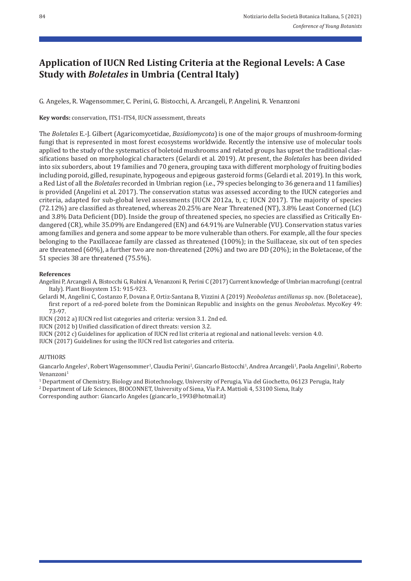# **Application of IUCN Red Listing Criteria at the Regional Levels: A Case Study with** *Boletales* **in Umbria (Central Italy)**

G. Angeles, R. Wagensommer, C. Perini, G. Bistocchi, A. Arcangeli, P. Angelini, R. Venanzoni

**Key words:** conservation, ITS1‐ITS4, IUCN assessment, threats

The *Boletales* E.‐J. Gilbert (Agaricomycetidae, *Basidiomycota*) is one of the major groups of mushroom‐forming fungi that is represented in most forest ecosystems worldwide. Recently the intensive use of molecular tools applied to the study of the systematics of boletoid mushrooms and related groups has upset the traditional clas‐ sifications based on morphological characters (Gelardi et al. 2019). At present, the *Boletales* has been divided into six suborders, about 19 families and 70 genera, grouping taxa with different morphology of fruiting bodies including poroid, gilled, resupinate, hypogeous and epigeous gasteroid forms (Gelardi et al. 2019). In this work, a Red List of all the *Boletales* recorded in Umbrian region (i.e., 79 species belonging to 36 genera and 11 families) is provided (Angelini et al. 2017). The conservation status was assessed according to the IUCN categories and criteria, adapted for sub‐global level assessments (IUCN 2012a, b, c; IUCN 2017). The majority of species (72.12%) are classified as threatened, whereas 20.25% are Near Threatened (NT), 3.8% Least Concerned (LC) and 3.8% Data Deficient (DD). Inside the group of threatened species, no species are classified as Critically En‐ dangered (CR), while 35.09% are Endangered (EN) and 64.91% are Vulnerable (VU). Conservation status varies among families and genera and some appear to be more vulnerable than others. For example, all the four species belonging to the Paxillaceae family are classed as threatened (100%); in the Suillaceae, six out of ten species are threatened (60%), a further two are non-threatened (20%) and two are DD (20%); in the Boletaceae, of the 51 species 38 are threatened (75.5%).

### **References**

Angelini P, Arcangeli A, Bistocchi G, Rubini A, Venanzoni R, Perini C (2017) Current knowledge of Umbrian macrofungi (central Italy). Plant Biosystem 151: 915‐923.

Gelardi M, Angelini C, Costanzo F, Dovana F, Ortiz‐Santana B, Vizzini A (2019) *Neoboletus antillanus* sp. nov. (Boletaceae), first report of a red-pored bolete from the Dominican Republic and insights on the genus *Neoboletus*. MycoKey 49: 73‐97.

IUCN (2012 a) IUCN red list categories and criteria: version 3.1. 2nd ed.

IUCN (2012 b) Unified classification of direct threats: version 3.2.

- IUCN (2012 c) Guidelines for application of IUCN red list criteria at regional and national levels: version 4.0.
- IUCN (2017) Guidelines for using the IUCN red list categories and criteria.

### **AUTHORS**

Giancarlo Angeles<sup>1</sup>, Robert Wagensommer<sup>1</sup>, Claudia Perini<sup>2</sup>, Giancarlo Bistocchi<sup>1</sup>, Andrea Arcangeli<sup>1</sup>, Paola Angelini<sup>1</sup>, Roberto Venanzoni<sup>1</sup>

1 Department of Chemistry, Biology and Biotechnology, University of Perugia, Via del Giochetto, 06123 Perugia, Italy 2 Department of Life Sciences, BIOCONNET, University of Siena, Via P.A. Mattioli 4, 53100 Siena, Italy Corresponding author: Giancarlo Angeles (giancarlo\_1993@hotmail.it)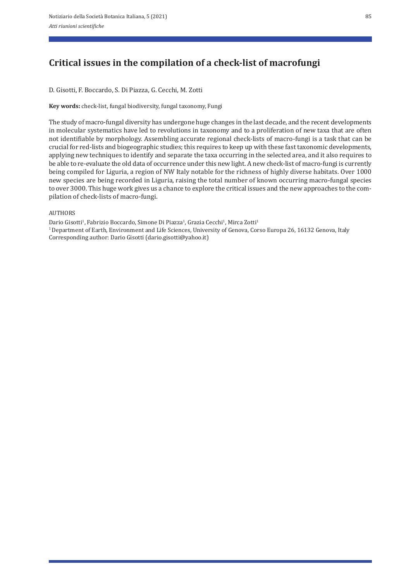# **Critical issues in the compilation of a check‑list of macrofungi**

D. Gisotti, F. Boccardo, S. Di Piazza, G. Cecchi, M. Zotti

**Key words:** check‐list, fungal biodiversity, fungal taxonomy, Fungi

The study of macro‐fungal diversity has undergone huge changes in the last decade, and the recent developments in molecular systematics have led to revolutions in taxonomy and to a proliferation of new taxa that are often not identifiable by morphology. Assembling accurate regional check‐lists of macro‐fungi is a task that can be crucial for red‐lists and biogeographic studies; this requires to keep up with these fast taxonomic developments, applying new techniques to identify and separate the taxa occurring in the selected area, and it also requires to be able to re-evaluate the old data of occurrence under this new light. A new check-list of macro-fungi is currently being compiled for Liguria, a region of NW Italy notable for the richness of highly diverse habitats. Over 1000 new species are being recorded in Liguria, raising the total number of known occurring macro-fungal species to over 3000. This huge work gives us a chance to explore the critical issues and the new approaches to the compilation of check‐lists of macro‐fungi.

### AUTHORS

Dario Gisotti<sup>1</sup>, Fabrizio Boccardo, Simone Di Piazza<sup>1</sup>, Grazia Cecchi<sup>1</sup>, Mirca Zotti<sup>1</sup> 1 Department of Earth, Environment and Life Sciences, University of Genova, Corso Europa 26, 16132 Genova, Italy Corresponding author: Dario Gisotti (dario.gisotti@yahoo.it)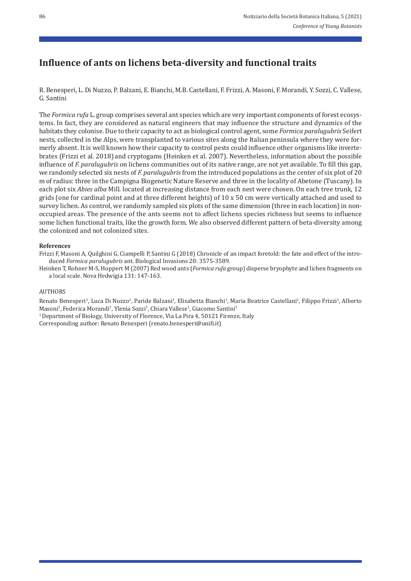## **Influence of ants on lichens beta‑diversity and functional traits**

R. Benesperi, L. Di Nuzzo, P. Balzani, E. Bianchi, M.B. Castellani, F. Frizzi, A. Masoni, F. Morandi, Y. Sozzi, C. Vallese, G. Santini

The *Formica rufa* L. group comprises several ant species which are very important components of forest ecosystems. In fact, they are considered as natural engineers that may influence the structure and dynamics of the habitats they colonise. Due to their capacity to act as biological control agent, some *Formica paralugubris* Seifert nests, collected in the Alps, were transplanted to various sites along the Italian peninsula where they were for‐ merly absent. It is well known how their capacity to control pests could influence other organisms like inverte brates (Frizzi et al. 2018) and cryptogams (Heinken et al. 2007). Nevertheless, information about the possible influence of *F. paralugubris* on lichens communities out of its native range, are not yet available. To fill this gap, we randomly selected six nests of *F. paralugubris* from the introduced populations as the center of six plot of 20 m of radius: three in the Campigna Biogenetic Nature Reserve and three in the locality of Abetone (Tuscany). In each plot six *Abies alba* Mill. located at increasing distance from each nest were chosen. On each tree trunk, 12 grids (one for cardinal point and at three different heights) of 10 x 50 cm were vertically attached and used to survey lichen. As control, we randomly sampled six plots of the same dimension (three in each location) in nonoccupied areas. The presence of the ants seems not to affect lichens species richness but seems to influence some lichen functional traits, like the growth form. We also observed different pattern of beta-diversity among the colonized and not colonized sites.

### **References**

Frizzi F, Masoni A, Quilghini G, Ciampelli P, Santini G (2018) Chronicle of an impact foretold: the fate and effect of the intro‐ duced *Formica paralugubris* ant. Biological Invasions 20: 3575‐3589.

Heinken T, Rohner M‐S, Hoppert M (2007) Red wood ants (*Formica rufa* group) disperse bryophyte and lichen fragments on a local scale. Nova Hedwigia 131: 147‐163.

### AUTHORS

Renato Benesperi<sup>1</sup>, Luca Di Nuzzo<sup>1</sup>, Paride Balzani<sup>1</sup>, Elisabetta Bianchi<sup>1</sup>, Maria Beatrice Castellani<sup>1</sup>, Filippo Frizzi<sup>1</sup>, Alberto Masoni<sup>1</sup>, Federica Morandi<sup>1</sup>, Ylenia Sozzi<sup>1</sup>, Chiara Vallese<sup>1</sup>, Giacomo Santini<sup>1</sup> <sup>1</sup> Department of Biology, University of Florence, Via La Pira 4, 50121 Firenze, Italy

Corresponding author: Renato Benesperi (renato.benesperi@unifi.it)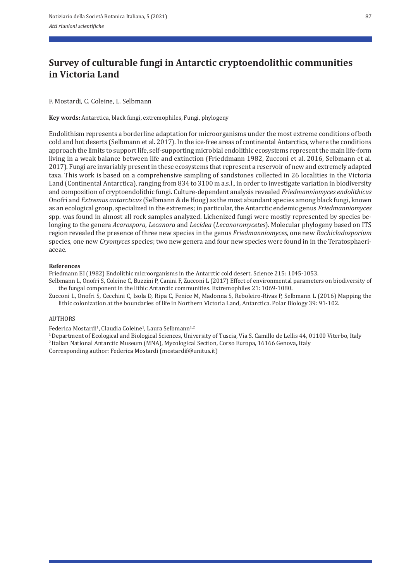# **Survey of culturable fungi in Antarctic cryptoendolithic communities in Victoria Land**

### F. Mostardi, C. Coleine, L. Selbmann

**Key words:** Antarctica, black fungi, extremophiles, Fungi, phylogeny

Endolithism represents a borderline adaptation for microorganisms under the most extreme conditions of both cold and hot deserts (Selbmann et al. 2017). In the ice-free areas of continental Antarctica, where the conditions approach the limits to support life, self‐supporting microbial endolithic ecosystems represent the main life‐form living in a weak balance between life and extinction (Frieddmann 1982, Zucconi et al. 2016, Selbmann et al. 2017). Fungi are invariably present in these ecosystems that represent a reservoir of new and extremely adapted taxa. This work is based on a comprehensive sampling of sandstones collected in 26 localities in the Victoria Land (Continental Antarctica), ranging from 834 to 3100 m a.s.l., in order to investigate variation in biodiversity and composition of cryptoendolithic fungi. Culture‐dependent analysis revealed *Friedmanniomyces endolithicus* Onofri and *Extremus antarcticus* (Selbmann & de Hoog) as the most abundant species among black fungi, known as an ecological group, specialized in the extremes; in particular, the Antarctic endemic genus *Friedmanniomyces* spp. was found in almost all rock samples analyzed. Lichenized fungi were mostly represented by species belonging to the genera *Acarospora*, *Lecanora* and *Lecidea* (*Lecanoromycetes*). Molecular phylogeny based on ITS region revealed the presence of three new species in the genus *Friedmanniomyces*, one new *Rachicladosporium* species, one new *Cryomyces* species; two new genera and four new species were found in in the Teratosphaeriaceae.

### **References**

Friedmann EI (1982) Endolithic microorganisms in the Antarctic cold desert. Science 215: 1045‐1053.

Selbmann L, Onofri S, Coleine C, Buzzini P, Canini F, Zucconi L (2017) Effect of environmental parameters on biodiversity of the fungal component in the lithic Antarctic communities. Extremophiles 21: 1069‐1080.

Zucconi L, Onofri S, Cecchini C, Isola D, Ripa C, Fenice M, Madonna S, Reboleiro‐Rivas P, Selbmann L (2016) Mapping the lithic colonization at the boundaries of life in Northern Victoria Land, Antarctica. Polar Biology 39: 91‐102.

### AUTHORS

Federica Mostardi<sup>1</sup>, Claudia Coleine<sup>1</sup>, Laura Selbmann<sup>1,2</sup>

1 Department of Ecological and Biological Sciences, University of Tuscia, Via S. Camillo de Lellis 44, 01100 Viterbo, Italy

2 Italian National Antarctic Museum (MNA), Mycological Section, Corso Europa, 16166 Genova**,** Italy

Corresponding author: Federica Mostardi (mostardif@unitus.it)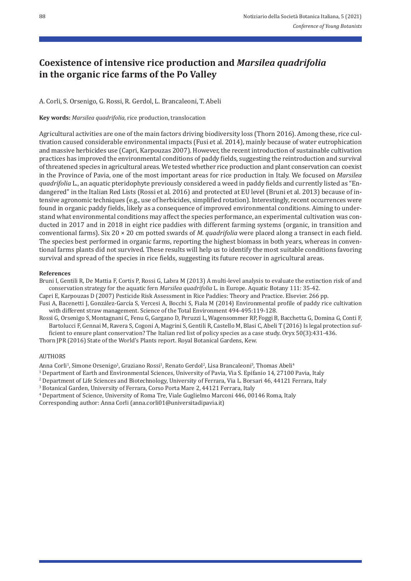# **Coexistence of intensive rice production and** *Marsilea quadrifolia*  **in the organic rice farms of the Po Valley**

## A. Corli, S. Orsenigo, G. Rossi, R. Gerdol, L. Brancaleoni, T. Abeli

**Key words:** *Marsilea quadrifolia,* rice production, translocation

Agricultural activities are one of the main factors driving biodiversity loss (Thorn 2016). Among these, rice cultivation caused considerable environmental impacts (Fusi et al. 2014), mainly because of water eutrophication and massive herbicides use (Capri, Karpouzas 2007). However, the recent introduction of sustainable cultivation practices has improved the environmental conditions of paddy fields, suggesting the reintroduction and survival of threatened species in agricultural areas. We tested whether rice production and plant conservation can coexist in the Province of Pavia, one of the most important areas for rice production in Italy. We focused on *Marsilea quadrifolia* L., an aquatic pteridophyte previously considered a weed in paddy fields and currently listed as "En‐ dangered" in the Italian Red Lists (Rossi et al. 2016) and protected at EU level (Bruni et al. 2013) because of intensive agronomic techniques (e.g., use of herbicides, simplified rotation). Interestingly, recent occurrences were found in organic paddy fields, likely as a consequence of improved environmental conditions. Aiming to under‐ stand what environmental conditions may affect the species performance, an experimental cultivation was conducted in 2017 and in 2018 in eight rice paddies with different farming systems (organic, in transition and conventional farms). Six 20 × 20 cm potted swards of *M. quadrifolia* were placed along a transect in each field. The species best performed in organic farms, reporting the highest biomass in both years, whereas in conventional farms plants did not survived. These results will help us to identify the most suitable conditions favoring survival and spread of the species in rice fields, suggesting its future recover in agricultural areas.

### **References**

Bruni I, Gentili R, De Mattia F, Cortis P, Rossi G, Labra M (2013) A multi-level analysis to evaluate the extinction risk of and conservation strategy for the aquatic fern *Marsilea quadrifolia* L. in Europe. Aquatic Botany 111: 35‐42.

Capri E, Karpouzas D (2007) Pesticide Risk Assessment in Rice Paddies: Theory and Practice. Elsevier. 266 pp.

Fusi A, Bacenetti J, González‐García S, Vercesi A, Bocchi S, Fiala M (2014) Environmental profile of paddy rice cultivation with different straw management. Science of the Total Environment 494‐495:119‐128.

Rossi G, Orsenigo S, Montagnani C, Fenu G, Gargano D, Peruzzi L, Wagensommer RP, Foggi B, Bacchetta G, Domina G, Conti F, Bartolucci F, Gennai M, Ravera S, Cogoni A, Magrini S, Gentili R, Castello M, Blasi C, Abeli T (2016) Is legal protection sufficient to ensure plant conservation? The Italian red list of policy species as a case study. Oryx 50(3):431‐436.

Thorn JPR (2016) State of the World's Plants report. Royal Botanical Gardens, Kew.

### AUTHORS

Anna Corli<sup>1</sup>, Simone Orsenigo<sup>1</sup>, Graziano Rossi<sup>1</sup>, Renato Gerdol<sup>2</sup>, Lisa Brancaleoni<sup>3</sup>, Thomas Abeli<sup>4</sup>

1 Department of Earth and Environmental Sciences, University of Pavia, Via S. Epifanio 14, 27100 Pavia, Italy

2 Department of Life Sciences and Biotechnology, University of Ferrara, Via L. Borsari 46, 44121 Ferrara, Italy

3 Botanical Garden, University of Ferrara, Corso Porta Mare 2, 44121 Ferrara, Italy

4 Department of Science, University of Roma Tre, Viale Guglielmo Marconi 446, 00146 Roma, Italy Corresponding author: Anna Corli (anna.corli01@universitadipavia.it)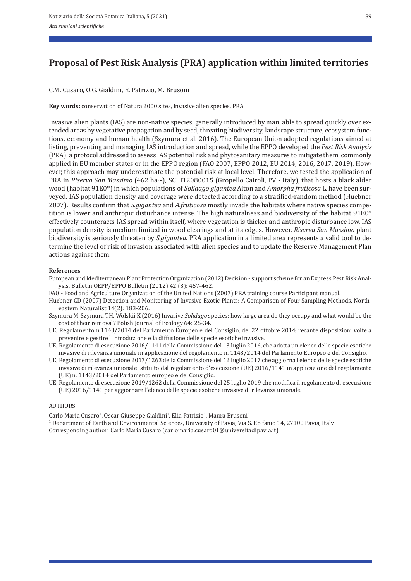# **Proposal of Pest Risk Analysis (PRA) application within limited territories**

C.M. Cusaro, O.G. Gialdini, E. Patrizio, M. Brusoni

**Key words:** conservation of Natura 2000 sites, invasive alien species, PRA

Invasive alien plants (IAS) are non-native species, generally introduced by man, able to spread quickly over extended areas by vegetative propagation and by seed, threating biodiversity, landscape structure, ecosystem functions, economy and human health (Szymura et al. 2016). The European Union adopted regulations aimed at listing, preventing and managing IAS introduction and spread, while the EPPO developed the *Pest Risk Analysis* (PRA), a protocol addressed to assess IAS potential risk and phytosanitary measures to mitigate them, commonly applied in EU member states or in the EPPO region (FAO 2007, EPPO 2012, EU 2014, 2016, 2017, 2019). However, this approach may underestimate the potential risk at local level. Therefore, we tested the application of PRA in *Riserva San Massimo* (462 ha~), SCI IT2080015 (Gropello Cairoli, PV ‐ Italy), that hosts a black alder wood (habitat 91E0\*) in which populations of *Solidago gigantea* Aiton and *Amorpha fruticosa* L. have been sur‐ veyed. IAS population density and coverage were detected according to a stratified-random method (Huebner 2007). Results confirm that *S.gigantea* and *A.fruticosa* mostly invade the habitats where native species compe‐ tition is lower and anthropic disturbance intense. The high naturalness and biodiversity of the habitat 91E0\* effectively counteracts IAS spread within itself, where vegetation is thicker and anthropic disturbance low. IAS population density is medium limited in wood clearings and at its edges. However, *Riserva San Massimo* plant biodiversity is seriously threaten by *S.gigantea.* PRA application in a limited area represents a valid tool to de‐ termine the level of risk of invasion associated with alien species and to update the Reserve Management Plan actions against them.

#### **References**

- European and Mediterranean Plant Protection Organization (2012) Decision ‐ support scheme for an Express Pest Risk Anal‐ ysis. Bulletin OEPP/EPPO Bulletin (2012) 42 (3): 457‐462.
- FAO ‐ Food and Agriculture Organization of the United Nations (2007) PRA training course Participant manual.
- Huebner CD (2007) Detection and Monitoring of Invasive Exotic Plants: A Comparison of Four Sampling Methods. North‐ eastern Naturalist 14(2): 183‐206.
- Szymura M, Szymura TH, Wolskii K (2016) Invasive *Solidago* species: how large area do they occupy and what would be the cost of their removal? Polish Journal of Ecology 64: 25‐34.
- UE, Regolamento n.1143/2014 del Parlamento Europeo e del Consiglio, del 22 ottobre 2014, recante disposizioni volte a prevenire e gestire l'introduzione e la diffusione delle specie esotiche invasive.
- UE, Regolamento di esecuzione 2016/1141 della Commissione del 13 luglio 2016, che adotta un elenco delle specie esotiche invasive di rilevanza unionale in applicazione del regolamento n. 1143/2014 del Parlamento Europeo e del Consiglio.
- UE, Regolamento di esecuzione 2017/1263 della Commissione del 12 luglio 2017 che aggiorna l'elenco delle specie esotiche invasive di rilevanza unionale istituito dal regolamento d'esecuzione (UE) 2016/1141 in applicazione del regolamento (UE) n. 1143/2014 del Parlamento europeo e del Consiglio.
- UE, Regolamento di esecuzione 2019/1262 della Commissione del 25 luglio 2019 che modifica il regolamento di esecuzione (UE) 2016/1141 per aggiornare l'elenco delle specie esotiche invasive di rilevanza unionale.

#### AUTHORS

Carlo Maria Cusaro<sup>1</sup>, Oscar Giuseppe Gialdini<sup>1</sup>, Elia Patrizio<sup>1</sup>, Maura Brusoni<sup>1</sup>

1 Department of Earth and Environmental Sciences, University of Pavia, Via S. Epifanio 14, 27100 Pavia, Italy Corresponding author: Carlo Maria Cusaro (carlomaria.cusaro01@universitadipavia.it)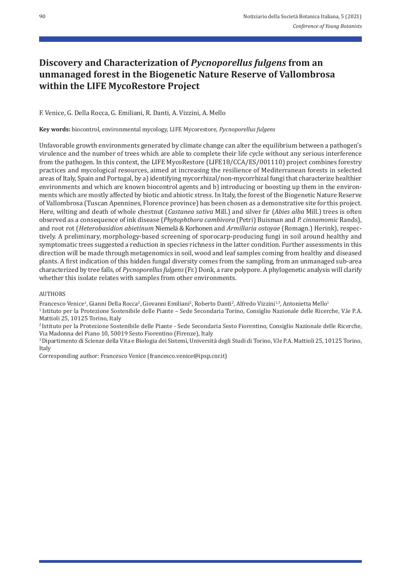# **Discovery and Characterization of** *Pycnoporellus fulgens* **from an unmanaged forest in the Biogenetic Nature Reserve of Vallombrosa within the LIFE MycoRestore Project**

F. Venice, G. Della Rocca, G. Emiliani, R. Danti, A. Vizzini, A. Mello

**Key words:** biocontrol, environmental mycology, LIFE Mycorestore, *Pycnoporellus fulgens*

Unfavorable growth environments generated by climate change can alter the equilibrium between a pathogen's virulence and the number of trees which are able to complete their life cycle without any serious interference from the pathogen. In this context, the LIFE MycoRestore (LIFE18/CCA/ES/001110) project combines forestry practices and mycological resources, aimed at increasing the resilience of Mediterranean forests in selected areas of Italy, Spain and Portugal, by a) identifying mycorrhizal/non-mycorrhizal fungi that characterize healthier environments and which are known biocontrol agents and b) introducing or boosting up them in the environments which are mostly affected by biotic and abiotic stress. In Italy, the forest of the Biogenetic Nature Reserve of Vallombrosa (Tuscan Apennines, Florence province) has been chosen as a demonstrative site for this project. Here, wilting and death of whole chestnut (*Castanea sativa* Mill.) and silver fir (*Abies alba* Mill.) trees is often observed as a consequence of ink disease (*Phytophthora cambivora* (Petri) Buisman and *P. cinnamomic* Rands), and root rot (*Heterobasidion abietinum* Niemelä & Korhonen and *Armillaria ostoyae* (Romagn.) Herink), respec‐ tively. A preliminary, morphology-based screening of sporocarp-producing fungi in soil around healthy and symptomatic trees suggested a reduction in species richness in the latter condition. Further assessments in this direction will be made through metagenomics in soil, wood and leaf samples coming from healthy and diseased plants. A first indication of this hidden fungal diversity comes from the sampling, from an unmanaged sub‐area characterized by tree falls, of *Pycnoporellus fulgens* (Fr.) Donk, a rare polypore. A phylogenetic analysis will clarify whether this isolate relates with samples from other environments.

### AUTHORS

Francesco Venice<sup>1</sup>, Gianni Della Rocca<sup>2</sup>, Giovanni Emiliani<sup>2</sup>, Roberto Danti<sup>2</sup>, Alfredo Vizzini<sup>1,3</sup>, Antonietta Mello<sup>1</sup>

1 Istituto per la Protezione Sostenibile delle Piante – Sede Secondaria Torino, Consiglio Nazionale delle Ricerche, V.le P.A. Mattioli 25, 10125 Torino, Italy

2 Istituto per la Protezione Sostenibile delle Piante ‐ Sede Secondaria Sesto Fiorentino, Consiglio Nazionale delle Ricerche, Via Madonna del Piano 10, 50019 Sesto Fiorentino (Firenze), Italy

3 Dipartimento di Scienze della Vita e Biologia dei Sistemi, Università degli Studi di Torino, V.le P.A. Mattioli 25, 10125 Torino, Italy

Corresponding author: Francesco Venice (francesco.venice@ipsp.cnr.it)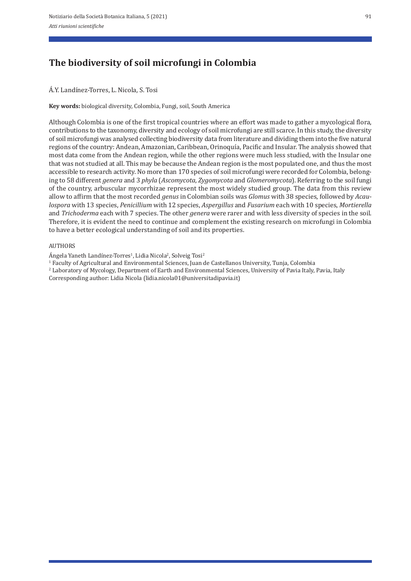# **The biodiversity of soil microfungi in Colombia**

### Á.Y. Landínez‐Torres, L. Nicola, S. Tosi

**Key words:** biological diversity, Colombia, Fungi, soil, South America

Although Colombia is one of the first tropical countries where an effort was made to gather a mycological flora, contributions to the taxonomy, diversity and ecology of soil microfungi are still scarce. In this study, the diversity of soil microfungi was analysed collecting biodiversity data from literature and dividing them into the five natural regions of the country: Andean, Amazonian, Caribbean, Orinoquía, Pacific and Insular. The analysis showed that most data come from the Andean region, while the other regions were much less studied, with the Insular one that was not studied at all. This may be because the Andean region is the most populated one, and thus the most accessible to research activity. No more than 170 species of soil microfungi were recorded for Colombia, belonging to 58 different *genera* and 3 *phyla* (*Ascomycota*, *Zygomycota* and *Glomeromycota*). Referring to the soil fungi of the country, arbuscular mycorrhizae represent the most widely studied group. The data from this review allow to affirm that the most recorded *genus* in Colombian soils was *Glomus* with 38 species, followed by *Acau‑ lospora* with 13 species, *Penicillium* with 12 species, *Aspergillus* and *Fusarium* each with 10 species, *Mortierella*  and *Trichoderma* each with 7 species. The other *genera* were rarer and with less diversity of species in the soil. Therefore, it is evident the need to continue and complement the existing research on microfungi in Colombia to have a better ecological understanding of soil and its properties.

#### AUTHORS

Ángela Yaneth Landínez‐Torres1, Lidia Nicola2, Solveig Tosi2

- 1 Faculty of Agricultural and Environmental Sciences, Juan de Castellanos University, Tunja, Colombia
- <sup>2</sup> Laboratory of Mycology, Department of Earth and Environmental Sciences, University of Pavia Italy, Pavia, Italy

Corresponding author: Lidia Nicola (lidia.nicola01@universitadipavia.it)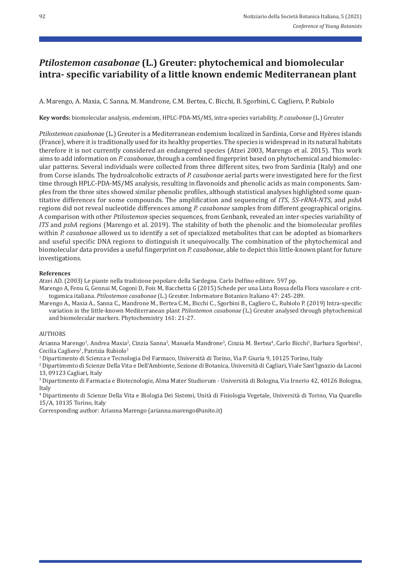## *Ptilostemon casabonae* **(L.) Greuter: phytochemical and biomolecular intra‑ specific variability of a little known endemic Mediterranean plant**

A. Marengo, A. Maxia, C. Sanna, M. Mandrone, C.M. Bertea, C. Bicchi, B. Sgorbini, C. Cagliero, P. Rubiolo

**Key words:** biomolecular analysis, *e*ndemism, HPLC‐PDA‐MS/MS, intra‐species variability, *P. casabonae* (L.) Greuter

*Ptilostemon casabona*e (L.) Greuter is a Mediterranean endemism localized in Sardinia, Corse and Hyères islands (France), where it is traditionally used for its healthy properties. The species is widespread in its natural habitats therefore it is not currently considered an endangered species (Atzei 2003, Marengo et al. 2015). This work aims to add information on *P. casabonae*, through a combined fingerprint based on phytochemical and biomolec‐ ular patterns. Several individuals were collected from three different sites, two from Sardinia (Italy) and one from Corse islands. The hydroalcoholic extracts of *P. casabonae* aerial parts were investigated here for the first time through HPLC-PDA-MS/MS analysis, resulting in flavonoids and phenolic acids as main components. Samples from the three sites showed similar phenolic profiles, although statistical analyses highlighted some quantitative differences for some compounds. The amplification and sequencing of *ITS*, *5S‑rRNA‑NTS,* and *psbA* regions did not reveal nucleotide differences among *P. casabonae* samples from different geographical origins. A comparison with other *Ptilostemon* species sequences, from Genbank, revealed an inter‐species variability of *ITS* and *psbA* regions (Marengo et al. 2019). The stability of both the phenolic and the biomolecular profiles within *P. casabonae* allowed us to identify a set of specialized metabolites that can be adopted as biomarkers and useful specific DNA regions to distinguish it unequivocally. The combination of the phytochemical and biomolecular data provides a useful fingerprint on *P. casabonae*, able to depict this little‐known plant for future investigations.

### **References**

Atzei AD. (2003) Le piante nella tradizione popolare della Sardegna. Carlo Delfino editore. 597 pp.

- Marengo A, Fenu G, Gennai M, Cogoni D, Fois M, Bacchetta G (2015) Schede per una Lista Rossa della Flora vascolare e crit‐ togamica italiana. *Ptilostemon casabonae* (L.) Greuter. Informatore Botanico Italiano 47: 245‐289.
- Marengo A., Maxia A., Sanna C., Mandrone M., Bertea C.M., Bicchi C., Sgorbini B., Cagliero C., Rubiolo P. (2019) Intra‐specific variation in the little‐known Mediterranean plant *Ptilostemon casabonae* (L.) Greuter analysed through phytochemical and biomolecular markers. Phytochemistry 161: 21‐27.

### **AUTHORS**

Arianna Marengo<sup>1</sup>, Andrea Maxia<sup>2</sup>, Cinzia Sanna<sup>2</sup>, Manuela Mandrone<sup>3</sup>, Cinzia M. Bertea<sup>4</sup>, Carlo Bicchi<sup>1</sup>, Barbara Sgorbini<sup>1</sup>, Cecilia Cagliero<sup>1</sup>, Patrizia Rubiolo<sup>1</sup>

1 Dipartimento di Scienza e Tecnologia Del Farmaco, Università di Torino, Via P. Giuria 9, 10125 Torino, Italy

2 Dipartimento di Scienze Della Vita e Dell'Ambiente, Sezione di Botanica, Università di Cagliari, Viale Sant'Ignazio da Laconi 13, 09123 Cagliari, Italy

3 Dipartimento di Farmacia e Biotecnologie, Alma Mater Studiorum ‐ Università di Bologna, Via Irnerio 42, 40126 Bologna, Italy

4 Dipartimento di Scienze Della Vita e Biologia Dei Sistemi, Unità di Fisiologia Vegetale, Università di Torino, Via Quarello 15/A, 10135 Torino, Italy

Corresponding author: Arianna Marengo (arianna.marengo@unito.it)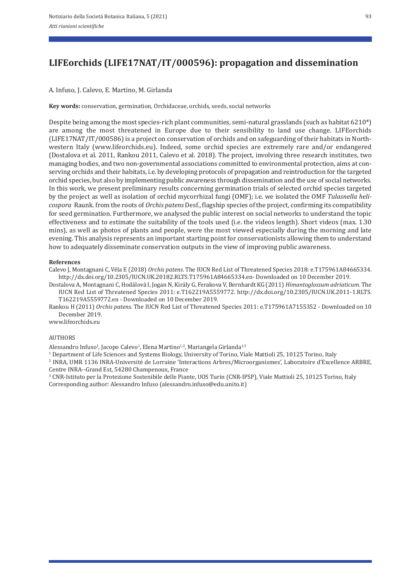A. Infuso, J. Calevo, E. Martino, M. Girlanda

**Key words:** conservation, germination, Orchidaceae, orchids, seeds, social networks

Despite being among the most species-rich plant communities, semi-natural grasslands (such as habitat 6210\*) are among the most threatened in Europe due to their sensibility to land use change. LIFEorchids (LIFE17NAT/IT/000586) is a project on conservation of orchids and on safeguarding of their habitats in North‐ western Italy (www.lifeorchids.eu). Indeed, some orchid species are extremely rare and/or endangered (Dostalova et al. 2011, Rankou 2011, Calevo et al. 2018). The project, involving three research institutes, two managing bodies, and two non-governmental associations committed to environmental protection, aims at conserving orchids and their habitats, i.e. by developing protocols of propagation and reintroduction for the targeted orchid species, but also by implementing public awareness through dissemination and the use of social networks. In this work, we present preliminary results concerning germination trials of selected orchid species targeted by the project as well as isolation of orchid mycorrhizal fungi (OMF); i.e. we isolated the OMF *Tulasnella heli‑ cospora* Raunk. from the roots of *Orchis patens* Desf., flagship species of the project, confirming its compatibility for seed germination. Furthermore, we analysed the public interest on social networks to understand the topic effectiveness and to estimate the suitability of the tools used (i.e. the videos length). Short videos (max. 1.30 mins), as well as photos of plants and people, were the most viewed especially during the morning and late evening. This analysis represents an important starting point for conservationists allowing them to understand how to adequately disseminate conservation outputs in the view of improving public awareness.

#### **References**

Calevo J, Montagnani C, Véla E (2018) *Orchis patens*. The IUCN Red List of Threatened Species 2018: e.T175961A84665334. http://dx.doi.org/10.2305/IUCN.UK.20182.RLTS.T175961A84665334.en‐ Downloaded on 10 December 2019.

Dostalova A, Montagnani C, Hodálová I, Jogan N, Király G, Ferakova V, Bernhardt KG (2011) *Himantoglossum adriaticum*. The IUCN Red List of Threatened Species 2011: e.T162219A5559772. http://dx.doi.org/10.2305/IUCN.UK.2011‐1.RLTS. T162219A5559772.en ‐ Downloaded on 10 December 2019.

Rankou H (2011) *Orchis patens*. The IUCN Red List of Threatened Species 2011: e.T175961A7155352 ‐ Downloaded on 10 December 2019.

www.lifeorchids.eu

### **AUTHORS**

Alessandro Infuso<sup>1</sup>, Jacopo Calevo<sup>1</sup>, Elena Martino<sup>1,2</sup>, Mariangela Girlanda<sup>1,3</sup>

1 Department of Life Sciences and Systems Biology, University of Torino, Viale Mattioli 25, 10125 Torino, Italy

2 INRA, UMR 1136 INRA‐Université de Lorraine 'Interactions Arbres/Microorganismes', Laboratoire d'Excellence ARBRE, Centre INRA--Grand Est, 54280 Champenoux, France<br><sup>3</sup> CNR-Istituto per la Protezione Sostenibile delle Piante, UOS Turin (CNR-IPSP), Viale Mattioli 25, 10125 Torino, Italy

Corresponding author: Alessandro Infuso (alessandro.infuso@edu.unito.it)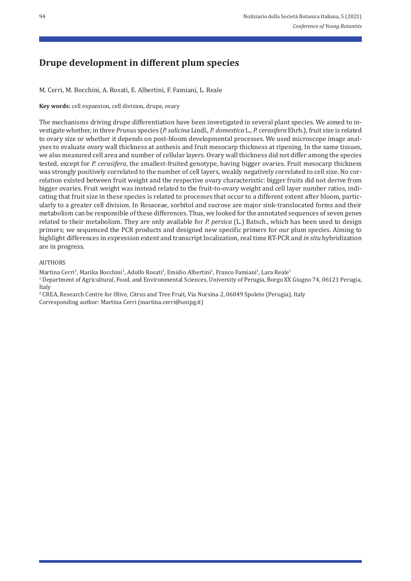# **Drupe development in different plum species**

M. Cerri, M. Bocchini, A. Rosati, E. Albertini, F. Famiani, L. Reale

**Key words:** cell expansion, cell division, drupe, ovary

The mechanisms driving drupe differentiation have been investigated in several plant species. We aimed to in‐ vestigate whether, in three *Prunus* species (*P. salicina* Lindl.*, P. domestica* L.*, P. cerasifera* Ehrh.), fruit size is related to ovary size or whether it depends on post-bloom developmental processes. We used microscope image analyses to evaluate ovary wall thickness at anthesis and fruit mesocarp thickness at ripening. In the same tissues, we also measured cell area and number of cellular layers. Ovary wall thickness did not differ among the species tested, except for *P. cerasifera*, the smallest-fruited genotype, having bigger ovaries. Fruit mesocarp thickness was strongly positively correlated to the number of cell layers, weakly negatively correlated to cell size. No correlation existed between fruit weight and the respective ovary characteristic: bigger fruits did not derive from bigger ovaries. Fruit weight was instead related to the fruit-to-ovary weight and cell layer number ratios, indicating that fruit size in these species is related to processes that occur to a different extent after bloom, particularly to a greater cell division. In Rosaceae, sorbitol and sucrose are major sink‐translocated forms and their metabolism can be responsible of these differences. Thus, we looked for the annotated sequences of seven genes related to their metabolism. They are only available for *P. persica* (L.) Batsch., which has been used to design primers; we sequenced the PCR products and designed new specific primers for our plum species. Aiming to highlight differences in expression extent and transcript localization, real time RT‐PCR and *in situ* hybridization are in progress.

### AUTHORS

Martina Cerri<sup>1</sup>, Marika Bocchini<sup>1</sup>, Adolfo Rosati<sup>2</sup>, Emidio Albertini<sup>1</sup>, Franco Famiani<sup>1</sup>, Lara Reale<sup>1</sup>

1 Department of Agricultural, Food, and Environmental Sciences, University of Perugia, Borgo XX Giugno 74, 06121 Perugia, Italy

<sup>2</sup> CREA, Research Centre for Olive, Citrus and Tree Fruit, Via Nursina 2, 06049 Spoleto (Perugia), Italy Corresponding author: Martina Cerri (martina.cerri@unipg.it)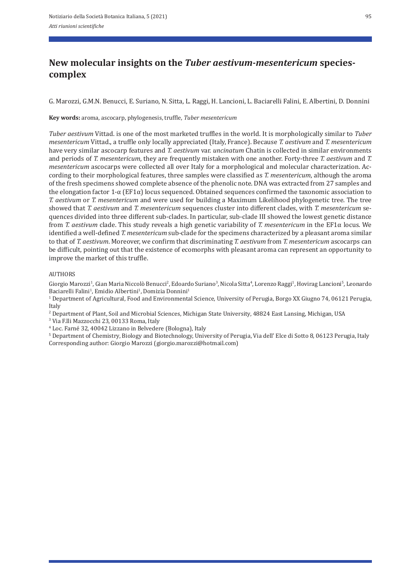## **New molecular insights on the** *Tuber aestivum‑mesentericum* **species‑ complex**

G. Marozzi, G.M.N. Benucci, E. Suriano, N. Sitta, L. Raggi, H. Lancioni, L. Baciarelli Falini, E. Albertini, D. Donnini

**Key words:** aroma, ascocarp, phylogenesis, truffle, *Tuber mesentericum*

*Tuber aestivum* Vittad. is one of the most marketed truffles in the world. It is morphologically similar to *Tuber mesentericum* Vittad., a truffle only locally appreciated (Italy, France). Because *T. aestivum* and *T. mesentericum* have very similar ascocarp features and *T. aestivum* var. *uncinatum* Chatin is collected in similar environments and periods of *T. mesentericum*, they are frequently mistaken with one another. Forty-three *T. aestivum* and *T. mesentericum* ascocarps were collected all over Italy for a morphological and molecular characterization. Ac‐ cording to their morphological features, three samples were classified as *T. mesentericum*, although the aroma of the fresh specimens showed complete absence of the phenolic note. DNA was extracted from 27 samples and the elongation factor  $1-\alpha$  (EF1 $\alpha$ ) locus sequenced. Obtained sequences confirmed the taxonomic association to *T. aestivum* or *T. mesentericum* and were used for building a Maximum Likelihood phylogenetic tree. The tree showed that *T. aestivum* and *T. mesentericum* sequences cluster into different clades, with *T. mesentericum* se‐ quences divided into three different sub‐clades. In particular, sub‐clade III showed the lowest genetic distance from *T. aestivum* clade. This study reveals a high genetic variability of *T. mesentericum* in the EF1α locus. We identified a well-defined *T. mesentericum* sub-clade for the specimens characterized by a pleasant aroma similar to that of *T. aestivum*. Moreover, we confirm that discriminating *T. aestivum* from *T. mesentericum* ascocarps can be difficult, pointing out that the existence of ecomorphs with pleasant aroma can represent an opportunity to improve the market of this truffle.

### AUTHORS

Giorgio Marozzi<sup>1</sup>, Gian Maria Niccolò Benucci<sup>2</sup>, Edoardo Suriano<sup>3</sup>, Nicola Sitta<sup>4</sup>, Lorenzo Raggi<sup>1</sup>, Hovirag Lancioni<sup>5</sup>, Leonardo Baciarelli Falini<sup>1</sup>, Emidio Albertini<sup>1</sup>, Domizia Donnini<sup>1</sup>

 $1$  Department of Agricultural, Food and Environmental Science, University of Perugia, Borgo XX Giugno 74, 06121 Perugia, Italy

2 Department of Plant, Soil and Microbial Sciences, Michigan State University, 48824 East Lansing, Michigan, USA

3 Via F.lli Mazzocchi 23, 00133 Roma, Italy

4 Loc. Farné 32, 40042 Lizzano in Belvedere (Bologna), Italy

5 Department of Chemistry, Biology and Biotechnology, University of Perugia, Via dell' Elce di Sotto 8, 06123 Perugia, Italy Corresponding author: Giorgio Marozzi (giorgio.marozzi@hotmail.com)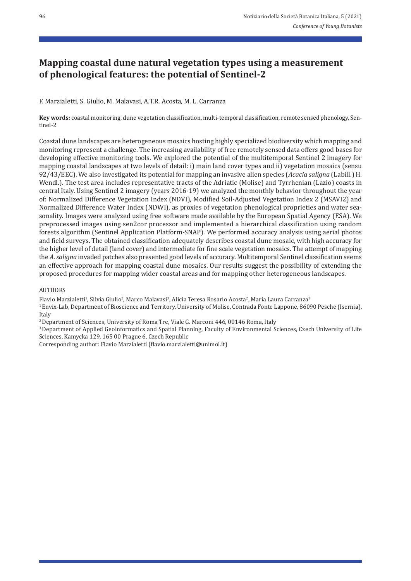## **Mapping coastal dune natural vegetation types using a measurement of phenological features: the potential of Sentinel‑2**

F. Marzialetti, S. Giulio, M. Malavasi, A.T.R. Acosta, M. L. Carranza

**Key words:** coastal monitoring, dune vegetation classification, multi-temporal classification, remote sensed phenology, Sentinel‐2

Coastal dune landscapes are heterogeneous mosaics hosting highly specialized biodiversity which mapping and monitoring represent a challenge. The increasing availability of free remotely sensed data offers good bases for developing effective monitoring tools. We explored the potential of the multitemporal Sentinel 2 imagery for mapping coastal landscapes at two levels of detail: i) main land cover types and ii) vegetation mosaics (sensu 92/43/EEC). We also investigated its potential for mapping an invasive alien species (*Acacia saligna* (Labill.) H. Wendl.). The test area includes representative tracts of the Adriatic (Molise) and Tyrrhenian (Lazio) coasts in central Italy. Using Sentinel 2 imagery (years 2016‐19) we analyzed the monthly behavior throughout the year of: Normalized Difference Vegetation Index (NDVI), Modified Soil‐Adjusted Vegetation Index 2 (MSAVI2) and Normalized Difference Water Index (NDWI), as proxies of vegetation phenological proprieties and water sea‐ sonality. Images were analyzed using free software made available by the European Spatial Agency (ESA). We preprocessed images using sen2cor processor and implemented a hierarchical classification using random forests algorithm (Sentinel Application Platform‐SNAP). We performed accuracy analysis using aerial photos and field surveys. The obtained classification adequately describes coastal dune mosaic, with high accuracy for the higher level of detail (land cover) and intermediate for fine scale vegetation mosaics. The attempt of mapping the *A. saligna* invaded patches also presented good levels of accuracy. Multitemporal Sentinel classification seems an effective approach for mapping coastal dune mosaics. Our results suggest the possibility of extending the proposed procedures for mapping wider coastal areas and for mapping other heterogeneous landscapes.

AUTHORS

Flavio Marzialetti<sup>1</sup>, Silvia Giulio<sup>2</sup>, Marco Malavasi<sup>3</sup>, Alicia Teresa Rosario Acosta<sup>2</sup>, Maria Laura Carranza<sup>3</sup>

1 Envix‐Lab, Department of Bioscience and Territory, University of Molise, Contrada Fonte Lappone, 86090 Pesche (Isernia), Italy

2 Department of Sciences, University of Roma Tre, Viale G. Marconi 446, 00146 Roma, Italy

<sup>3</sup> Department of Applied Geoinformatics and Spatial Planning, Faculty of Environmental Sciences, Czech University of Life Sciences, Kamycka 129, 165 00 Prague 6, Czech Republic

Corresponding author: Flavio Marzialetti (flavio.marzialetti@unimol.it)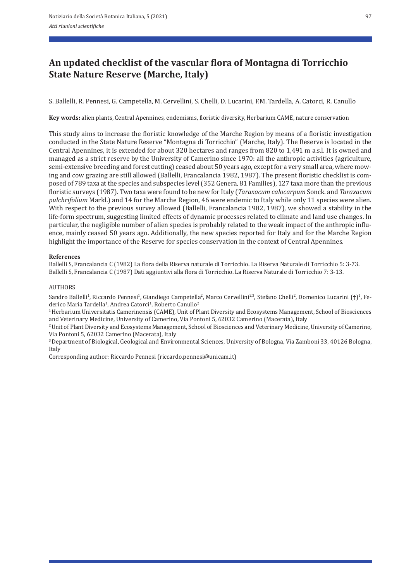# **An updated checklist of the vascular flora of Montagna di Torricchio State Nature Reserve (Marche, Italy)**

S. Ballelli, R. Pennesi, G. Campetella, M. Cervellini, S. Chelli, D. Lucarini, F.M. Tardella, A. Catorci, R. Canullo

**Key words:** alien plants, Central Apennines, endemisms, floristic diversity, Herbarium CAME, nature conservation

This study aims to increase the floristic knowledge of the Marche Region by means of a floristic investigation conducted in the State Nature Reserve "Montagna di Torricchio" (Marche, Italy). The Reserve is located in the Central Apennines, it is extended for about 320 hectares and ranges from 820 to 1,491 m a.s.l. It is owned and managed as a strict reserve by the University of Camerino since 1970: all the anthropic activities (agriculture, semi-extensive breeding and forest cutting) ceased about 50 years ago, except for a very small area, where mowing and cow grazing are still allowed (Ballelli, Francalancia 1982, 1987). The present floristic checklist is composed of 789 taxa at the species and subspecies level (352 Genera, 81 Families), 127 taxa more than the previous floristic surveys (1987). Two taxa were found to be new for Italy (*Taraxacum calocarpum* Sonck. and *Taraxacum pulchrifolium* Markl.) and 14 for the Marche Region, 46 were endemic to Italy while only 11 species were alien. With respect to the previous survey allowed (Ballelli, Francalancia 1982, 1987), we showed a stability in the life‐form spectrum, suggesting limited effects of dynamic processes related to climate and land use changes. In particular, the negligible number of alien species is probably related to the weak impact of the anthropic influence, mainly ceased 50 years ago. Additionally, the new species reported for Italy and for the Marche Region highlight the importance of the Reserve for species conservation in the context of Central Apennines.

### **References**

Ballelli S, Francalancia C (1982) La flora della Riserva naturale di Torricchio. La Riserva Naturale di Torricchio 5: 3‐73. Ballelli S, Francalancia C (1987) Dati aggiuntivi alla flora di Torricchio. La Riserva Naturale di Torricchio 7: 3‐13.

### AUTHORS

Sandro Ballelli<sup>1</sup>, Riccardo Pennesi<sup>1</sup>, Giandiego Campetella<sup>2</sup>, Marco Cervellini<sup>2,3</sup>, Stefano Chelli<sup>2</sup>, Domenico Lucarini (†)<sup>1</sup>, Federico Maria Tardella<sup>1</sup>, Andrea Catorci<sup>1</sup>, Roberto Canullo<sup>2</sup>

1 Herbarium Universitatis Camerinensis (CAME), Unit of Plant Diversity and Ecosystems Management, School of Biosciences and Veterinary Medicine, University of Camerino, Via Pontoni 5, 62032 Camerino (Macerata), Italy

2 Unit of Plant Diversity and Ecosystems Management, School of Biosciences and Veterinary Medicine, University of Camerino, Via Pontoni 5, 62032 Camerino (Macerata), Italy

3 Department of Biological, Geological and Environmental Sciences, University of Bologna, Via Zamboni 33, 40126 Bologna, Italy

Corresponding author: Riccardo Pennesi (riccardo.pennesi@unicam.it)